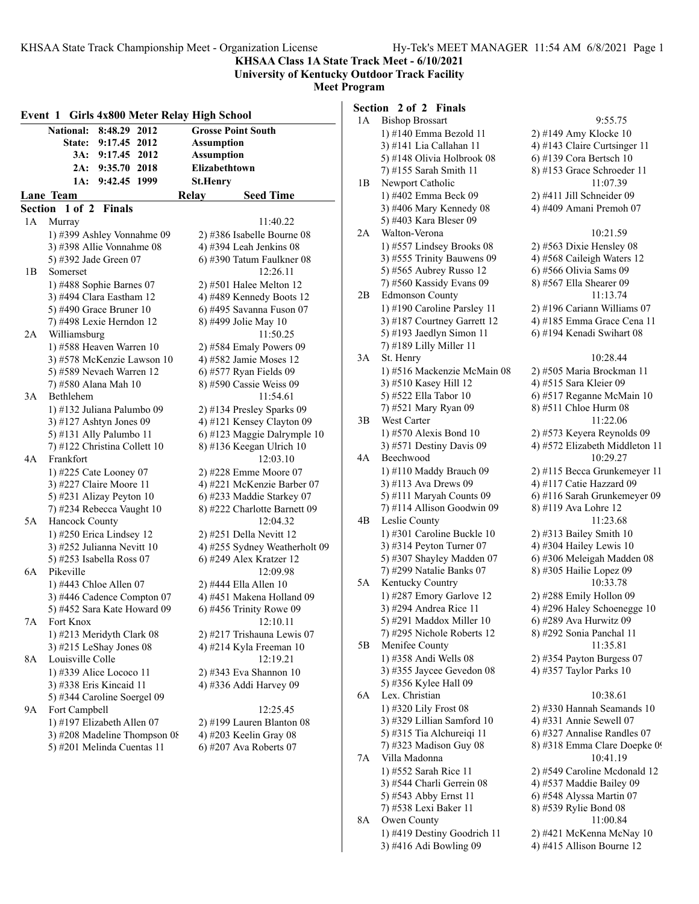**KHSAA Class 1A State Track Meet - 6/10/2021**

**University of Kentucky Outdoor Track Facility Meet Program**

#### **Event 1 Girls 4x800 Meter Relay High School National: 8:48.29 2012 Grosse Point South State: 9:17.45 2012 Assumption 3A: 9:17.45 2012 Assumption 2A: 9:35.70 2018 Elizabethtown 1A: 9:42.45 1999 St.Henry Lane Team Seed Time Section 1 of 2 Finals** 1A Murray 11:40.22 1) #399 Ashley Vonnahme 09 2) #386 Isabelle Bourne 08 3) #398 Allie Vonnahme 08 4) #394 Leah Jenkins 08 5) #392 Jade Green 07 6) #390 Tatum Faulkner 08 1B Somerset 12:26.11 1) #488 Sophie Barnes 07 2) #501 Halee Melton 12 3) #494 Clara Eastham  $12 \t\t 4$ ) #489 Kennedy Boots  $12$ 5) #490 Grace Bruner 10 6) #495 Savanna Fuson 07 7) #498 Lexie Herndon 12 8) #499 Jolie May 10 2A Williamsburg 11:50.25 1) #588 Heaven Warren 10 2) #584 Emaly Powers 09 3) #578 McKenzie Lawson 10 4) #582 Jamie Moses 12 5) #589 Nevaeh Warren 12 6) #577 Ryan Fields 09 7) #580 Alana Mah 10 8) #590 Cassie Weiss 09 3A Bethlehem 11:54.61 1) #132 Juliana Palumbo 09 2) #134 Presley Sparks 09 3)  $\#127$  Ashtyn Jones 09  $\qquad \qquad$  4)  $\#121$  Kensey Clayton 09 5) #131 Ally Palumbo 11  $\qquad$  6) #123 Maggie Dalrymple 10 7) #122 Christina Collett 10 8) #136 Keegan Ulrich 10 4A Frankfort 12:03.10 1) #225 Cate Looney 07 2) #228 Emme Moore 07 3) #227 Claire Moore 11 4) #221 McKenzie Barber 07 5) #231 Alizay Peyton 10 6) #233 Maddie Starkey 07 7) #234 Rebecca Vaught 10 8) #222 Charlotte Barnett 09 5A Hancock County 12:04.32 1) #250 Erica Lindsey 12 2) #251 Della Nevitt 12 3) #252 Julianna Nevitt  $10 \t 4$ ) #255 Sydney Weatherholt 09 5) #253 Isabella Ross 07 6) #249 Alex Kratzer 12 6A Pikeville 12:09.98 1) #443 Chloe Allen 07 2) #444 Ella Allen 10 3) #446 Cadence Compton  $07 \qquad 4$ ) #451 Makena Holland 09 5) #452 Sara Kate Howard 09 6) #456 Trinity Rowe 09 7A Fort Knox 12:10.11 1) #213 Meridyth Clark 08 2) #217 Trishauna Lewis 07 3) #215 LeShay Jones 08 4) #214 Kyla Freeman 10 8A Louisville Colle 12:19.21 1) #339 Alice Lococo 11 2) #343 Eva Shannon 10 3) #338 Eris Kincaid 11 4) #336 Addi Harvey 09 5) #344 Caroline Soergel 09 9A Fort Campbell 12:25.45 1) #197 Elizabeth Allen 07 2) #199 Lauren Blanton 08 3) #208 Madeline Thompson 08  $\qquad$  4) #203 Keelin Gray 08 5) #201 Melinda Cuentas 11 6) #207 Ava Roberts 07

#### **Section 2 of 2 Finals**

| 1А | <b>Bishop Brossart</b>                                 | 9:55.75                                               |
|----|--------------------------------------------------------|-------------------------------------------------------|
|    | 1) #140 Emma Bezold 11                                 | 2) #149 Amy Klocke 10                                 |
|    | 3) #141 Lia Callahan 11                                | 4) #143 Claire Curtsinger 11                          |
|    | 5) #148 Olivia Holbrook 08                             | 6) #139 Cora Bertsch 10                               |
|    | 7) #155 Sarah Smith 11                                 | 8) #153 Grace Schroeder 11                            |
| 1B | Newport Catholic                                       | 11:07.39                                              |
|    | 1) #402 Emma Beck 09                                   | 2) #411 Jill Schneider 09                             |
|    | 3) #406 Mary Kennedy 08                                | 4) #409 Amani Premoh 07                               |
|    | 5) #403 Kara Bleser 09                                 |                                                       |
| 2A | Walton-Verona                                          | 10:21.59                                              |
|    | 1) #557 Lindsey Brooks 08                              | 2) #563 Dixie Hensley 08                              |
|    | 3) #555 Trinity Bauwens 09                             | 4) #568 Caileigh Waters 12                            |
|    | 5) #565 Aubrey Russo 12                                | 6) #566 Olivia Sams 09                                |
|    | 7) #560 Kassidy Evans 09                               | 8) #567 Ella Shearer 09                               |
| 2B | <b>Edmonson County</b>                                 | 11:13.74                                              |
|    | 1) #190 Caroline Parsley 11                            | 2) #196 Cariann Williams 07                           |
|    | 3) #187 Courtney Garrett 12                            | 4) #185 Emma Grace Cena 11                            |
|    | 5) #193 Jaedlyn Simon 11                               | 6) #194 Kenadi Swihart 08                             |
|    | 7) #189 Lilly Miller 11                                |                                                       |
| 3A | St. Henry                                              | 10:28.44                                              |
|    | 1) #516 Mackenzie McMain 08                            | 2) #505 Maria Brockman 11                             |
|    | 3) #510 Kasey Hill 12                                  | 4) #515 Sara Kleier 09                                |
|    | 5) #522 Ella Tabor 10                                  | 6) #517 Reganne McMain 10                             |
|    | 7) #521 Mary Ryan 09                                   | 8) #511 Chloe Hurm 08                                 |
| 3B | West Carter                                            | 11:22.06                                              |
|    | 1) #570 Alexis Bond 10                                 | 2) #573 Keyera Reynolds 09                            |
|    | 3) #571 Destiny Davis 09                               | 4) #572 Elizabeth Middleton 11                        |
| 4A | Beechwood                                              | 10:29.27                                              |
|    | 1) #110 Maddy Brauch 09                                | 2) #115 Becca Grunkemeyer 11                          |
|    | 3) #113 Ava Drews 09                                   | 4) #117 Catie Hazzard 09                              |
|    | 5) #111 Maryah Counts 09<br>7) #114 Allison Goodwin 09 | 6) #116 Sarah Grunkemeyer 09                          |
| 4B | Leslie County                                          | 8) #119 Ava Lohre 12<br>11:23.68                      |
|    | 1) #301 Caroline Buckle 10                             | $2)$ #313 Bailey Smith 10                             |
|    | 3) #314 Peyton Turner 07                               | 4) #304 Hailey Lewis 10                               |
|    | 5) #307 Shayley Madden 07                              | 6) #306 Meleigah Madden 08                            |
|    | 7) #299 Natalie Banks 07                               | 8) #305 Hailie Lopez 09                               |
| 5A | Kentucky Country                                       | 10:33.78                                              |
|    | 1) #287 Emory Garlove 12                               | 2) #288 Emily Hollon 09                               |
|    | 3) #294 Andrea Rice 11                                 | 4) #296 Haley Schoenegge 10                           |
|    | 5) #291 Maddox Miller 10                               | 6) #289 Ava Hurwitz 09                                |
|    | 7) #295 Nichole Roberts 12                             | 8) #292 Sonia Panchal 11                              |
| 5Β | Menifee County                                         | 11:35.81                                              |
|    | 1) #358 Andi Wells 08                                  | 2) #354 Payton Burgess 07                             |
|    | 3) #355 Jaycee Gevedon 08                              | 4) #357 Taylor Parks 10                               |
|    | 5) #356 Kylee Hall 09                                  |                                                       |
| 6A | Lex. Christian                                         | 10:38.61                                              |
|    | 1) #320 Lily Frost 08                                  | 2) #330 Hannah Seamands 10                            |
|    | 3) #329 Lillian Samford 10                             | 4) #331 Annie Sewell 07                               |
|    | 5) #315 Tia Alchureiqi 11                              | 6) #327 Annalise Randles 07                           |
|    | 7) #323 Madison Guy 08                                 | 8) #318 Emma Clare Doepke 09                          |
| 7Α | Villa Madonna                                          | 10:41.19                                              |
|    | 1) #552 Sarah Rice 11                                  | 2) #549 Caroline Mcdonald 12                          |
|    | 3) #544 Charli Gerrein 08                              | 4) #537 Maddie Bailey 09                              |
|    | 5) #543 Abby Ernst 11                                  | 6) #548 Alyssa Martin 07                              |
|    | 7) #538 Lexi Baker 11                                  | 8) #539 Rylie Bond 08                                 |
| 8A | Owen County                                            | 11:00.84                                              |
|    | 1) #419 Destiny Goodrich 11<br>3) #416 Adi Bowling 09  | 2) #421 McKenna McNay 10<br>4) #415 Allison Bourne 12 |
|    |                                                        |                                                       |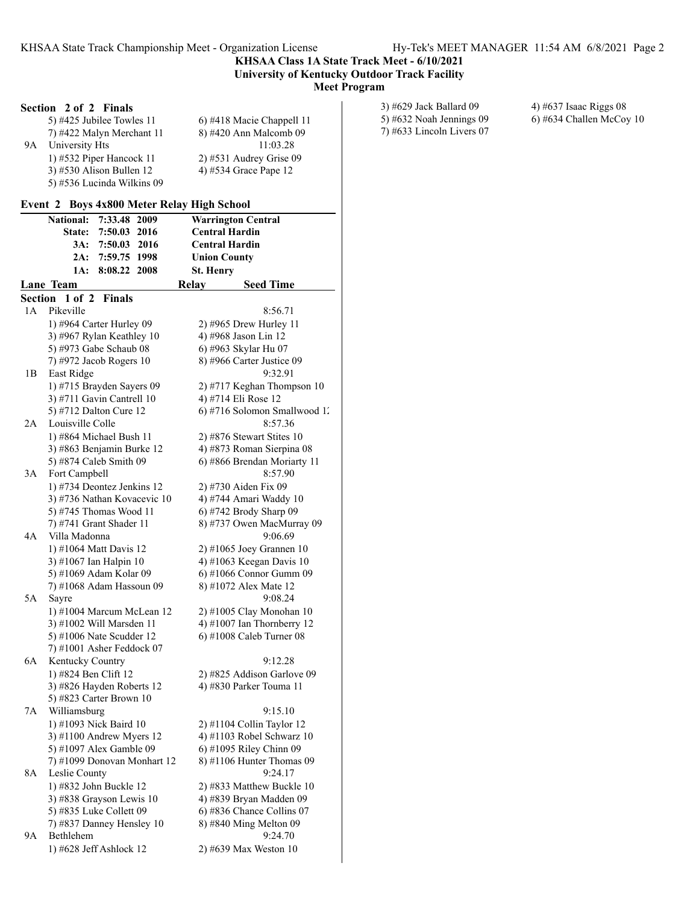#### **KHSAA Class 1A State Track Meet - 6/10/2021 University of Kentucky Outdoor Track Facility Meet Program**

## **Section 2 of 2 Finals**

|    | 5) #425 Jubilee Towles $11$ | 6) #418 Macie Chappell 11 |
|----|-----------------------------|---------------------------|
|    | 7) #422 Malyn Merchant 11   | 8) #420 Ann Malcomb 09    |
| 9Α | University Hts              | 11:03.28                  |
|    | 1) #532 Piper Hancock 11    | $2)$ #531 Audrey Grise 09 |
|    | 3) #530 Alison Bullen $12$  | 4) #534 Grace Pape 12     |
|    | 5) #536 Lucinda Wilkins 09  |                           |

#### **Event 2 Boys 4x800 Meter Relay High School**

|    | <b>National:</b><br>7:33.48<br>2009                 | <b>Warrington Central</b>                            |
|----|-----------------------------------------------------|------------------------------------------------------|
|    | State:<br>7:50.03<br>2016                           | <b>Central Hardin</b>                                |
|    | 2016<br>3A:<br>7:50.03                              | <b>Central Hardin</b>                                |
|    | 2A:<br>7:59.75 1998                                 | <b>Union County</b>                                  |
|    | 1A:<br>8:08.22<br>2008                              | St. Henry                                            |
|    | Lane Team                                           | Relay<br><b>Seed Time</b>                            |
|    | Section 1 of 2<br><b>Finals</b>                     |                                                      |
| 1A | Pikeville                                           | 8:56.71                                              |
|    | 1) #964 Carter Hurley 09                            | 2) #965 Drew Hurley 11                               |
|    | 3) #967 Rylan Keathley 10                           | 4) #968 Jason Lin 12                                 |
|    | 5) #973 Gabe Schaub 08                              | 6) #963 Skylar Hu 07                                 |
|    | 7) #972 Jacob Rogers 10                             | 8) #966 Carter Justice 09                            |
| 1B | East Ridge                                          | 9:32.91                                              |
|    | 1) #715 Brayden Sayers 09                           | 2) #717 Keghan Thompson 10                           |
|    | 3) #711 Gavin Cantrell 10                           | 4) #714 Eli Rose 12                                  |
|    | 5) #712 Dalton Cure 12                              | 6) #716 Solomon Smallwood 1.                         |
| 2A | Louisville Colle                                    | 8:57.36                                              |
|    | 1) #864 Michael Bush 11                             | 2) #876 Stewart Stites $10$                          |
|    | 3) #863 Benjamin Burke 12                           | 4) #873 Roman Sierpina 08                            |
|    | 5) #874 Caleb Smith 09                              | 6) #866 Brendan Moriarty 11                          |
| 3A | Fort Campbell                                       | 8:57.90                                              |
|    | 1) #734 Deontez Jenkins 12                          | 2) #730 Aiden Fix 09                                 |
|    | 3) #736 Nathan Kovacevic 10                         | 4) #744 Amari Waddy 10                               |
|    | 5) #745 Thomas Wood 11<br>7) #741 Grant Shader 11   | 6) #742 Brody Sharp 09<br>8) #737 Owen MacMurray 09  |
| 4A | Villa Madonna                                       | 9:06.69                                              |
|    | 1) #1064 Matt Davis 12                              | $2)$ #1065 Joey Grannen 10                           |
|    | 3) #1067 Ian Halpin 10                              | 4) #1063 Keegan Davis 10                             |
|    | 5) #1069 Adam Kolar 09                              | 6) #1066 Connor Gumm 09                              |
|    | 7) #1068 Adam Hassoun 09                            | 8) #1072 Alex Mate 12                                |
| 5A | Sayre                                               | 9:08.24                                              |
|    | 1) #1004 Marcum McLean 12                           | 2) #1005 Clay Monohan 10                             |
|    | 3) #1002 Will Marsden 11                            | 4) #1007 Ian Thornberry 12                           |
|    | 5) #1006 Nate Scudder 12                            | 6) #1008 Caleb Turner 08                             |
|    | 7) #1001 Asher Feddock 07                           |                                                      |
| 6A | Kentucky Country                                    | 9:12.28                                              |
|    | 1) #824 Ben Clift 12                                | 2) #825 Addison Garlove 09                           |
|    | 3) #826 Hayden Roberts 12                           | 4) #830 Parker Touma 11                              |
|    | 5) #823 Carter Brown 10                             |                                                      |
| 7Α | Williamsburg                                        | 9:15.10                                              |
|    | 1) #1093 Nick Baird 10                              | 2) #1104 Collin Taylor 12                            |
|    | 3) #1100 Andrew Myers 12                            | 4) #1103 Robel Schwarz 10                            |
|    | 5) #1097 Alex Gamble 09                             | 6) #1095 Riley Chinn 09                              |
|    | 7) #1099 Donovan Monhart 12                         | 8) #1106 Hunter Thomas 09<br>9:24.17                 |
| 8A | Leslie County                                       |                                                      |
|    | 1) #832 John Buckle 12                              | 2) #833 Matthew Buckle 10                            |
|    | 3) #838 Grayson Lewis 10<br>5) #835 Luke Collett 09 | 4) #839 Bryan Madden 09<br>6) #836 Chance Collins 07 |
|    | 7) #837 Danney Hensley 10                           | 8) #840 Ming Melton 09                               |
| 9А | Bethlehem                                           | 9:24.70                                              |
|    | 1) #628 Jeff Ashlock 12                             | 2) #639 Max Weston 10                                |
|    |                                                     |                                                      |

| 3) #629 Jack Ballard 09    | 4) #637 Isaac Riggs $08$ |
|----------------------------|--------------------------|
| 5) #632 Noah Jennings $09$ | 6) #634 Challen McCoy    |

7) #633 Lincoln Livers 07

 $(6)$  #634 Challen McCoy 10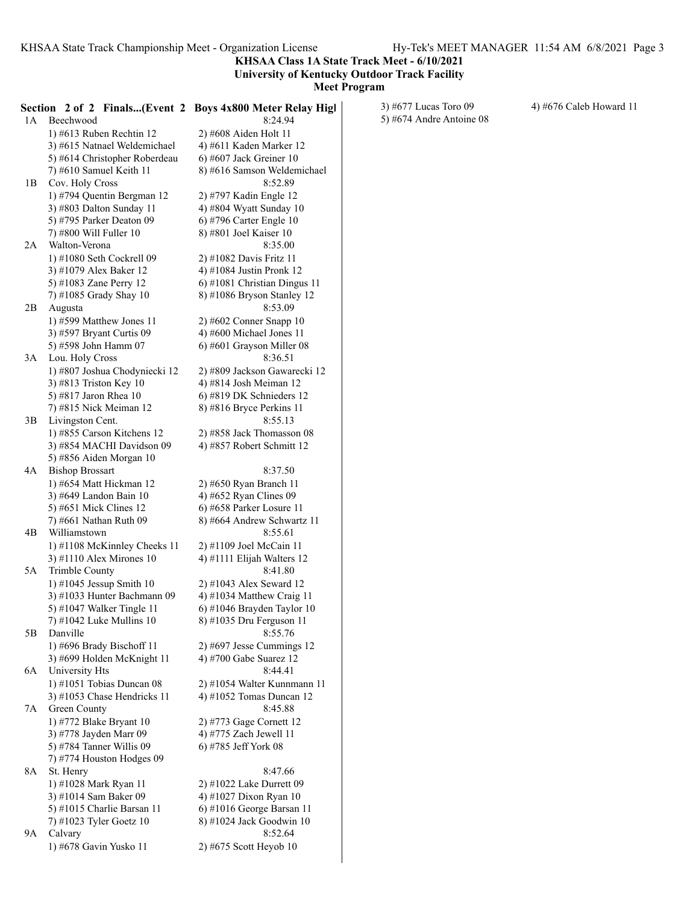## **KHSAA Class 1A State Track Meet - 6/10/2021 University of Kentucky Outdoor Track Facility**

| 1A   | Beechwood                                                 | Section 2 of 2 Finals(Event 2 Boys 4x800 Meter Relay High<br>8:24.94 | 3) #677 Lucas Toro 09<br>5) #674 Andre Antoine 08 | 4) #676 Caleb Howard 11 |
|------|-----------------------------------------------------------|----------------------------------------------------------------------|---------------------------------------------------|-------------------------|
|      | 1) #613 Ruben Rechtin $12$                                | 2) #608 Aiden Holt 11                                                |                                                   |                         |
|      | 3) #615 Natnael Weldemichael                              | 4) #611 Kaden Marker 12                                              |                                                   |                         |
|      | 5) #614 Christopher Roberdeau                             | 6) #607 Jack Greiner $10$                                            |                                                   |                         |
|      | 7) #610 Samuel Keith 11                                   | 8) #616 Samson Weldemichael                                          |                                                   |                         |
| 1B   | Cov. Holy Cross                                           | 8:52.89                                                              |                                                   |                         |
|      | 1) #794 Quentin Bergman 12                                | 2) #797 Kadin Engle 12                                               |                                                   |                         |
|      | 3) #803 Dalton Sunday 11                                  | 4) #804 Wyatt Sunday 10                                              |                                                   |                         |
|      | 5) #795 Parker Deaton 09                                  | 6) #796 Carter Engle 10                                              |                                                   |                         |
|      | 7) #800 Will Fuller 10                                    | 8) #801 Joel Kaiser 10                                               |                                                   |                         |
| 2A   | Walton-Verona                                             | 8:35.00                                                              |                                                   |                         |
|      | 1) #1080 Seth Cockrell 09                                 | 2) #1082 Davis Fritz 11                                              |                                                   |                         |
|      | 3) #1079 Alex Baker 12                                    | 4) #1084 Justin Pronk 12                                             |                                                   |                         |
|      | 5) #1083 Zane Perry 12                                    | $6$ ) #1081 Christian Dingus 11                                      |                                                   |                         |
|      | 7) #1085 Grady Shay 10                                    | 8) #1086 Bryson Stanley 12                                           |                                                   |                         |
| 2В   | Augusta                                                   | 8:53.09                                                              |                                                   |                         |
|      | 1) #599 Matthew Jones 11                                  | $2)$ #602 Conner Snapp 10                                            |                                                   |                         |
|      | 3) #597 Bryant Curtis 09<br>5) #598 John Hamm 07          | 4) #600 Michael Jones 11<br>$6$ ) #601 Grayson Miller 08             |                                                   |                         |
| 3A   | Lou. Holy Cross                                           | 8:36.51                                                              |                                                   |                         |
|      | 1) #807 Joshua Chodyniecki 12                             | 2) #809 Jackson Gawarecki 12                                         |                                                   |                         |
|      | 3) #813 Triston Key 10                                    | 4) #814 Josh Meiman 12                                               |                                                   |                         |
|      | 5) #817 Jaron Rhea 10                                     | 6) #819 DK Schnieders 12                                             |                                                   |                         |
|      | 7) #815 Nick Meiman 12                                    | 8) #816 Bryce Perkins 11                                             |                                                   |                         |
| 3В   | Livingston Cent.                                          | 8:55.13                                                              |                                                   |                         |
|      | 1) #855 Carson Kitchens 12                                | 2) #858 Jack Thomasson 08                                            |                                                   |                         |
|      | 3) #854 MACHI Davidson 09                                 | 4) #857 Robert Schmitt 12                                            |                                                   |                         |
|      | 5) #856 Aiden Morgan 10                                   |                                                                      |                                                   |                         |
| 4A   | <b>Bishop Brossart</b>                                    | 8:37.50                                                              |                                                   |                         |
|      | 1) #654 Matt Hickman 12                                   | 2) #650 Ryan Branch 11                                               |                                                   |                         |
|      | 3) #649 Landon Bain 10                                    | 4) #652 Ryan Clines 09                                               |                                                   |                         |
|      | 5) #651 Mick Clines 12                                    | 6) #658 Parker Losure 11                                             |                                                   |                         |
|      | 7) #661 Nathan Ruth 09                                    | 8) #664 Andrew Schwartz 11                                           |                                                   |                         |
| 4B   | Williamstown                                              | 8:55.61                                                              |                                                   |                         |
|      | 1) #1108 McKinnley Cheeks 11                              | 2) #1109 Joel McCain 11                                              |                                                   |                         |
|      | 3) #1110 Alex Mirones $10$                                | 4) #1111 Elijah Walters 12                                           |                                                   |                         |
| 5A   | Trimble County                                            | 8:41.80                                                              |                                                   |                         |
|      | 1) #1045 Jessup Smith $10$<br>3) #1033 Hunter Bachmann 09 | 2) #1043 Alex Seward 12<br>4) #1034 Matthew Craig 11                 |                                                   |                         |
|      | 5) #1047 Walker Tingle 11                                 | $(6)$ #1046 Brayden Taylor 10                                        |                                                   |                         |
|      | 7) #1042 Luke Mullins $10$                                | 8) #1035 Dru Ferguson 11                                             |                                                   |                         |
| 5Β   | Danville                                                  | 8:55.76                                                              |                                                   |                         |
|      | 1) #696 Brady Bischoff 11                                 | $2)$ #697 Jesse Cummings 12                                          |                                                   |                         |
|      | 3) #699 Holden McKnight 11                                | 4) #700 Gabe Suarez 12                                               |                                                   |                         |
| 6A   | University Hts                                            | 8:44.41                                                              |                                                   |                         |
|      | 1) #1051 Tobias Duncan $08$                               | 2) #1054 Walter Kunnmann 11                                          |                                                   |                         |
|      | 3) #1053 Chase Hendricks 11                               | 4) #1052 Tomas Duncan $12$                                           |                                                   |                         |
| 7A - | Green County                                              | 8:45.88                                                              |                                                   |                         |
|      | 1) #772 Blake Bryant 10                                   | 2) #773 Gage Cornett 12                                              |                                                   |                         |
|      | 3) #778 Jayden Marr 09                                    | 4) #775 Zach Jewell 11                                               |                                                   |                         |
|      | 5) #784 Tanner Willis 09                                  | 6) #785 Jeff York 08                                                 |                                                   |                         |
|      | 7) #774 Houston Hodges 09                                 |                                                                      |                                                   |                         |
| 8A - | St. Henry                                                 | 8:47.66                                                              |                                                   |                         |
|      | 1) #1028 Mark Ryan 11                                     | 2) #1022 Lake Durrett 09                                             |                                                   |                         |
|      | 3) #1014 Sam Baker 09<br>5) #1015 Charlie Barsan 11       | 4) #1027 Dixon Ryan 10<br>6) #1016 George Barsan 11                  |                                                   |                         |
|      | 7) #1023 Tyler Goetz 10                                   | 8) #1024 Jack Goodwin 10                                             |                                                   |                         |
| 9A   | Calvary                                                   | 8:52.64                                                              |                                                   |                         |
|      | 1) #678 Gavin Yusko 11                                    | 2) #675 Scott Heyob 10                                               |                                                   |                         |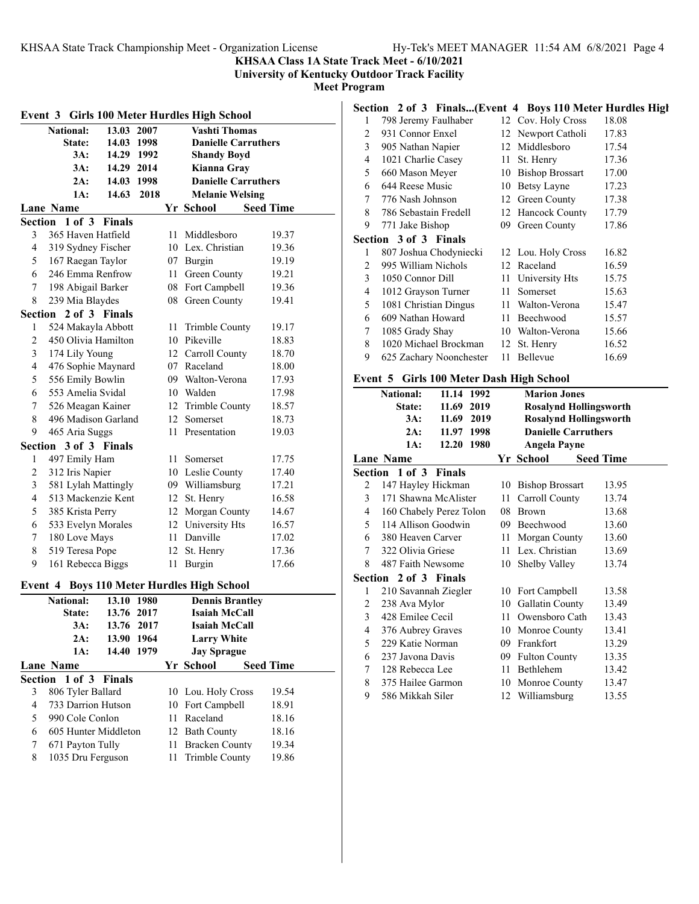**KHSAA Class 1A State Track Meet - 6/10/2021**

**University of Kentucky Outdoor Track Facility**

**Meet Program**

|                         | Event 3 Girls 100 Meter Hurdles High School               |               |      |                    |                                           |                  |  |  |
|-------------------------|-----------------------------------------------------------|---------------|------|--------------------|-------------------------------------------|------------------|--|--|
|                         | <b>Vashti Thomas</b><br><b>National:</b><br>13.03<br>2007 |               |      |                    |                                           |                  |  |  |
|                         | <b>State:</b>                                             | 14.03 1998    |      |                    | <b>Danielle Carruthers</b>                |                  |  |  |
|                         | 3A:                                                       | 14.29 1992    |      | <b>Shandy Boyd</b> |                                           |                  |  |  |
|                         | 3A:                                                       | 14.29 2014    |      |                    | Kianna Gray                               |                  |  |  |
|                         | 2A:                                                       | 14.03 1998    |      |                    | <b>Danielle Carruthers</b>                |                  |  |  |
|                         | 1A:                                                       | 14.63         | 2018 |                    | <b>Melanie Welsing</b>                    |                  |  |  |
|                         | <b>Lane Name</b>                                          |               |      |                    | Yr School                                 | <b>Seed Time</b> |  |  |
|                         | Section 1 of 3                                            | <b>Finals</b> |      |                    |                                           |                  |  |  |
| 3                       | 365 Haven Hatfield                                        |               |      | 11 -               | Middlesboro                               | 19.37            |  |  |
| $\overline{\mathbf{4}}$ | 319 Sydney Fischer                                        |               |      |                    | 10 Lex. Christian                         | 19.36            |  |  |
| 5                       | 167 Raegan Taylor                                         |               |      |                    | 07 Burgin                                 | 19.19            |  |  |
| 6                       | 246 Emma Renfrow                                          |               |      |                    | 11 Green County                           | 19.21            |  |  |
| 7                       | 198 Abigail Barker                                        |               |      |                    | 08 Fort Campbell                          | 19.36            |  |  |
| 8                       | 239 Mia Blaydes                                           |               |      |                    | 08 Green County                           | 19.41            |  |  |
|                         | Section 2 of 3 Finals                                     |               |      |                    |                                           |                  |  |  |
| 1                       | 524 Makayla Abbott<br>450 Olivia Hamilton                 |               |      |                    | 11 Trimble County                         | 19.17            |  |  |
| $\overline{2}$          |                                                           |               |      |                    | 10 Pikeville                              | 18.83            |  |  |
| 3<br>$\overline{4}$     | 174 Lily Young                                            |               |      |                    | 12 Carroll County<br>07 Raceland          | 18.70            |  |  |
|                         | 476 Sophie Maynard                                        |               |      |                    |                                           | 18.00            |  |  |
| 5                       | 556 Emily Bowlin                                          |               |      |                    | 09 Walton-Verona                          | 17.93            |  |  |
| 6                       | 553 Amelia Svidal                                         |               |      |                    | 10 Walden                                 | 17.98            |  |  |
| 7                       | 526 Meagan Kainer                                         |               |      |                    | 12 Trimble County                         | 18.57            |  |  |
| 8                       | 496 Madison Garland                                       |               |      |                    | 12 Somerset                               | 18.73            |  |  |
| 9                       | 465 Aria Suggs                                            |               |      | 11 -               | Presentation                              | 19.03            |  |  |
|                         | Section 3 of 3 Finals                                     |               |      |                    |                                           |                  |  |  |
| 1                       | 497 Emily Ham                                             |               |      |                    | 11 Somerset                               | 17.75            |  |  |
| $\overline{c}$<br>3     | 312 Iris Napier                                           |               |      |                    | 10 Leslie County                          | 17.40            |  |  |
| $\overline{\mathbf{4}}$ | 581 Lylah Mattingly<br>513 Mackenzie Kent                 |               |      |                    | 09 Williamsburg                           | 17.21<br>16.58   |  |  |
| 5                       |                                                           |               |      |                    | 12 St. Henry                              |                  |  |  |
|                         | 385 Krista Perry                                          |               |      |                    | 12 Morgan County                          | 14.67            |  |  |
| 6                       | 533 Evelyn Morales                                        |               |      |                    | 12 University Hts<br>11 Danville          | 16.57            |  |  |
| 7                       | 180 Love Mays                                             |               |      |                    |                                           | 17.02            |  |  |
| 8                       | 519 Teresa Pope                                           |               |      |                    | 12 St. Henry                              | 17.36            |  |  |
| 9                       | 161 Rebecca Biggs                                         |               |      |                    | 11 Burgin                                 | 17.66            |  |  |
| Event 4                 |                                                           |               |      |                    | <b>Boys 110 Meter Hurdles High School</b> |                  |  |  |
|                         | <b>National:</b>                                          | 13.10 1980    |      |                    | <b>Dennis Brantley</b>                    |                  |  |  |
|                         | State:                                                    | 13.76 2017    |      |                    | Isaiah McCall                             |                  |  |  |
|                         | 3A:                                                       | 13.76         | 2017 |                    | Isaiah McCall                             |                  |  |  |
|                         | $2A$ :                                                    | 13.90         | 1964 |                    | <b>Larry White</b>                        |                  |  |  |
|                         | 1A:                                                       | 14.40         | 1979 |                    | <b>Jay Sprague</b>                        |                  |  |  |
|                         | <b>Lane Name</b>                                          |               |      |                    | Yr School                                 | <b>Seed Time</b> |  |  |
| <b>Section</b>          | $1$ of $3$                                                | <b>Finals</b> |      |                    |                                           |                  |  |  |
| 3                       | 806 Tyler Ballard                                         |               |      |                    | 10 Lou. Holy Cross                        | 19.54            |  |  |
| $\overline{4}$          | 733 Darrion Hutson                                        |               |      |                    | 10 Fort Campbell                          | 18.91            |  |  |
| 5                       | 990 Cole Conlon                                           |               |      | 11                 | Raceland                                  | 18.16            |  |  |
| 6                       | 605 Hunter Middleton                                      |               |      |                    | 12 Bath County                            | 18.16            |  |  |
| 7                       | 671 Payton Tully                                          |               |      | 11                 | <b>Bracken County</b>                     | 19.34            |  |  |
| 8                       | 1035 Dru Ferguson                                         |               |      | 11                 | Trimble County                            | 19.86            |  |  |

## **Section 2 of 3 Finals...(Event 4 Boys 110 Meter Hurdles High**

| 1 | 798 Jeremy Faulhaber         |    | 12 Cov. Holy Cross     | 18.08 |
|---|------------------------------|----|------------------------|-------|
| 2 | 931 Connor Enxel             | 12 | Newport Catholi        | 17.83 |
| 3 | 905 Nathan Napier            | 12 | Middlesboro            | 17.54 |
| 4 | 1021 Charlie Casey           | 11 | St. Henry              | 17.36 |
| 5 | 660 Mason Meyer              | 10 | <b>Bishop Brossart</b> | 17.00 |
| 6 | 644 Reese Music              | 10 | Betsy Layne            | 17.23 |
| 7 | 776 Nash Johnson             | 12 | Green County           | 17.38 |
| 8 | 786 Sebastain Fredell        | 12 | Hancock County         | 17.79 |
| 9 | 771 Jake Bishop              | 09 | Green County           | 17.86 |
|   | <b>Section 3 of 3 Finals</b> |    |                        |       |
| 1 | 807 Joshua Chodyniecki       |    | 12 Lou. Holy Cross     | 16.82 |
| 2 | 995 William Nichols          | 12 | Raceland               | 16.59 |
| 3 | 1050 Connor Dill             | 11 | University Hts         | 15.75 |
| 4 | 1012 Grayson Turner          | 11 | Somerset               | 15.63 |
| 5 | 1081 Christian Dingus        | 11 | Walton-Verona          | 15.47 |
| 6 | 609 Nathan Howard            | 11 | Beechwood              | 15.57 |
| 7 | 1085 Grady Shay              | 10 | Walton-Verona          | 15.66 |
| 8 | 1020 Michael Brockman        | 12 | St. Henry              | 16.52 |
| 9 |                              | 11 | Bellevue               | 16.69 |
|   | 625 Zachary Noonchester      |    |                        |       |

## **Event 5 Girls 100 Meter Dash High School**

|   | <b>National:</b>      | 11.14 1992              |    | <b>Marion Jones</b>           |                  |
|---|-----------------------|-------------------------|----|-------------------------------|------------------|
|   | State:                | 11.69 2019              |    | <b>Rosalynd Hollingsworth</b> |                  |
|   | 3A:                   | 11.69 2019              |    | <b>Rosalynd Hollingsworth</b> |                  |
|   | 2A:                   | 11.97 1998              |    | <b>Danielle Carruthers</b>    |                  |
|   | 1A:                   | 12.20 1980              |    | <b>Angela Payne</b>           |                  |
|   | Lane Name             |                         |    | Yr School                     | <b>Seed Time</b> |
|   | Section 1 of 3 Finals |                         |    |                               |                  |
| 2 | 147 Hayley Hickman    |                         |    | 10 Bishop Brossart            | 13.95            |
| 3 | 171 Shawna McAlister  |                         |    | 11 Carroll County             | 13.74            |
| 4 |                       | 160 Chabely Perez Tolon |    | 08 Brown                      | 13.68            |
| 5 | 114 Allison Goodwin   |                         |    | 09 Beechwood                  | 13.60            |
| 6 | 380 Heaven Carver     |                         | 11 | Morgan County                 | 13.60            |
| 7 | 322 Olivia Griese     |                         |    | 11 Lex. Christian             | 13.69            |
| 8 | 487 Faith Newsome     |                         |    | 10 Shelby Valley              | 13.74            |
|   | Section 2 of 3 Finals |                         |    |                               |                  |
| 1 | 210 Savannah Ziegler  |                         |    | 10 Fort Campbell              | 13.58            |
| 2 | 238 Ava Mylor         |                         |    | 10 Gallatin County            | 13.49            |
| 3 | 428 Emilee Cecil      |                         |    | 11 Owensboro Cath             | 13.43            |
| 4 | 376 Aubrey Graves     |                         |    | 10 Monroe County              | 13.41            |
| 5 | 229 Katie Norman      |                         |    | 09 Frankfort                  | 13.29            |
| 6 | 237 Javona Davis      |                         |    | 09 Fulton County              | 13.35            |
| 7 | 128 Rebecca Lee       |                         |    | 11 Bethlehem                  | 13.42            |
| 8 | 375 Hailee Garmon     |                         |    | 10 Monroe County              | 13.47            |
| 9 | 586 Mikkah Siler      |                         |    | 12 Williamsburg               | 13.55            |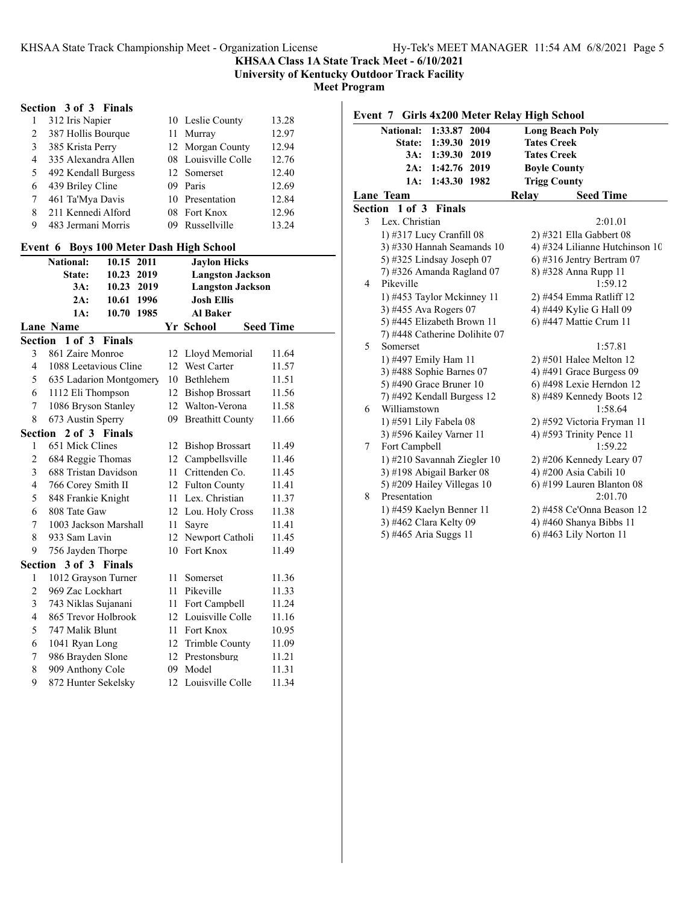**University of Kentucky Outdoor Track Facility**

**Meet Program**

## **Section 3 of 3 Finals**

|   | 312 Iris Napier     |     | 10 Leslie County    | 13.28 |
|---|---------------------|-----|---------------------|-------|
| 2 | 387 Hollis Bourque  |     | 11 Murray           | 12.97 |
| 3 | 385 Krista Perry    |     | 12 Morgan County    | 12.94 |
| 4 | 335 Alexandra Allen |     | 08 Louisville Colle | 12.76 |
| 5 | 492 Kendall Burgess |     | 12 Somerset         | 12.40 |
| 6 | 439 Briley Cline    | 09. | Paris               | 12.69 |
|   | 461 Ta'Mya Davis    |     | 10 Presentation     | 12.84 |
| 8 | 211 Kennedi Alford  |     | 08 Fort Knox        | 12.96 |
| 9 | 483 Jermani Morris  |     | Russellville        | 13.24 |

## **Event 6 Boys 100 Meter Dash High School**

|                | <b>National:</b>        | 10.15      | 2011 | <b>Jaylon Hicks</b> |                         |                  |  |
|----------------|-------------------------|------------|------|---------------------|-------------------------|------------------|--|
|                | State:                  | 10.23      | 2019 |                     | <b>Langston Jackson</b> |                  |  |
|                | 3A:                     | 10.23      | 2019 |                     | <b>Langston Jackson</b> |                  |  |
|                | 2A:                     | 10.61 1996 |      |                     | <b>Josh Ellis</b>       |                  |  |
|                | 1A:                     | 10.70 1985 |      |                     | <b>Al Baker</b>         |                  |  |
|                | <b>Lane Name</b>        |            |      |                     | Yr School               | <b>Seed Time</b> |  |
|                | Section 1 of 3 Finals   |            |      |                     |                         |                  |  |
| 3              | 861 Zaire Monroe        |            |      | 12                  | Lloyd Memorial          | 11.64            |  |
| $\overline{4}$ | 1088 Leetavious Cline   |            |      | 12                  | <b>West Carter</b>      | 11.57            |  |
| 5              | 635 Ladarion Montgomery |            |      | 10                  | <b>Bethlehem</b>        | 11.51            |  |
| 6              | 1112 Eli Thompson       |            |      |                     | 12 Bishop Brossart      | 11.56            |  |
| 7              | 1086 Bryson Stanley     |            |      |                     | 12 Walton-Verona        | 11.58            |  |
| 8              | 673 Austin Sperry       |            |      | 09                  | <b>Breathitt County</b> | 11.66            |  |
| Section        | 2 of 3 Finals           |            |      |                     |                         |                  |  |
| $\mathbf{1}$   | 651 Mick Clines         |            |      | 12                  | <b>Bishop Brossart</b>  | 11.49            |  |
| $\overline{c}$ | 684 Reggie Thomas       |            |      | 12                  | Campbellsville          | 11.46            |  |
| 3              | 688 Tristan Davidson    |            | 11   | Crittenden Co.      | 11.45                   |                  |  |
| $\overline{4}$ | 766 Corey Smith II      |            |      | 12 Fulton County    | 11.41                   |                  |  |
| 5              | 848 Frankie Knight      |            |      | 11                  | Lex. Christian          | 11.37            |  |
| 6              | 808 Tate Gaw            |            |      |                     | 12 Lou. Holy Cross      | 11.38            |  |
| 7              | 1003 Jackson Marshall   |            |      | 11                  | Sayre                   | 11.41            |  |
| 8              | 933 Sam Lavin           |            |      | 12                  | Newport Catholi         | 11.45            |  |
| 9              | 756 Jayden Thorpe       |            |      | 10                  | Fort Knox               | 11.49            |  |
|                | Section 3 of 3 Finals   |            |      |                     |                         |                  |  |
| 1              | 1012 Grayson Turner     |            |      | 11                  | Somerset                | 11.36            |  |
| $\overline{2}$ | 969 Zac Lockhart        |            |      | 11                  | Pikeville               | 11.33            |  |
| 3              | 743 Niklas Sujanani     |            |      | 11                  | Fort Campbell           | 11.24            |  |
| $\overline{4}$ | 865 Trevor Holbrook     |            |      |                     | 12 Louisville Colle     | 11.16            |  |
| 5              | 747 Malik Blunt         |            |      | 11                  | Fort Knox               | 10.95            |  |
| 6              | 1041 Ryan Long          |            |      | 12                  | Trimble County          | 11.09            |  |
| 7              | 986 Brayden Slone       |            |      |                     | 12 Prestonsburg         | 11.21            |  |
| 8              | 909 Anthony Cole        |            |      | 09                  | Model                   | 11.31            |  |
| 9              | 872 Hunter Sekelsky     |            |      | 12                  | Louisville Colle        | 11.34            |  |

|   | Event 7 Girls 4x200 Meter Relay High School |                                |
|---|---------------------------------------------|--------------------------------|
|   | <b>National:</b><br>1:33.87<br>2004         | <b>Long Beach Poly</b>         |
|   | 1:39.30<br>2019<br>State:                   | <b>Tates Creek</b>             |
|   | 3A:<br>1:39.30<br>2019                      | <b>Tates Creek</b>             |
|   | 2A: 1:42.76 2019                            | <b>Boyle County</b>            |
|   | 1:43.30 1982<br>1A:                         | <b>Trigg County</b>            |
|   | Lane Team                                   | Relay<br><b>Seed Time</b>      |
|   | <b>Section 1 of 3 Finals</b>                |                                |
| 3 | Lex. Christian                              | 2:01.01                        |
|   | 1) #317 Lucy Cranfill 08                    | 2) #321 Ella Gabbert 08        |
|   | 3) #330 Hannah Seamands 10                  | 4) #324 Lilianne Hutchinson 10 |
|   | 5) #325 Lindsay Joseph 07                   | $6$ ) #316 Jentry Bertram 07   |
|   | 7) #326 Amanda Ragland 07                   | 8) #328 Anna Rupp 11           |
| 4 | Pikeville                                   | 1:59.12                        |
|   | 1) #453 Taylor Mckinney 11                  | 2) #454 Emma Ratliff 12        |
|   | 3) #455 Ava Rogers 07                       | 4) #449 Kylie G Hall 09        |
|   | 5) #445 Elizabeth Brown 11                  | 6) #447 Mattie Crum 11         |
|   | 7) #448 Catherine Dolihite 07               |                                |
| 5 | Somerset                                    | 1:57.81                        |
|   | 1) #497 Emily Ham 11                        | $2)$ #501 Halee Melton 12      |
|   | 3) #488 Sophie Barnes 07                    | 4) #491 Grace Burgess $09$     |
|   | 5) #490 Grace Bruner 10                     | 6) #498 Lexie Herndon 12       |
|   | 7) #492 Kendall Burgess 12                  | 8) #489 Kennedy Boots 12       |
| 6 | Williamstown                                | 1:58.64                        |
|   | 1) #591 Lily Fabela 08                      | 2) #592 Victoria Fryman 11     |
|   | 3) #596 Kailey Varner 11                    | 4) #593 Trinity Pence $11$     |
| 7 | Fort Campbell                               | 1:59.22                        |
|   | 1) #210 Savannah Ziegler 10                 | $2)$ #206 Kennedy Leary 07     |
|   | 3) #198 Abigail Barker 08                   | 4) #200 Asia Cabili 10         |
|   | 5) #209 Hailey Villegas 10                  | $6)$ #199 Lauren Blanton 08    |
| 8 | Presentation                                | 2:01.70                        |
|   | 1) #459 Kaelyn Benner 11                    | 2) #458 Ce'Onna Beason 12      |
|   | 3) #462 Clara Kelty 09                      | 4) #460 Shanya Bibbs 11        |
|   | 5) #465 Aria Suggs 11                       | 6) #463 Lily Norton 11         |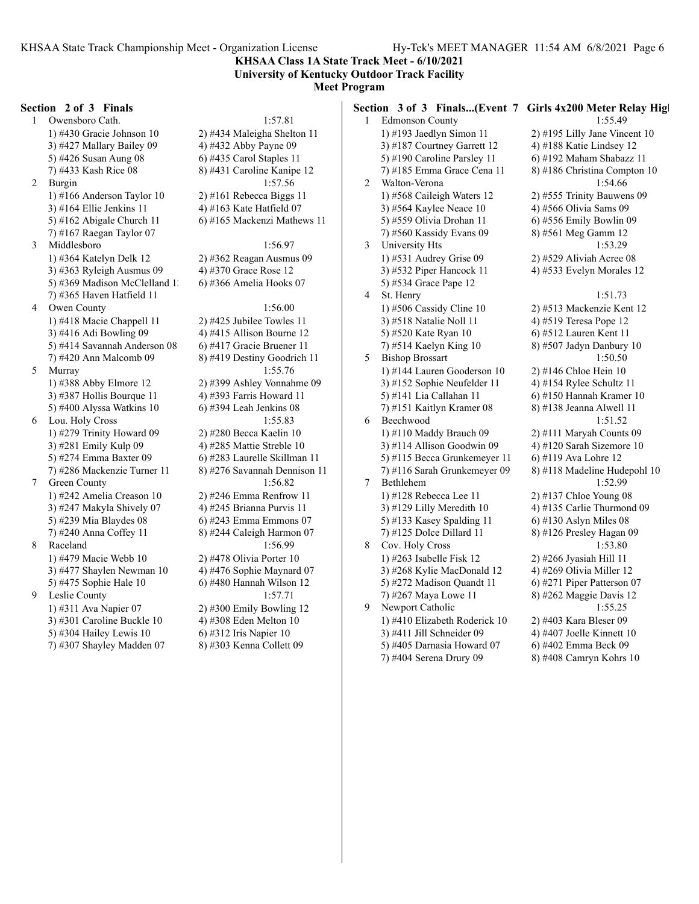**KHSAA Class 1A State Track Meet - 6/10/2021 University of Kentucky Outdoor Track Facility**

## **Meet Program**

#### **Section 2 of 3 Finals**

1 Owensboro Cath. 1:57.81 1) #430 Gracie Johnson 10 2) #434 Maleigha Shelton 11 3) #427 Mallary Bailey 09  $\qquad \qquad$  4) #432 Abby Payne 09 5) #426 Susan Aung 08 6) #435 Carol Staples 11 7) #433 Kash Rice 08 8) #431 Caroline Kanipe 12 2 Burgin 1:57.56 1) #166 Anderson Taylor 10 2) #161 Rebecca Biggs 11 3)  $\#164$  Ellie Jenkins 11 4)  $\#163$  Kate Hatfield 07 5) #162 Abigale Church 11  $\qquad$  6) #165 Mackenzi Mathews 11 7) #167 Raegan Taylor 07 3 Middlesboro 1:56.97 1) #364 Katelyn Delk 12 2) #362 Reagan Ausmus 09 3) #363 Ryleigh Ausmus 09 4) #370 Grace Rose 12 5) #369 Madison McClelland 1. 6) #366 Amelia Hooks 07 7) #365 Haven Hatfield 11 4 Owen County 1:56.00 1) #418 Macie Chappell 11 2) #425 Jubilee Towles 11 3) #416 Adi Bowling  $09 \t 4$  +415 Allison Bourne 12 5) #414 Savannah Anderson  $08$  6) #417 Gracie Bruener 11 7) #420 Ann Malcomb 09 8) #419 Destiny Goodrich 11 5 Murray 1:55.76 1) #388 Abby Elmore 12 2) #399 Ashley Vonnahme 09 3) #387 Hollis Bourque 11  $\qquad$  4) #393 Farris Howard 11 5) #400 Alyssa Watkins 10 6) #394 Leah Jenkins 08 6 Lou. Holy Cross 1:55.83 1) #279 Trinity Howard 09 2) #280 Becca Kaelin 10 3) #281 Emily Kulp 09 4) #285 Mattie Streble 10 5) #274 Emma Baxter 09 6) #283 Laurelle Skillman 11 7) #286 Mackenzie Turner 11 8) #276 Savannah Dennison 11 7 Green County 1:56.82 1) #242 Amelia Creason 10 2) #246 Emma Renfrow 11 3) #247 Makyla Shively 07 4) #245 Brianna Purvis 11 5) #239 Mia Blaydes 08 6) #243 Emma Emmons 07 7) #240 Anna Coffey 11 8) #244 Caleigh Harmon 07 8 Raceland 1:56.99 1) #479 Macie Webb 10 2) #478 Olivia Porter 10 3) #477 Shaylen Newman 10  $\qquad$  4) #476 Sophie Maynard 07 5) #475 Sophie Hale 10 6) #480 Hannah Wilson 12 9 Leslie County 1:57.71 1) #311 Ava Napier 07 2) #300 Emily Bowling 12 3) #301 Caroline Buckle 10  $\qquad$  4) #308 Eden Melton 10 5) #304 Hailey Lewis 10 6) #312 Iris Napier 10

7) #307 Shayley Madden 07 8) #303 Kenna Collett 09

|   |                                                       | Section 3 of 3 Finals(Event 7 Girls 4x200 Meter Relay High |
|---|-------------------------------------------------------|------------------------------------------------------------|
| 1 | <b>Edmonson County</b>                                | 1:55.49                                                    |
|   | 1) #193 Jaedlyn Simon 11                              | 2) #195 Lilly Jane Vincent 10                              |
|   | 3) #187 Courtney Garrett 12                           | 4) #188 Katie Lindsey 12                                   |
|   | 5) #190 Caroline Parsley 11                           | 6) #192 Maham Shabazz 11                                   |
|   | 7) #185 Emma Grace Cena 11                            | 8) #186 Christina Compton 10                               |
| 2 | Walton-Verona                                         | 1:54.66                                                    |
|   | 1) #568 Caileigh Waters 12                            | 2) #555 Trinity Bauwens 09                                 |
|   | 3) #564 Kaylee Neace 10                               | 4) #566 Olivia Sams 09                                     |
|   | 5) #559 Olivia Drohan 11                              | 6) #556 Emily Bowlin 09                                    |
|   | 7) #560 Kassidy Evans 09                              | 8) #561 Meg Gamm 12                                        |
| 3 | University Hts                                        | 1:53.29                                                    |
|   | 1) #531 Audrey Grise 09                               | 2) #529 Aliviah Acree 08                                   |
|   | 3) #532 Piper Hancock 11                              | 4) #533 Evelyn Morales 12                                  |
|   | 5) #534 Grace Pape 12                                 |                                                            |
| 4 | St. Henry                                             | 1:51.73                                                    |
|   | 1) #506 Cassidy Cline 10                              | 2) #513 Mackenzie Kent 12                                  |
|   | 3) #518 Natalie Noll 11                               | 4) #519 Teresa Pope 12                                     |
|   | 5) #520 Kate Ryan 10                                  | 6) #512 Lauren Kent 11                                     |
|   | 7) #514 Kaelyn King 10                                | 8) #507 Jadyn Danbury 10                                   |
| 5 | <b>Bishop Brossart</b>                                | 1:50.50                                                    |
|   | 1) #144 Lauren Gooderson 10                           | 2) #146 Chloe Hein 10                                      |
|   | 3) #152 Sophie Neufelder 11                           | 4) #154 Rylee Schultz 11                                   |
|   | 5) #141 Lia Callahan 11                               | 6) #150 Hannah Kramer 10                                   |
| 6 | 7) #151 Kaitlyn Kramer 08<br>Beechwood                | 8) #138 Jeanna Alwell 11                                   |
|   |                                                       | 1:51.52<br>2) #111 Maryah Counts 09                        |
|   | 1) #110 Maddy Brauch 09<br>3) #114 Allison Goodwin 09 | 4) #120 Sarah Sizemore 10                                  |
|   | 5) #115 Becca Grunkemeyer 11                          | 6) #119 Ava Lohre 12                                       |
|   | 7) #116 Sarah Grunkemeyer 09                          | 8) #118 Madeline Hudepohl 10                               |
| 7 | Bethlehem                                             | 1:52.99                                                    |
|   | 1) #128 Rebecca Lee 11                                | 2) #137 Chloe Young 08                                     |
|   | 3) #129 Lilly Meredith 10                             | 4) #135 Carlie Thurmond 09                                 |
|   | 5) #133 Kasey Spalding 11                             | $6$ ) #130 Aslyn Miles 08                                  |
|   | 7) #125 Dolce Dillard 11                              | 8) #126 Presley Hagan 09                                   |
| 8 | Cov. Holy Cross                                       | 1:53.80                                                    |
|   | 1) #263 Isabelle Fisk 12                              | 2) #266 Jyasiah Hill 11                                    |
|   | 3) #268 Kylie MacDonald 12                            | 4) #269 Olivia Miller 12                                   |
|   | 5) #272 Madison Quandt 11                             | 6) #271 Piper Patterson 07                                 |
|   | 7) #267 Maya Lowe 11                                  | 8) #262 Maggie Davis 12                                    |
| 9 | Newport Catholic                                      | 1:55.25                                                    |
|   | 1) #410 Elizabeth Roderick 10                         | 2) #403 Kara Bleser 09                                     |
|   | 3) #411 Jill Schneider 09                             | 4) #407 Joelle Kinnett 10                                  |
|   | 5) #405 Darnasia Howard 07                            | 6) #402 Emma Beck 09                                       |
|   | 7) #404 Serena Drury 09                               | 8) #408 Camryn Kohrs 10                                    |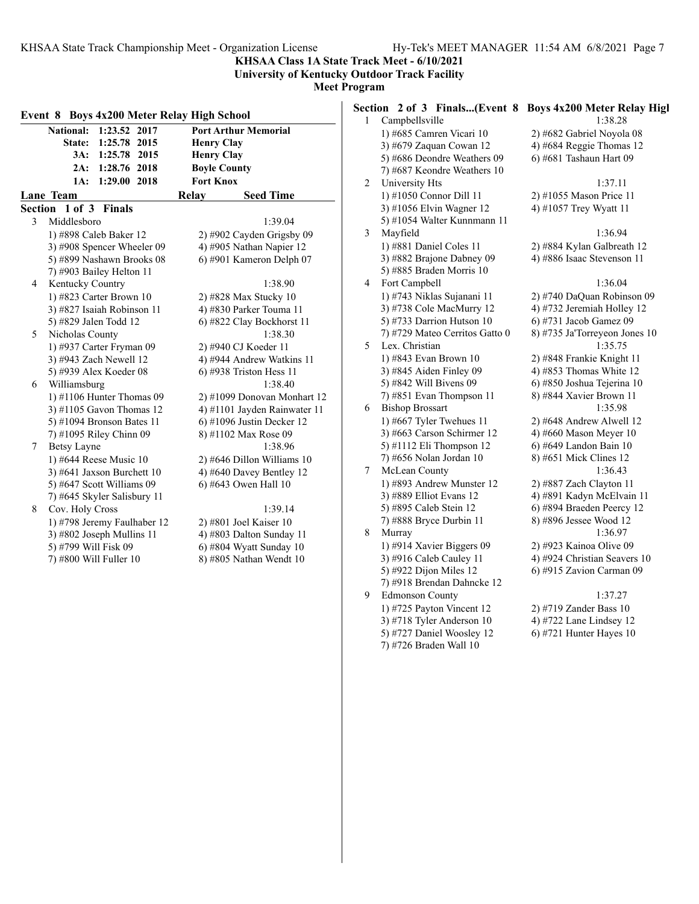**KHSAA Class 1A State Track Meet - 6/10/2021 University of Kentucky Outdoor Track Facility**

**Meet Program**

| Event 8 Boys 4x200 Meter Relay High School |                             |                              |  |  |  |
|--------------------------------------------|-----------------------------|------------------------------|--|--|--|
|                                            | National: 1:23.52 2017      | <b>Port Arthur Memorial</b>  |  |  |  |
|                                            | State: 1:25.78 2015         | <b>Henry Clay</b>            |  |  |  |
|                                            | 3A: 1:25.78 2015            | <b>Henry Clay</b>            |  |  |  |
|                                            | 2A: 1:28.76 2018            | <b>Boyle County</b>          |  |  |  |
|                                            | 1:29.00 2018<br>1A:         | <b>Fort Knox</b>             |  |  |  |
|                                            | Lane Team                   | <b>Seed Time</b><br>Relay    |  |  |  |
|                                            | Section 1 of 3 Finals       |                              |  |  |  |
| 3                                          | Middlesboro                 | 1:39.04                      |  |  |  |
|                                            | 1) #898 Caleb Baker 12      | 2) #902 Cayden Grigsby 09    |  |  |  |
|                                            | 3) #908 Spencer Wheeler 09  | 4) #905 Nathan Napier 12     |  |  |  |
|                                            | 5) #899 Nashawn Brooks 08   | 6) #901 Kameron Delph 07     |  |  |  |
|                                            | 7) #903 Bailey Helton 11    |                              |  |  |  |
| 4                                          | Kentucky Country            | 1:38.90                      |  |  |  |
|                                            | 1) #823 Carter Brown 10     | 2) #828 Max Stucky 10        |  |  |  |
|                                            | 3) #827 Isaiah Robinson 11  | 4) #830 Parker Touma 11      |  |  |  |
|                                            | 5) #829 Jalen Todd 12       | 6) #822 Clay Bockhorst 11    |  |  |  |
| 5                                          | Nicholas County             | 1:38.30                      |  |  |  |
|                                            | 1) #937 Carter Fryman 09    | 2) #940 CJ Koeder 11         |  |  |  |
|                                            | 3) #943 Zach Newell 12      | 4) #944 Andrew Watkins 11    |  |  |  |
|                                            | 5) #939 Alex Koeder 08      | $6$ ) #938 Triston Hess 11   |  |  |  |
| 6                                          | Williamsburg                | 1:38.40                      |  |  |  |
|                                            | 1) #1106 Hunter Thomas $09$ | 2) #1099 Donovan Monhart 12  |  |  |  |
|                                            | $3)$ #1105 Gavon Thomas 12  | 4) #1101 Jayden Rainwater 11 |  |  |  |
|                                            | 5) #1094 Bronson Bates 11   | 6) #1096 Justin Decker 12    |  |  |  |
|                                            | 7) #1095 Riley Chinn 09     | 8) #1102 Max Rose 09         |  |  |  |
| 7                                          | <b>Betsy Layne</b>          | 1:38.96                      |  |  |  |
|                                            | 1) #644 Reese Music 10      | $2)$ #646 Dillon Williams 10 |  |  |  |
|                                            | 3) #641 Jaxson Burchett 10  | 4) #640 Davey Bentley 12     |  |  |  |
|                                            | 5) #647 Scott Williams 09   | 6) #643 Owen Hall 10         |  |  |  |
|                                            | 7) #645 Skyler Salisbury 11 |                              |  |  |  |
| 8                                          | Cov. Holy Cross             | 1:39.14                      |  |  |  |
|                                            | 1) #798 Jeremy Faulhaber 12 | 2) #801 Joel Kaiser 10       |  |  |  |
|                                            | 3) #802 Joseph Mullins 11   | 4) #803 Dalton Sunday 11     |  |  |  |
|                                            | 5) #799 Will Fisk 09        | 6) #804 Wyatt Sunday 10      |  |  |  |
|                                            | 7) #800 Will Fuller 10      | 8) #805 Nathan Wendt 10      |  |  |  |

#### **Section 2 of 3 Finals...(Event 8 Boys 4x200 Meter Relay High** 1 Campbellsville 1:38.28 1) #685 Camren Vicari 10 2) #682 Gabriel Noyola 08 3) #679 Zaquan Cowan 12  $\qquad$  4) #684 Reggie Thomas 12 5) #686 Deondre Weathers 09  $\qquad$  6) #681 Tashaun Hart 09 7) #687 Keondre Weathers 10 2 University Hts 1:37.11 1) #1050 Connor Dill 11 2) #1055 Mason Price 11 3) #1056 Elvin Wagner 12 4) #1057 Trey Wyatt 11 5) #1054 Walter Kunnmann 11 3 Mayfield 1:36.94 1) #881 Daniel Coles 11 2) #884 Kylan Galbreath 12 3) #882 Brajone Dabney 09 4) #886 Isaac Stevenson 11 5) #885 Braden Morris 10 4 Fort Campbell 1:36.04 1) #743 Niklas Sujanani 11 2) #740 DaQuan Robinson 09 3) #738 Cole MacMurry 12 4) #732 Jeremiah Holley 12 5) #733 Darrion Hutson 10 6) #731 Jacob Gamez 09 7) #729 Mateo Cerritos Gatto 0 8) #735 Ja'Torreyeon Jones 10 5 Lex. Christian 1:35.75 1) #843 Evan Brown 10 2) #848 Frankie Knight 11 3)  $\#845$  Aiden Finley 09 4)  $\#853$  Thomas White 12 5) #842 Will Bivens 09 6) #850 Joshua Tejerina 10 7) #851 Evan Thompson 11 8) #844 Xavier Brown 11 6 Bishop Brossart 1:35.98 1) #667 Tyler Twehues 11 2) #648 Andrew Alwell 12 3) #663 Carson Schirmer 12  $\qquad \qquad$  4) #660 Mason Meyer 10 5) #1112 Eli Thompson 12 6) #649 Landon Bain 10 7) #656 Nolan Jordan 10 8) #651 Mick Clines 12 7 McLean County 1:36.43 1) #893 Andrew Munster 12 2) #887 Zach Clayton 11 3) #889 Elliot Evans 12 4) #891 Kadyn McElvain 11 5) #895 Caleb Stein 12 6) #894 Braeden Peercy 12 7) #888 Bryce Durbin 11 8) #896 Jessee Wood 12 8 Murray 1:36.97 1) #914 Xavier Biggers 09 2) #923 Kainoa Olive 09 3) #916 Caleb Cauley 11 4) #924 Christian Seavers 10 5) #922 Dijon Miles 12 6) #915 Zavion Carman 09 7) #918 Brendan Dahncke 12

7) #726 Braden Wall 10

9 Edmonson County 1:37.27

1) #725 Payton Vincent 12 2) #719 Zander Bass 10 3) #718 Tyler Anderson 10 4) #722 Lane Lindsey 12

5) #727 Daniel Woosley 12  $\qquad$  6) #721 Hunter Hayes 10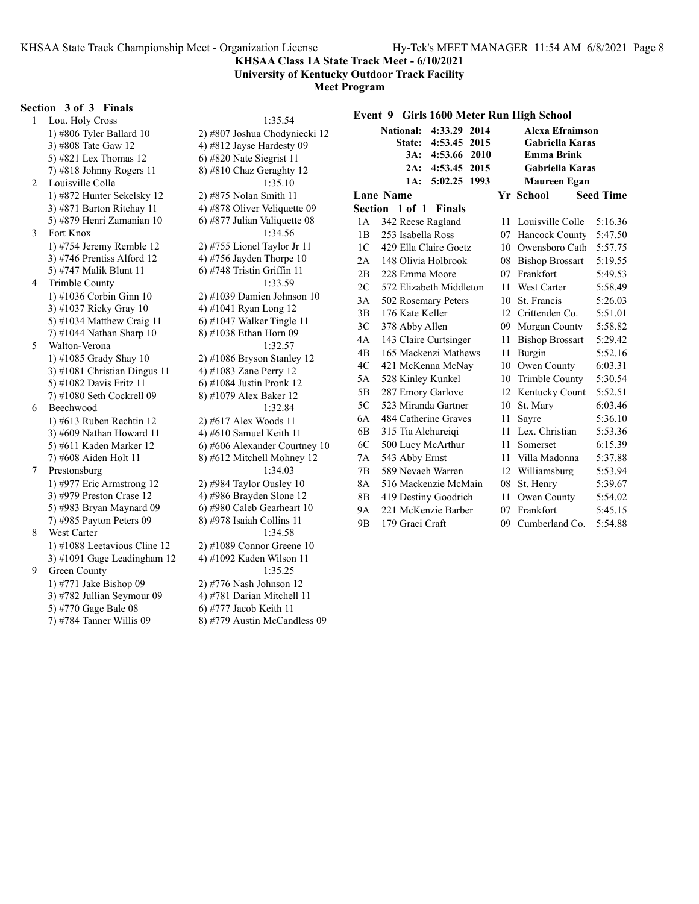#### **KHSAA Class 1A State Track Meet - 6/10/2021 University of Kentucky Outdoor Track Facility**

**Meet Program**

#### **Section 3 of 3 Finals**

1 Lou. Holy Cross 1:35.54<br>1) #806 Tyler Ballard 10 2) #807 Joshua Chodyn 3) #808 Tate Gaw 12 4) #812 Jayse Hardesty 09 5) #821 Lex Thomas 12 6) #820 Nate Siegrist 11 7) #818 Johnny Rogers 11 8) #810 Chaz Geraghty 12 2 Louisville Colle 1:35.10 1) #872 Hunter Sekelsky 12 2) #875 Nolan Smith 11 3)  $\#871$  Barton Ritchay 11  $\qquad \qquad$  4)  $\#878$  Oliver Veliquette 09 5) #879 Henri Zamanian 10  $\qquad$  6) #877 Julian Valiquette 08 3 Fort Knox 1:34.56 1) #754 Jeremy Remble 12 2) #755 Lionel Taylor Jr 11 3) #746 Prentiss Alford 12  $\qquad \qquad$  4) #756 Jayden Thorpe 10 5) #747 Malik Blunt 11 6) #748 Tristin Griffin 11 4 Trimble County 1:33.59 1) #1036 Corbin Ginn 10 2) #1039 Damien Johnson 10 3) #1037 Ricky Gray 10 4) #1041 Ryan Long 12 5) #1034 Matthew Craig 11 6) #1047 Walker Tingle 11<br>
7) #1044 Nathan Sharp 10 8) #1038 Ethan Horn 09 7) #1044 Nathan Sharp  $10$ 5 Walton-Verona 1:32.57 1) #1085 Grady Shay 10 2) #1086 Bryson Stanley 12 3) #1081 Christian Dingus 11  $\qquad$  4) #1083 Zane Perry 12 5) #1082 Davis Fritz 11 6) #1084 Justin Pronk 12 7) #1080 Seth Cockrell 09 8) #1079 Alex Baker 12 6 Beechwood 1:32.84 1) #613 Ruben Rechtin 12 2) #617 Alex Woods 11 3) #609 Nathan Howard 11  $\qquad$  4) #610 Samuel Keith 11 5) #611 Kaden Marker 12 6) #606 Alexander Courtney 10 7) #608 Aiden Holt 11 8) #612 Mitchell Mohney 12 7 Prestonsburg 1:34.03 1) #977 Eric Armstrong 12 2) #984 Taylor Ousley 10 3) #979 Preston Crase 12 4) #986 Brayden Slone 12 5) #983 Bryan Maynard 09 6) #980 Caleb Gearheart 10 7) #985 Payton Peters 09 8) #978 Isaiah Collins 11 8 West Carter 1:34.58 1) #1088 Leetavious Cline 12 2) #1089 Connor Greene 10<br>3) #1091 Gage Leadingham 12 4) #1092 Kaden Wilson 11 3) #1091 Gage Leadingham  $12$ 9 Green County 1:35.25 1) #771 Jake Bishop 09 2) #776 Nash Johnson 12 3) #782 Jullian Seymour 09 4) #781 Darian Mitchell 11 5) #770 Gage Bale 08 6) #777 Jacob Keith 11

2) #807 Joshua Chodyniecki 12 7) #784 Tanner Willis 09 8) #779 Austin McCandless 09

| Event 9 Girls 1600 Meter Run High School |                                            |      |                        |         |  |  |  |  |  |
|------------------------------------------|--------------------------------------------|------|------------------------|---------|--|--|--|--|--|
|                                          | 4:33.29 2014<br><b>National:</b>           |      | <b>Alexa Efraimson</b> |         |  |  |  |  |  |
|                                          | <b>State:</b><br>4:53.45<br>2015           |      | <b>Gabriella Karas</b> |         |  |  |  |  |  |
|                                          | 2010<br>3A:<br>4:53.66                     |      | <b>Emma Brink</b>      |         |  |  |  |  |  |
|                                          | 2A: 4:53.45 2015                           |      | <b>Gabriella Karas</b> |         |  |  |  |  |  |
|                                          | 5:02.25 1993<br>1A:                        |      | Maureen Egan           |         |  |  |  |  |  |
|                                          | Yr School<br><b>Seed Time</b><br>Lane Name |      |                        |         |  |  |  |  |  |
|                                          | Section 1 of 1 Finals                      |      |                        |         |  |  |  |  |  |
| 1А                                       | 342 Reese Ragland                          | 11   | Louisville Colle       | 5:16.36 |  |  |  |  |  |
| 1B                                       | 253 Isabella Ross                          |      | 07 Hancock County      | 5:47.50 |  |  |  |  |  |
| 1 <sup>C</sup>                           | 429 Ella Claire Goetz                      |      | 10 Owensboro Cath      | 5:57.75 |  |  |  |  |  |
| 2A                                       | 148 Olivia Holbrook                        |      | 08 Bishop Brossart     | 5:19.55 |  |  |  |  |  |
| 2B                                       | 228 Emme Moore                             |      | 07 Frankfort           | 5:49.53 |  |  |  |  |  |
| 2C                                       | 572 Elizabeth Middleton                    |      | 11 West Carter         | 5:58.49 |  |  |  |  |  |
| 3A                                       | 502 Rosemary Peters                        | 10   | St. Francis            | 5:26.03 |  |  |  |  |  |
| 3B                                       | 176 Kate Keller                            |      | 12 Crittenden Co.      | 5:51.01 |  |  |  |  |  |
| 3C                                       | 378 Abby Allen                             |      | 09 Morgan County       | 5:58.82 |  |  |  |  |  |
| 4A                                       | 143 Claire Curtsinger                      |      | 11 Bishop Brossart     | 5:29.42 |  |  |  |  |  |
| 4B                                       | 165 Mackenzi Mathews                       |      | 11 Burgin              | 5:52.16 |  |  |  |  |  |
| 4C                                       | 421 McKenna McNay                          |      | 10 Owen County         | 6:03.31 |  |  |  |  |  |
| 5A                                       | 528 Kinley Kunkel                          |      | 10 Trimble County      | 5:30.54 |  |  |  |  |  |
| 5B                                       | 287 Emory Garlove                          |      | 12 Kentucky Count      | 5:52.51 |  |  |  |  |  |
| 5C                                       | 523 Miranda Gartner                        | 10   | St. Marv               | 6:03.46 |  |  |  |  |  |
| 6A                                       | 484 Catherine Graves                       | 11   | Sayre                  | 5:36.10 |  |  |  |  |  |
| 6B                                       | 315 Tia Alchureigi                         |      | 11 Lex. Christian      | 5:53.36 |  |  |  |  |  |
| 6C                                       | 500 Lucy McArthur                          | 11 - | Somerset               | 6:15.39 |  |  |  |  |  |
| 7A                                       | 543 Abby Ernst                             |      | 11 Villa Madonna       | 5:37.88 |  |  |  |  |  |
| 7B                                       | 589 Nevaeh Warren                          |      | 12 Williamsburg        | 5:53.94 |  |  |  |  |  |
| 8A                                       | 516 Mackenzie McMain                       |      | 08 St. Henry           | 5:39.67 |  |  |  |  |  |
| 8B                                       | 419 Destiny Goodrich                       | 11 - | Owen County            | 5:54.02 |  |  |  |  |  |
| <b>9A</b>                                | 221 McKenzie Barber                        |      | 07 Frankfort           | 5:45.15 |  |  |  |  |  |
| 9 <sub>B</sub>                           | 179 Graci Craft                            | 09   | Cumberland Co.         | 5:54.88 |  |  |  |  |  |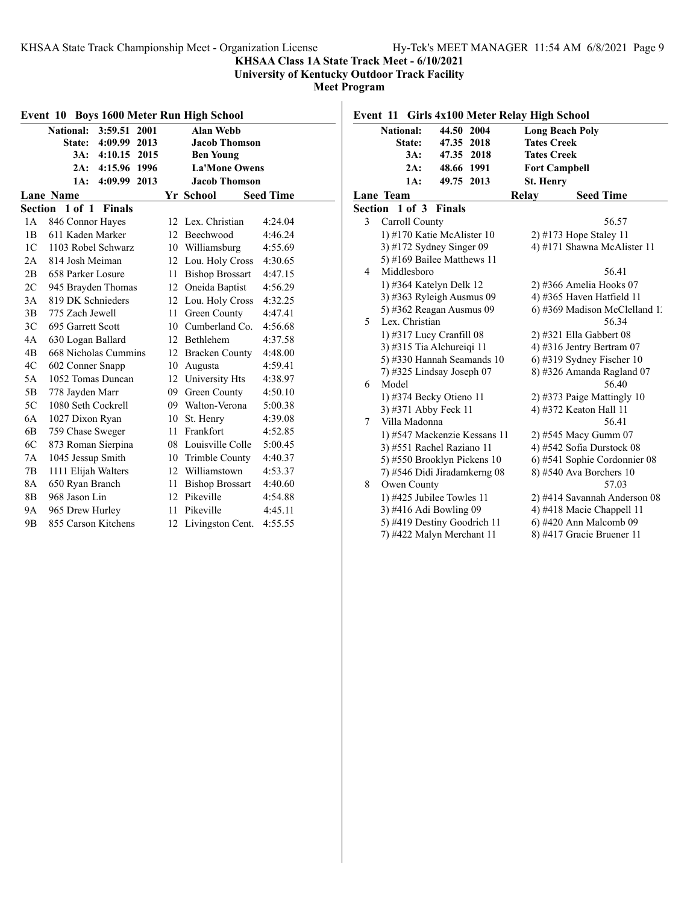## **KHSAA Class 1A State Track Meet - 6/10/2021**

**University of Kentucky Outdoor Track Facility**

|                | Event 10 Boys 1600 Meter Run High School |    |                        |                  |
|----------------|------------------------------------------|----|------------------------|------------------|
|                | 3:59.51<br><b>National:</b><br>2001      |    | <b>Alan Webb</b>       |                  |
|                | 4:09.99<br>2013<br>State:                |    | <b>Jacob Thomson</b>   |                  |
|                | 3A:<br>4:10.15<br>2015                   |    | <b>Ben Young</b>       |                  |
|                | 4:15.96<br>1996<br>2A:                   |    | <b>La'Mone Owens</b>   |                  |
|                | 4:09.99<br>2013<br>1A:                   |    | <b>Jacob Thomson</b>   |                  |
|                | <b>Lane Name</b>                         |    | Yr School              | <b>Seed Time</b> |
| Section        | 1 of 1<br><b>Finals</b>                  |    |                        |                  |
| 1A             | 846 Connor Hayes                         | 12 | Lex. Christian         | 4:24.04          |
| 1B             | 611 Kaden Marker                         |    | 12 Beechwood           | 4:46.24          |
| 1C             | 1103 Robel Schwarz                       | 10 | Williamsburg           | 4:55.69          |
| 2A             | 814 Josh Meiman                          |    | 12 Lou. Holy Cross     | 4:30.65          |
| 2B             | 658 Parker Losure                        | 11 | <b>Bishop Brossart</b> | 4:47.15          |
| 2C             | 945 Brayden Thomas                       | 12 | Oneida Baptist         | 4:56.29          |
| 3A             | 819 DK Schnieders                        | 12 | Lou. Holy Cross        | 4:32.25          |
| 3B             | 775 Zach Jewell                          | 11 | Green County           | 4:47.41          |
| 3 <sup>C</sup> | 695 Garrett Scott                        | 10 | Cumberland Co.         | 4:56.68          |
| 4A             | 630 Logan Ballard                        | 12 | <b>Bethlehem</b>       | 4:37.58          |
| 4B             | 668 Nicholas Cummins                     | 12 | <b>Bracken County</b>  | 4:48.00          |
| 4C             | 602 Conner Snapp                         | 10 | Augusta                | 4:59.41          |
| 5A             | 1052 Tomas Duncan                        | 12 | University Hts         | 4:38.97          |
| 5B             | 778 Jayden Marr                          | 09 | Green County           | 4:50.10          |
| 5C             | 1080 Seth Cockrell                       | 09 | Walton-Verona          | 5:00.38          |
| 6A             | 1027 Dixon Ryan                          | 10 | St. Henry              | 4:39.08          |
| 6B             | 759 Chase Sweger                         | 11 | Frankfort              | 4:52.85          |
| 6C             | 873 Roman Sierpina                       |    | 08 Louisville Colle    | 5:00.45          |
| 7A             | 1045 Jessup Smith                        | 10 | <b>Trimble County</b>  | 4:40.37          |
| 7B             | 1111 Elijah Walters                      | 12 | Williamstown           | 4:53.37          |
| 8A             | 650 Ryan Branch                          | 11 | <b>Bishop Brossart</b> | 4:40.60          |
| 8B             | 968 Jason Lin                            | 12 | Pikeville              | 4:54.88          |
| <b>9A</b>      | 965 Drew Hurley                          | 11 | Pikeville              | 4:45.11          |
| 9 <sub>B</sub> | 855 Carson Kitchens                      | 12 | Livingston Cent.       | 4:55.55          |

| Girls 4x100 Meter Relay High School<br>Event 11 |                                                           |                              |                               |  |  |
|-------------------------------------------------|-----------------------------------------------------------|------------------------------|-------------------------------|--|--|
|                                                 | <b>National:</b>                                          | 44.50 2004                   | <b>Long Beach Poly</b>        |  |  |
|                                                 | State:                                                    | 47.35 2018                   | <b>Tates Creek</b>            |  |  |
|                                                 | 3A:                                                       | 47.35 2018                   | <b>Tates Creek</b>            |  |  |
|                                                 | 2A:                                                       | 48.66 1991                   | <b>Fort Campbell</b>          |  |  |
|                                                 | 1A:                                                       | 49.75 2013                   | <b>St. Henry</b>              |  |  |
|                                                 | Lane Team                                                 |                              | <b>Seed Time</b><br>Relay     |  |  |
| <b>Section</b>                                  | $1$ of $3$                                                | <b>Finals</b>                |                               |  |  |
| 3                                               | Carroll County                                            |                              | 56.57                         |  |  |
|                                                 |                                                           | 1) #170 Katie McAlister 10   | 2) #173 Hope Staley 11        |  |  |
|                                                 | 3) #172 Sydney Singer $09$<br>4) #171 Shawna McAlister 11 |                              |                               |  |  |
|                                                 |                                                           | 5) #169 Bailee Matthews 11   |                               |  |  |
| 4                                               | Middlesboro                                               |                              | 56.41                         |  |  |
|                                                 |                                                           | 1) #364 Katelyn Delk 12      | 2) #366 Amelia Hooks 07       |  |  |
|                                                 |                                                           | 3) #363 Ryleigh Ausmus 09    | 4) #365 Haven Hatfield 11     |  |  |
|                                                 |                                                           | 5) #362 Reagan Ausmus 09     | 6) #369 Madison McClelland 1. |  |  |
| 5                                               | Lex. Christian                                            |                              | 56.34                         |  |  |
|                                                 |                                                           | 1) #317 Lucy Cranfill 08     | $2)$ #321 Ella Gabbert 08     |  |  |
|                                                 |                                                           | 3) #315 Tia Alchureiqi 11    | 4) #316 Jentry Bertram $07$   |  |  |
|                                                 |                                                           | 5) #330 Hannah Seamands 10   | 6) #319 Sydney Fischer 10     |  |  |
|                                                 |                                                           | 7) #325 Lindsay Joseph 07    | 8) #326 Amanda Ragland 07     |  |  |
| 6                                               | Model                                                     |                              | 56.40                         |  |  |
|                                                 |                                                           | 1) #374 Becky Otieno 11      | 2) #373 Paige Mattingly $10$  |  |  |
|                                                 | 3) #371 Abby Feck 11                                      |                              | 4) #372 Keaton Hall 11        |  |  |
| 7                                               | Villa Madonna                                             |                              | 56.41                         |  |  |
|                                                 |                                                           | 1) #547 Mackenzie Kessans 11 | 2) #545 Macy Gumm 07          |  |  |
|                                                 |                                                           | 3) #551 Rachel Raziano 11    | 4) #542 Sofia Durstock 08     |  |  |
|                                                 |                                                           | 5) #550 Brooklyn Pickens 10  | 6) #541 Sophie Cordonnier 08  |  |  |
|                                                 |                                                           | 7) #546 Didi Jiradamkerng 08 | 8) #540 Ava Borchers 10       |  |  |
| 8                                               | Owen County                                               |                              | 57.03                         |  |  |
|                                                 |                                                           | 1) #425 Jubilee Towles 11    | 2) #414 Savannah Anderson 08  |  |  |
|                                                 | 3) #416 Adi Bowling 09                                    |                              | 4) #418 Macie Chappell 11     |  |  |
|                                                 |                                                           | 5) #419 Destiny Goodrich 11  | 6) #420 Ann Malcomb 09        |  |  |
|                                                 |                                                           | 7) #422 Malyn Merchant 11    | 8) #417 Gracie Bruener 11     |  |  |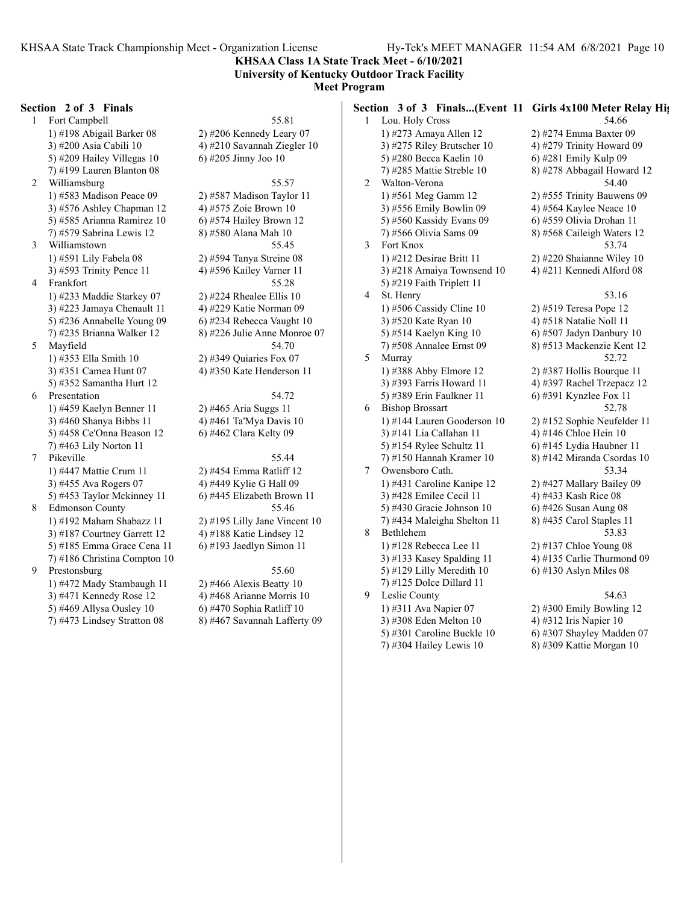**KHSAA Class 1A State Track Meet - 6/10/2021 University of Kentucky Outdoor Track Facility**

## **Meet Program**

#### **Section 2 of 3 Finals**

1 Fort Campbell 55.81 1) #198 Abigail Barker 08 2) #206 Kennedy Leary 07 3) #200 Asia Cabili 10  $\qquad \qquad$  4) #210 Savannah Ziegler 10 5) #209 Hailey Villegas  $10$  6) #205 Jinny Joo  $10$ 7) #199 Lauren Blanton 08 2 Williamsburg 55.57 1) #583 Madison Peace 09 2) #587 Madison Taylor 11 3) #576 Ashley Chapman 12  $\qquad$  4) #575 Zoie Brown 10 5) #585 Arianna Ramirez 10 6) #574 Hailey Brown 12 7) #579 Sabrina Lewis 12 8) #580 Alana Mah 10 3 Williamstown 55.45 1) #591 Lily Fabela 08 2) #594 Tanya Streine 08 3) #593 Trinity Pence 11 4) #596 Kailey Varner 11 4 Frankfort 55.28 1) #233 Maddie Starkey 07 2) #224 Rhealee Ellis 10 3) #223 Jamaya Chenault 11 4) #229 Katie Norman 09 5) #236 Annabelle Young 09 6) #234 Rebecca Vaught 10 7) #235 Brianna Walker 12 8) #226 Julie Anne Monroe 07 5 Mayfield 54.70 1) #353 Ella Smith 10 2) #349 Quiaries Fox 07 3) #351 Camea Hunt 07 4) #350 Kate Henderson 11 5) #352 Samantha Hurt 12 6 Presentation 54.72 1) #459 Kaelyn Benner 11 2) #465 Aria Suggs 11 3) #460 Shanya Bibbs 11 4) #461 Ta'Mya Davis 10 5) #458 Ce'Onna Beason 12 6) #462 Clara Kelty 09 7) #463 Lily Norton 11 7 Pikeville 55.44 1) #447 Mattie Crum 11 2) #454 Emma Ratliff 12 3) #455 Ava Rogers 07 4) #449 Kylie G Hall 09 5) #453 Taylor Mckinney 11 6) #445 Elizabeth Brown 11 8 Edmonson County 55.46 1) #192 Maham Shabazz 11 2) #195 Lilly Jane Vincent 10 3) #187 Courtney Garrett 12 4) #188 Katie Lindsey 12 5) #185 Emma Grace Cena 11 6) #193 Jaedlyn Simon 11 7) #186 Christina Compton 10 9 Prestonsburg 55.60 1) #472 Mady Stambaugh 11 2) #466 Alexis Beatty 10 3) #471 Kennedy Rose 12  $\qquad$  4) #468 Arianne Morris 10

5) #469 Allysa Ousley 10 6) #470 Sophia Ratliff 10 7) #473 Lindsey Stratton 08 8) #467 Savannah Lafferty 09 **Section 3 of 3 Finals...(Event 11 Girls 4x100 Meter Relay Hig** 1 Lou. Holy Cross 54.66 1) #273 Amaya Allen 12 2) #274 Emma Baxter 09 3) #275 Riley Brutscher 10  $\qquad$  4) #279 Trinity Howard 09 5) #280 Becca Kaelin 10 6) #281 Emily Kulp 09 7) #285 Mattie Streble 10 8) #278 Abbagail Howard 12 2 Walton-Verona 54.40 1) #561 Meg Gamm 12 2) #555 Trinity Bauwens 09 3) #556 Emily Bowlin 09  $\qquad \qquad$  4) #564 Kaylee Neace 10 5) #560 Kassidy Evans 09 6) #559 Olivia Drohan 11 7) #566 Olivia Sams 09 8) #568 Caileigh Waters 12 3 Fort Knox 53.74 1) #212 Desirae Britt 11 2) #220 Shaianne Wiley 10 3) #218 Amaiya Townsend 10  $\qquad$  4) #211 Kennedi Alford 08 5) #219 Faith Triplett 11 4 St. Henry 53.16 1) #506 Cassidy Cline 10 2) #519 Teresa Pope 12 3) #520 Kate Ryan 10 4) #518 Natalie Noll 11 5) #514 Kaelyn King 10 6) #507 Jadyn Danbury 10 7) #508 Annalee Ernst 09 8) #513 Mackenzie Kent 12 5 Murray 52.72 1) #388 Abby Elmore 12 2) #387 Hollis Bourque 11 3) #393 Farris Howard 11  $\qquad$  4) #397 Rachel Trzepacz 12 5) #389 Erin Faulkner 11 6) #391 Kynzlee Fox 11 6 Bishop Brossart 52.78 1) #144 Lauren Gooderson 10 2) #152 Sophie Neufelder 11 3) #141 Lia Callahan 11  $\qquad \qquad$  4) #146 Chloe Hein 10 5) #154 Rylee Schultz 11 6) #145 Lydia Haubner 11 7) #150 Hannah Kramer 10 8) #142 Miranda Csordas 10 7 Owensboro Cath. 53.34 1) #431 Caroline Kanipe 12 2) #427 Mallary Bailey 09 3) #428 Emilee Cecil 11 4) #433 Kash Rice 08 5) #430 Gracie Johnson 10 6) #426 Susan Aung 08 7) #434 Maleigha Shelton 11 8) #435 Carol Staples 11 8 Bethlehem 53.83 1) #128 Rebecca Lee 11 2) #137 Chloe Young 08 3) #133 Kasey Spalding 11  $\qquad$  4) #135 Carlie Thurmond 09 5) #129 Lilly Meredith 10  $\qquad$  6) #130 Aslyn Miles 08 7) #125 Dolce Dillard 11 9 Leslie County 54.63 1) #311 Ava Napier 07 2) #300 Emily Bowling 12 3) #308 Eden Melton 10  $\qquad \qquad$  4) #312 Iris Napier 10 5) #301 Caroline Buckle 10  $\qquad$  6) #307 Shayley Madden 07

7) #304 Hailey Lewis 10 8) #309 Kattie Morgan 10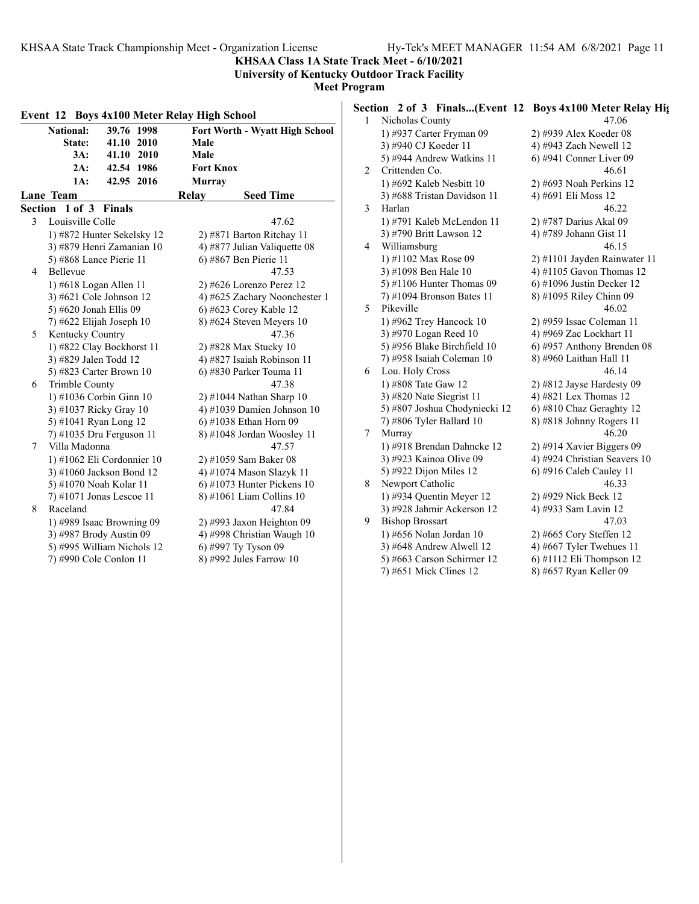**KHSAA Class 1A State Track Meet - 6/10/2021 University of Kentucky Outdoor Track Facility**

|   | Event 12 Boys 4x100 Meter Relay High School |                                | $\mathbf{1}$ | Section 2 of 3<br>Nicholas C |
|---|---------------------------------------------|--------------------------------|--------------|------------------------------|
|   | 39.76 1998<br><b>National:</b>              | Fort Worth - Wyatt High School |              | 1) #937 Ca                   |
|   | 41.10 2010<br>State:                        | Male                           |              | 3) #940 CJ                   |
|   | 3A:<br>41.10 2010                           | Male                           |              | 5) #944 An                   |
|   | 2A:<br>42.54 1986                           | <b>Fort Knox</b>               | 2            | Crittenden                   |
|   | 42.95 2016<br>1A:                           | <b>Murray</b>                  |              | 1) #692 Ka                   |
|   | Lane Team                                   | Relay<br><b>Seed Time</b>      |              | 3) #688 Tri                  |
|   | Section 1 of 3 Finals                       |                                | 3            | Harlan                       |
| 3 | Louisville Colle                            | 47.62                          |              | 1) #791 Ka                   |
|   | 1) #872 Hunter Sekelsky 12                  | 2) #871 Barton Ritchay 11      |              | 3) #790 Bri                  |
|   | 3) #879 Henri Zamanian 10                   | 4) #877 Julian Valiquette 08   | 4            | Williamsbu                   |
|   | 5) #868 Lance Pierie 11                     | 6) #867 Ben Pierie 11          |              | 1) #1102 M                   |
| 4 | Bellevue                                    | 47.53                          |              | 3) #1098 B                   |
|   | 1) #618 Logan Allen 11                      | $2)$ #626 Lorenzo Perez 12     |              | 5) #1106 H                   |
|   | 3) #621 Cole Johnson 12                     | 4) #625 Zachary Noonchester 1  |              | $(7)$ #1094 B                |
|   | 5) #620 Jonah Ellis 09                      | 6) #623 Corey Kable 12         | 5            | Pikeville                    |
|   | 7) #622 Elijah Joseph 10                    | 8) #624 Steven Meyers 10       |              | 1) #962 Tre                  |
| 5 | Kentucky Country                            | 47.36                          |              | 3) #970 Lo                   |
|   | 1) #822 Clay Bockhorst 11                   | 2) #828 Max Stucky 10          |              | 5) #956 Bla                  |
|   | 3) #829 Jalen Todd 12                       | 4) #827 Isaiah Robinson 11     |              | 7) #958 Isa                  |
|   | 5) #823 Carter Brown 10                     | 6) #830 Parker Touma 11        | 6            | Lou. Holy                    |
| 6 | Trimble County                              | 47.38                          |              | 1) #808 Tat                  |
|   | 1) #1036 Corbin Ginn 10                     | 2) #1044 Nathan Sharp 10       |              | 3) #820 Na                   |
|   | 3) #1037 Ricky Gray 10                      | 4) #1039 Damien Johnson 10     |              | 5) #807 Jos                  |
|   | 5) #1041 Ryan Long 12                       | 6) #1038 Ethan Horn 09         |              | 7) #806 Ty                   |
|   | 7) #1035 Dru Ferguson 11                    | 8) #1048 Jordan Woosley 11     | 7            | Murray                       |
| 7 | Villa Madonna                               | 47.57                          |              | 1) #918 Br                   |
|   | 1) #1062 Eli Cordonnier 10                  | 2) #1059 Sam Baker 08          |              | 3) #923 Ka                   |
|   | 3) #1060 Jackson Bond 12                    | 4) #1074 Mason Slazyk 11       |              | 5) #922 Dij                  |
|   | 5) #1070 Noah Kolar 11                      | $6)$ #1073 Hunter Pickens 10   | 8            | Newport C                    |
|   | $(7)$ #1071 Jonas Lescoe 11                 | 8) #1061 Liam Collins 10       |              | 1) #934 Qu                   |
| 8 | Raceland                                    | 47.84                          |              | 3) #928 Jah                  |
|   | 1) #989 Isaac Browning 09                   | 2) #993 Jaxon Heighton 09      | 9            | <b>Bishop Bro</b>            |
|   | 3) #987 Brody Austin 09                     | 4) #998 Christian Waugh 10     |              | 1) #656 No                   |
|   | 5) #995 William Nichols 12                  | 6) #997 Ty Tyson 09            |              | 3) #648 An                   |
|   | 7) #990 Cole Conlon 11                      | 8) #992 Jules Farrow 10        |              | 5) #663 Ca                   |

|                   |  | Section 2 of 3 Finals(Event 12 Boys 4x100 Meter Relay Hights |
|-------------------|--|--------------------------------------------------------------|
| 1 Nicholas County |  | 47.06                                                        |

|   | 1) #937 Carter Fryman 09      | 2) #939 Alex Koeder 08       |
|---|-------------------------------|------------------------------|
|   | 3) #940 CJ Koeder 11          | 4) #943 Zach Newell 12       |
|   | 5) #944 Andrew Watkins 11     | $6)$ #941 Conner Liver 09    |
| 2 | Crittenden Co.                | 46.61                        |
|   | 1) #692 Kaleb Nesbitt 10      | 2) #693 Noah Perkins 12      |
|   | 3) #688 Tristan Davidson 11   | 4) #691 Eli Moss 12          |
| 3 | Harlan                        | 46.22                        |
|   | 1) #791 Kaleb McLendon 11     | 2) #787 Darius Akal 09       |
|   | 3) #790 Britt Lawson 12       | 4) #789 Johann Gist 11       |
| 4 | Williamsburg                  | 46.15                        |
|   | 1) #1102 Max Rose 09          | 2) #1101 Jayden Rainwater 11 |
|   | 3) #1098 Ben Hale 10          | 4) #1105 Gavon Thomas 12     |
|   | 5) #1106 Hunter Thomas $09$   | $6$ ) #1096 Justin Decker 12 |
|   | 7) #1094 Bronson Bates 11     | 8) #1095 Riley Chinn 09      |
| 5 | Pikeville                     | 46.02                        |
|   | 1) #962 Trey Hancock 10       | 2) #959 Issac Coleman 11     |
|   | 3) #970 Logan Reed 10         | 4) #969 Zac Lockhart 11      |
|   | 5) #956 Blake Birchfield 10   | 6) #957 Anthony Brenden 08   |
|   | 7) #958 Isaiah Coleman 10     | 8) #960 Laithan Hall 11      |
| 6 | Lou. Holy Cross               | 46.14                        |
|   | 1) #808 Tate Gaw 12           | 2) #812 Jayse Hardesty 09    |
|   | 3) #820 Nate Siegrist 11      | 4) #821 Lex Thomas 12        |
|   | 5) #807 Joshua Chodyniecki 12 | 6) #810 Chaz Geraghty 12     |
|   | 7) #806 Tyler Ballard 10      | 8) #818 Johnny Rogers 11     |
| 7 | Murray                        | 46.20                        |
|   | 1) #918 Brendan Dahncke 12    | 2) #914 Xavier Biggers 09    |
|   | 3) #923 Kainoa Olive 09       | 4) #924 Christian Seavers 10 |
|   | 5) #922 Dijon Miles 12        | 6) #916 Caleb Cauley 11      |
| 8 | Newport Catholic              | 46.33                        |
|   | 1) #934 Quentin Meyer $12$    | 2) #929 Nick Beck 12         |
|   | 3) #928 Jahmir Ackerson 12    | 4) #933 Sam Lavin 12         |
| 9 | <b>Bishop Brossart</b>        | 47.03                        |
|   | 1) #656 Nolan Jordan 10       | 2) #665 Cory Steffen 12      |
|   | 3) #648 Andrew Alwell 12      | 4) #667 Tyler Twehues 11     |
|   | 5) #663 Carson Schirmer 12    | 6) #1112 Eli Thompson 12     |
|   | 7) #651 Mick Clines 12        | 8) #657 Ryan Keller 09       |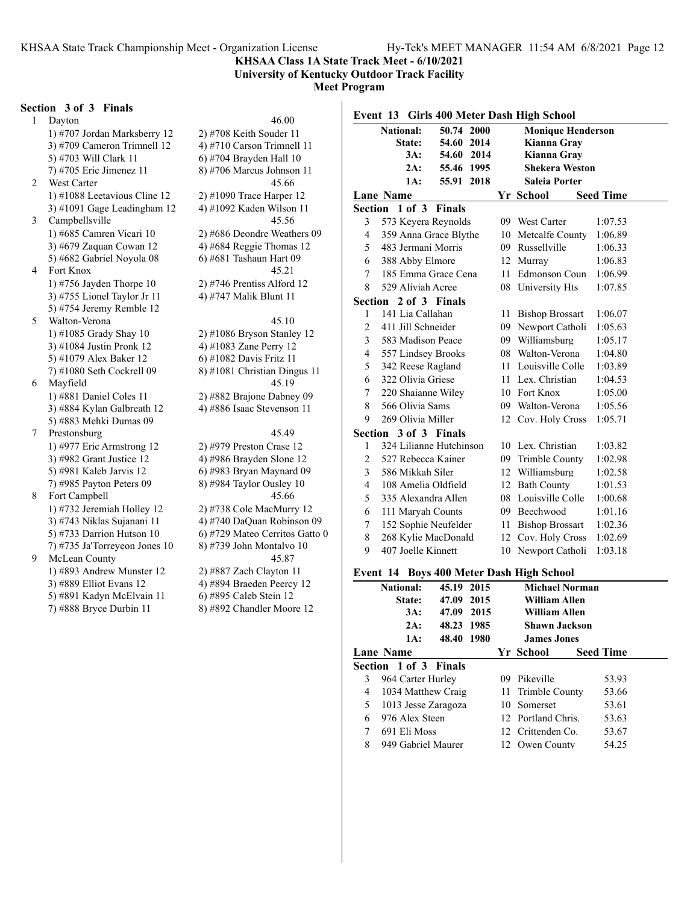**University of Kentucky Outdoor Track Facility**

#### **Meet Program**

#### **Section 3 of 3 Finals**

1 Dayton 46.00 1) #707 Jordan Marksberry 12 2) #708 Keith Souder 11 3) #709 Cameron Trimnell 12 <br>5) #703 Will Clark 11 <br>6) #704 Brayden Hall 10 7) #705 Eric Jimenez 11 8) #706 Marcus Johnson 11 2 West Carter 45.66 1) #1088 Leetavious Cline 12 2) #1090 Trace Harper 12 3) #1091 Gage Leadingham  $12 \qquad 4$ ) #1092 Kaden Wilson 11 3 Campbellsville 45.56 1) #685 Camren Vicari 10 2) #686 Deondre Weathers 09 3) #679 Zaquan Cowan 12  $\qquad$  4) #684 Reggie Thomas 12 5) #682 Gabriel Noyola 08 6) #681 Tashaun Hart 09 4 Fort Knox 45.21 1) #756 Jayden Thorpe 10 2) #746 Prentiss Alford 12 3) #755 Lionel Taylor Jr 11 4) #747 Malik Blunt 11 5) #754 Jeremy Remble 12 5 Walton-Verona 45.10 1) #1085 Grady Shay 10 2) #1086 Bryson Stanley 12 3) #1084 Justin Pronk 12 4) #1083 Zane Perry 12 5) #1079 Alex Baker 12 6) #1082 Davis Fritz 11 7) #1080 Seth Cockrell 09 8) #1081 Christian Dingus 11 6 Mayfield 45.19 1) #881 Daniel Coles 11 2) #882 Brajone Dabney 09 3) #884 Kylan Galbreath 12 4) #886 Isaac Stevenson 11 5) #883 Mehki Dumas 09 7 Prestonsburg 45.49 1) #977 Eric Armstrong 12 2) #979 Preston Crase 12 3) #982 Grant Justice 12 4) #986 Brayden Slone 12 5) #981 Kaleb Jarvis 12 6) #983 Bryan Maynard 09 7) #985 Payton Peters 09 8) #984 Taylor Ousley 10 8 Fort Campbell 45.66 1) #732 Jeremiah Holley 12 2) #738 Cole MacMurry 12 3) #743 Niklas Sujanani 11 4) #740 DaQuan Robinson 09 5) #733 Darrion Hutson 10  $\qquad$  6) #729 Mateo Cerritos Gatto 0 7) #735 Ja'Torreyeon Jones 10  $\qquad$  8) #739 John Montalvo 10 9 McLean County 45.87 1) #893 Andrew Munster 12 2) #887 Zach Clayton 11 3) #889 Elliot Evans 12 4) #894 Braeden Peercy 12 5) #891 Kadyn McElvain 11 6) #895 Caleb Stein 12

6) #704 Brayden Hall  $10$ 7) #888 Bryce Durbin 11 8) #892 Chandler Moore 12

|                | <b>National:</b>         | 50.74 2000 |    | <b>Monique Henderson</b> |                  |
|----------------|--------------------------|------------|----|--------------------------|------------------|
|                | State:                   | 54.60 2014 |    | Kianna Gray              |                  |
|                | 3A:                      | 54.60 2014 |    | Kianna Gray              |                  |
|                | 2A:                      | 55.46 1995 |    | <b>Shekera Weston</b>    |                  |
|                | 1A:                      | 55.91 2018 |    | <b>Saleia Porter</b>     |                  |
|                | <b>Lane Name</b>         |            |    | Yr School                | <b>Seed Time</b> |
|                | Section 1 of 3 Finals    |            |    |                          |                  |
| 3              | 573 Keyera Reynolds      |            |    | 09 West Carter           | 1:07.53          |
| $\overline{4}$ | 359 Anna Grace Blythe    |            |    | 10 Metcalfe County       | 1:06.89          |
| 5              | 483 Jermani Morris       |            |    | 09 Russellville          | 1:06.33          |
| 6              | 388 Abby Elmore          |            |    | 12 Murray                | 1:06.83          |
| 7              | 185 Emma Grace Cena      |            | 11 | Edmonson Coun            | 1:06.99          |
| 8              | 529 Aliviah Acree        |            |    | 08 University Hts        | 1:07.85          |
|                | Section<br>2 of 3 Finals |            |    |                          |                  |
| 1              | 141 Lia Callahan         |            | 11 | <b>Bishop Brossart</b>   | 1:06.07          |
| $\overline{2}$ | 411 Jill Schneider       |            |    | 09 Newport Catholi       | 1:05.63          |
| 3              | 583 Madison Peace        |            |    | 09 Williamsburg          | 1:05.17          |
| $\overline{4}$ | 557 Lindsey Brooks       |            |    | 08 Walton-Verona         | 1:04.80          |
| 5              | 342 Reese Ragland        |            |    | 11 Louisville Colle      | 1:03.89          |
| 6              | 322 Olivia Griese        |            |    | 11 Lex. Christian        | 1:04.53          |
| 7              | 220 Shaianne Wiley       |            |    | 10 Fort Knox             | 1:05.00          |
| 8              | 566 Olivia Sams          |            |    | 09 Walton-Verona         | 1:05.56          |
| 9              | 269 Olivia Miller        |            |    | 12 Cov. Holy Cross       | 1:05.71          |
|                | Section 3 of 3 Finals    |            |    |                          |                  |
| 1              | 324 Lilianne Hutchinson  |            |    | 10 Lex. Christian        | 1:03.82          |
| 2              | 527 Rebecca Kainer       |            |    | 09 Trimble County        | 1:02.98          |
| 3              | 586 Mikkah Siler         |            |    | 12 Williamsburg          | 1:02.58          |
| $\overline{4}$ | 108 Amelia Oldfield      |            |    | 12 Bath County           | 1:01.53          |
| 5              | 335 Alexandra Allen      |            |    | 08 Louisville Colle      | 1:00.68          |
| 6              | 111 Maryah Counts        |            |    | 09 Beechwood             | 1:01.16          |
| 7              | 152 Sophie Neufelder     |            |    | 11 Bishop Brossart       | 1:02.36          |
| 8              | 268 Kylie MacDonald      |            |    | 12 Cov. Holy Cross       | 1:02.69          |
| 9              | 407 Joelle Kinnett       |            |    | 10 Newport Catholi       | 1:03.18          |

#### **Event 14 Boys 400 Meter Dash High School**

|   | <b>National:</b>             | 45.19 2015 |  | <b>Michael Norman</b> |                  |       |  |
|---|------------------------------|------------|--|-----------------------|------------------|-------|--|
|   | State:                       | 47.09 2015 |  | William Allen         |                  |       |  |
|   | 3A:                          | 47.09 2015 |  | <b>William Allen</b>  |                  |       |  |
|   | 2A:                          | 48.23 1985 |  | <b>Shawn Jackson</b>  |                  |       |  |
|   | 1A:                          | 48.40 1980 |  | <b>James Jones</b>    |                  |       |  |
|   | <b>Lane Name</b>             |            |  | Yr School             | <b>Seed Time</b> |       |  |
|   | <b>Section 1 of 3 Finals</b> |            |  |                       |                  |       |  |
| 3 | 964 Carter Hurley            |            |  | 09 Pikeville          |                  | 53.93 |  |
| 4 | 1034 Matthew Craig           |            |  | 11 Trimble County     |                  | 53.66 |  |
| 5 | 1013 Jesse Zaragoza          |            |  | 10 Somerset           |                  | 53.61 |  |
| 6 | 976 Alex Steen               |            |  | 12 Portland Chris.    |                  | 53.63 |  |
| 7 | 691 Eli Moss                 |            |  | 12 Crittenden Co.     |                  | 53.67 |  |
| 8 | 949 Gabriel Maurer           |            |  | 12 Owen County        |                  | 54.25 |  |
|   |                              |            |  |                       |                  |       |  |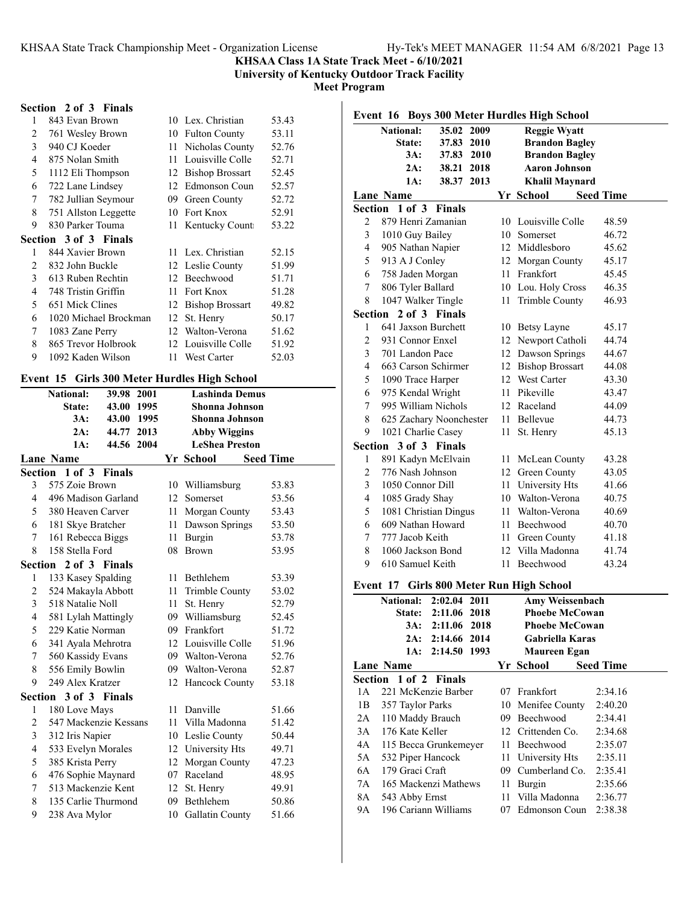**University of Kentucky Outdoor Track Facility**

**Meet Program**

## **Section 2 of 3 Finals**

| 1              | 843 Evan Brown               |    | 10 Lex. Christian      | 53.43 |
|----------------|------------------------------|----|------------------------|-------|
| 2              | 761 Wesley Brown             | 10 | <b>Fulton County</b>   | 53.11 |
| 3              | 940 CJ Koeder                | 11 | Nicholas County        | 52.76 |
| 4              | 875 Nolan Smith              | 11 | Louisville Colle       | 52.71 |
| 5              | 1112 Eli Thompson            | 12 | <b>Bishop Brossart</b> | 52.45 |
| 6              | 722 Lane Lindsey             | 12 | Edmonson Coun          | 52.57 |
| 7              | 782 Jullian Seymour          | 09 | Green County           | 52.72 |
| 8              | 751 Allston Leggette         | 10 | Fort Knox              | 52.91 |
| 9              | 830 Parker Touma             | 11 | Kentucky Count         | 53.22 |
|                | <b>Section 3 of 3 Finals</b> |    |                        |       |
| 1              | 844 Xavier Brown             |    | 11 Lex. Christian      | 52.15 |
| $\mathfrak{D}$ | 832 John Buckle              |    | 12 Leslie County       | 51.99 |
| 3              | 613 Ruben Rechtin            | 12 | Beechwood              | 51.71 |
| 4              | 748 Tristin Griffin          | 11 | Fort Knox              | 51.28 |
| 5              | 651 Mick Clines              | 12 | <b>Bishop Brossart</b> | 49.82 |
| 6              | 1020 Michael Brockman        | 12 | St. Henry              | 50.17 |
| 7              | 1083 Zane Perry              | 12 | Walton-Verona          | 51.62 |
| 8              | 865 Trevor Holbrook          | 12 | Louisville Colle       | 51.92 |
| 9              | 1092 Kaden Wilson            | 11 | West Carter            | 52.03 |
|                |                              |    |                        |       |

## **Event 15 Girls 300 Meter Hurdles High School**

|                | <b>National:</b>      | 39.98         | 2001 | <b>Lashinda Demus</b> |                       |                  |  |
|----------------|-----------------------|---------------|------|-----------------------|-----------------------|------------------|--|
|                | State:                | 43.00         | 1995 |                       | <b>Shonna Johnson</b> |                  |  |
|                | 3A:                   | 43.00         | 1995 |                       | Shonna Johnson        |                  |  |
|                | 2A:                   | 44.77         | 2013 |                       | <b>Abby Wiggins</b>   |                  |  |
|                | 1A:                   | 44.56 2004    |      |                       | <b>LeShea Preston</b> |                  |  |
|                | <b>Lane Name</b>      |               |      |                       | Yr School             | <b>Seed Time</b> |  |
|                | Section 1 of 3        | <b>Finals</b> |      |                       |                       |                  |  |
| 3              | 575 Zoie Brown        |               |      | 10                    | Williamsburg          | 53.83            |  |
| 4              | 496 Madison Garland   |               |      | 12                    | Somerset              | 53.56            |  |
| 5              | 380 Heaven Carver     |               |      | 11                    | Morgan County         | 53.43            |  |
| 6              | 181 Skye Bratcher     |               |      | 11                    | Dawson Springs        | 53.50            |  |
| 7              | 161 Rebecca Biggs     |               |      | 11                    | Burgin                | 53.78            |  |
| 8              | 158 Stella Ford       |               |      | 08                    | Brown                 | 53.95            |  |
|                | Section 2 of 3 Finals |               |      |                       |                       |                  |  |
| 1              | 133 Kasey Spalding    |               |      | 11                    | Bethlehem             | 53.39            |  |
| 2              | 524 Makayla Abbott    |               |      | 11                    | Trimble County        | 53.02            |  |
| 3              | 518 Natalie Noll      |               |      | 11                    | St. Henry             | 52.79            |  |
| $\overline{4}$ | 581 Lylah Mattingly   |               |      | 09                    | Williamsburg          | 52.45            |  |
| 5              | 229 Katie Norman      |               |      |                       | 09 Frankfort          | 51.72            |  |
| 6              | 341 Ayala Mehrotra    |               |      |                       | 12 Louisville Colle   | 51.96            |  |
| 7              | 560 Kassidy Evans     |               |      | 09                    | Walton-Verona         | 52.76            |  |
| 8              | 556 Emily Bowlin      |               |      | 09                    | Walton-Verona         | 52.87            |  |
| 9              | 249 Alex Kratzer      |               |      | 12                    | Hancock County        | 53.18            |  |
|                | Section 3 of 3 Finals |               |      |                       |                       |                  |  |
| 1              | 180 Love Mays         |               |      | 11                    | Danville              | 51.66            |  |
| 2              | 547 Mackenzie Kessans |               |      | 11                    | Villa Madonna         | 51.42            |  |
| 3              | 312 Iris Napier       |               |      |                       | 10 Leslie County      | 50.44            |  |
| $\overline{4}$ | 533 Evelyn Morales    |               |      |                       | 12 University Hts     | 49.71            |  |
| 5              | 385 Krista Perry      |               |      | 12                    | Morgan County         | 47.23            |  |
| 6              | 476 Sophie Maynard    |               |      | 07                    | Raceland              | 48.95            |  |
| 7              | 513 Mackenzie Kent    |               |      |                       | 12 St. Henry          | 49.91            |  |
| 8              | 135 Carlie Thurmond   |               |      | 09                    | Bethlehem             | 50.86            |  |
| 9              | 238 Ava Mylor         |               |      | 10                    | Gallatin County       | 51.66            |  |

|                |                       |                                        |                       | Event 16 Boys 300 Meter Hurdles High School |                  |  |  |
|----------------|-----------------------|----------------------------------------|-----------------------|---------------------------------------------|------------------|--|--|
|                | <b>National:</b>      | 35.02<br>2009                          | <b>Reggie Wyatt</b>   |                                             |                  |  |  |
|                | State:                | 37.83 2010                             | <b>Brandon Bagley</b> |                                             |                  |  |  |
|                | 3A:                   | 37.83 2010                             |                       | <b>Brandon Bagley</b>                       |                  |  |  |
|                | 2A:                   | 38.21 2018                             |                       | <b>Aaron Johnson</b>                        |                  |  |  |
|                | 1A:                   | 38.37 2013                             |                       | <b>Khalil Maynard</b>                       |                  |  |  |
|                | Lane Name             |                                        |                       | Yr School                                   | <b>Seed Time</b> |  |  |
|                | Section 1 of 3 Finals |                                        |                       |                                             |                  |  |  |
| 2              | 879 Henri Zamanian    |                                        |                       | 10 Louisville Colle                         | 48.59            |  |  |
| 3              | 1010 Guy Bailey       |                                        |                       | 10 Somerset                                 | 46.72            |  |  |
| 4              | 905 Nathan Napier     |                                        |                       | 12 Middlesboro                              | 45.62            |  |  |
| 5              | 913 A J Conley        |                                        |                       | 12 Morgan County                            | 45.17            |  |  |
| 6              | 758 Jaden Morgan      |                                        |                       | 11 Frankfort                                | 45.45            |  |  |
| 7              | 806 Tyler Ballard     |                                        |                       | 10 Lou. Holy Cross                          | 46.35            |  |  |
| 8              | 1047 Walker Tingle    |                                        | 11 -                  | Trimble County                              | 46.93            |  |  |
| Section        |                       | 2 of 3 Finals                          |                       |                                             |                  |  |  |
| 1              | 641 Jaxson Burchett   |                                        |                       | 10 Betsy Layne                              | 45.17            |  |  |
| $\overline{2}$ | 931 Connor Enxel      |                                        |                       | 12 Newport Catholi                          | 44.74            |  |  |
| 3              | 701 Landon Pace       |                                        |                       | 12 Dawson Springs                           | 44.67            |  |  |
| 4              | 663 Carson Schirmer   |                                        |                       | 12 Bishop Brossart                          | 44.08            |  |  |
| 5              | 1090 Trace Harper     |                                        |                       | 12 West Carter                              | 43.30            |  |  |
| 6              | 975 Kendal Wright     |                                        |                       | 11 Pikeville                                | 43.47            |  |  |
| 7              | 995 William Nichols   |                                        |                       | 12 Raceland                                 | 44.09            |  |  |
| 8              |                       | 625 Zachary Noonchester                |                       | 11 Bellevue                                 | 44.73            |  |  |
| 9              | 1021 Charlie Casey    |                                        | 11 -                  | St. Henry                                   | 45.13            |  |  |
|                | Section 3 of 3 Finals |                                        |                       |                                             |                  |  |  |
| 1              | 891 Kadyn McElvain    |                                        |                       | 11 McLean County                            | 43.28            |  |  |
| $\overline{2}$ | 776 Nash Johnson      |                                        |                       | 12 Green County                             | 43.05            |  |  |
| 3              | 1050 Connor Dill      |                                        |                       | 11 University Hts                           | 41.66            |  |  |
| $\overline{4}$ | 1085 Grady Shay       |                                        |                       | 10 Walton-Verona                            | 40.75            |  |  |
| 5              | 1081 Christian Dingus |                                        |                       | 11 Walton-Verona                            | 40.69            |  |  |
| 6              | 609 Nathan Howard     |                                        |                       | 11 Beechwood                                | 40.70            |  |  |
| 7              | 777 Jacob Keith       |                                        |                       | 11 Green County                             | 41.18            |  |  |
| 8              | 1060 Jackson Bond     |                                        |                       | 12 Villa Madonna                            | 41.74            |  |  |
| 9              | 610 Samuel Keith      |                                        | 11                    | Beechwood                                   | 43.24            |  |  |
|                | Event 17              | <b>Girls 800 Meter Run High School</b> |                       |                                             |                  |  |  |
|                | <b>National:</b>      | 2:02.04 2011                           |                       | Amy Weissenbach                             |                  |  |  |
|                |                       | State: 2:11.06 2018                    |                       | <b>Phoebe McCowan</b>                       |                  |  |  |
|                |                       | 3A: 2:11.06 2018                       |                       | <b>Phoebe McCowan</b>                       |                  |  |  |
|                | 2A:                   | 2:14.66<br>2014                        |                       | Gabriella Karas                             |                  |  |  |
|                | 1A:                   | 2:14.50 1993                           |                       | <b>Maureen Egan</b>                         |                  |  |  |
|                | <b>Lane Name</b>      |                                        |                       | Yr School                                   | <b>Seed Time</b> |  |  |
|                | Section 1 of 2 Finals |                                        |                       |                                             |                  |  |  |
| 1A             | 221 McKenzie Barber   |                                        |                       | 07 Frankfort                                | 2:34.16          |  |  |
| 1B             | 357 Taylor Parks      |                                        |                       | 10 Menifee County                           | 2:40.20          |  |  |
| 2A             | 110 Maddy Brauch      |                                        |                       | 09 Beechwood                                | 2.3441           |  |  |

|    | <b>National:</b>      | 2:02.04 2011 |    | <b>Amy Weissenbach</b> |                  |
|----|-----------------------|--------------|----|------------------------|------------------|
|    | State:                | 2:11.06 2018 |    | <b>Phoebe McCowan</b>  |                  |
|    | 3A:                   | 2:11.06 2018 |    | <b>Phoebe McCowan</b>  |                  |
|    | 2A:                   | 2:14.66 2014 |    | Gabriella Karas        |                  |
|    | 1A:                   | 2:14.50 1993 |    | Maureen Egan           |                  |
|    | <b>Lane Name</b>      |              |    | Yr School              | <b>Seed Time</b> |
|    | Section 1 of 2 Finals |              |    |                        |                  |
| 1А | 221 McKenzie Barber   |              |    | 07 Frankfort           | 2:34.16          |
| 1B | 357 Taylor Parks      |              |    | 10 Menifee County      | 2:40.20          |
| 2A | 110 Maddy Brauch      |              |    | 09 Beechwood           | 2:34.41          |
| 3A | 176 Kate Keller       |              |    | 12 Crittenden Co.      | 2:34.68          |
| 4A | 115 Becca Grunkemeyer |              |    | 11 Beechwood           | 2:35.07          |
| 5A | 532 Piper Hancock     |              |    | 11 University Hts      | 2:35.11          |
| 6A | 179 Graci Craft       |              |    | 09 Cumberland Co.      | 2:35.41          |
| 7A | 165 Mackenzi Mathews  |              | 11 | Burgin                 | 2:35.66          |
| 8A | 543 Abby Ernst        |              |    | 11 Villa Madonna       | 2:36.77          |
| 9Α | 196 Cariann Williams  |              | 07 | Edmonson Coun          | 2:38.38          |
|    |                       |              |    |                        |                  |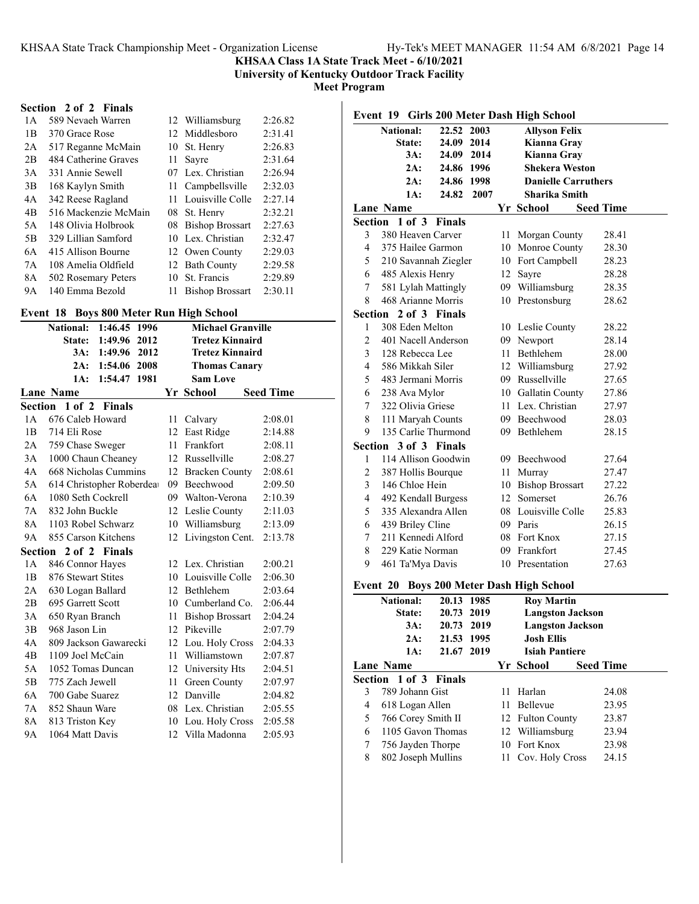**University of Kentucky Outdoor Track Facility**

**Meet Program**

#### **Section 2 of 2 Finals**

| 1 A            | 589 Nevaeh Warren    |     | 12 Williamsburg        | 2:26.82 |
|----------------|----------------------|-----|------------------------|---------|
| 1B             | 370 Grace Rose       |     | 12 Middlesboro         | 2:31.41 |
| 2A             | 517 Reganne McMain   |     | 10 St. Henry           | 2:26.83 |
| 2B             | 484 Catherine Graves | 11  | Sayre                  | 2:31.64 |
| 3A             | 331 Annie Sewell     |     | 07 Lex. Christian      | 2:26.94 |
| 3B             | 168 Kaylyn Smith     |     | 11 Campbellsville      | 2:32.03 |
| 4A             | 342 Reese Ragland    | 11. | Louisville Colle       | 2:27.14 |
| 4 <sub>B</sub> | 516 Mackenzie McMain |     | 08 St. Henry           | 2:32.21 |
| 5A             | 148 Olivia Holbrook  |     | 08 Bishop Brossart     | 2:27.63 |
| 5B             | 329 Lillian Samford  |     | 10 Lex. Christian      | 2:32.47 |
| 6A             | 415 Allison Bourne   |     | 12 Owen County         | 2:29.03 |
| 7A             | 108 Amelia Oldfield  |     | 12 Bath County         | 2:29.58 |
| 8A             | 502 Rosemary Peters  | 10  | St. Francis            | 2:29.89 |
| 9А             | 140 Emma Bezold      | 11  | <b>Bishop Brossart</b> | 2:30.11 |

#### **Event 18 Boys 800 Meter Run High School**

|           | 1:46.45 1996<br><b>National:</b> |    | <b>Michael Granville</b> |                  |
|-----------|----------------------------------|----|--------------------------|------------------|
|           | 1:49.96 2012<br>State:           |    | <b>Tretez Kinnaird</b>   |                  |
|           | 3A:<br>1:49.96 2012              |    | <b>Tretez Kinnaird</b>   |                  |
|           | 1:54.06 2008<br>2A:              |    | <b>Thomas Canary</b>     |                  |
|           | 1:54.47<br>1981<br>1A:           |    | <b>Sam Love</b>          |                  |
|           | <b>Lane Name</b>                 |    | Yr School                | <b>Seed Time</b> |
|           | Section 1 of 2<br><b>Finals</b>  |    |                          |                  |
| 1А        | 676 Caleb Howard                 | 11 | Calvary                  | 2:08.01          |
| 1B        | 714 Eli Rose                     |    | 12 East Ridge            | 2:14.88          |
| 2A        | 759 Chase Sweger                 | 11 | Frankfort                | 2:08.11          |
| 3A        | 1000 Chaun Cheaney               |    | 12 Russellville          | 2:08.27          |
| 4A        | 668 Nicholas Cummins             |    | 12 Bracken County        | 2:08.61          |
| 5A        | 614 Christopher Roberdea         |    | 09 Beechwood             | 2:09.50          |
| 6A        | 1080 Seth Cockrell               |    | 09 Walton-Verona         | 2:10.39          |
| 7A        | 832 John Buckle                  |    | 12 Leslie County         | 2:11.03          |
| 8A        | 1103 Robel Schwarz               |    | 10 Williamsburg          | 2:13.09          |
| <b>9A</b> | 855 Carson Kitchens              | 12 | Livingston Cent.         | 2:13.78          |
| Section   | 2 of 2 Finals                    |    |                          |                  |
| 1A        | 846 Connor Hayes                 |    | 12 Lex. Christian        | 2:00.21          |
| 1B        | 876 Stewart Stites               |    | 10 Louisville Colle      | 2:06.30          |
| 2A        | 630 Logan Ballard                |    | 12 Bethlehem             | 2:03.64          |
| 2B        | 695 Garrett Scott                |    | 10 Cumberland Co.        | 2:06.44          |
| 3A        | 650 Ryan Branch                  | 11 | <b>Bishop Brossart</b>   | 2:04.24          |
| 3B        | 968 Jason Lin                    | 12 | Pikeville                | 2:07.79          |
| 4A        | 809 Jackson Gawarecki            |    | 12 Lou. Holy Cross       | 2:04.33          |
| 4B        | 1109 Joel McCain                 | 11 | Williamstown             | 2:07.87          |
| 5A        | 1052 Tomas Duncan                |    | 12 University Hts        | 2:04.51          |
| 5B        | 775 Zach Jewell                  | 11 | Green County             | 2:07.97          |
| 6A        | 700 Gabe Suarez                  | 12 | Danville                 | 2:04.82          |
| 7A        | 852 Shaun Ware                   | 08 | Lex. Christian           | 2:05.55          |
| 8A        | 813 Triston Key                  |    | 10 Lou. Holy Cross       | 2:05.58          |
| 9Α        | 1064 Matt Davis                  |    | 12 Villa Madonna         | 2:05.93          |
|           |                                  |    |                          |                  |

|                         | <b>National:</b>      | 22.52      | 2003 |     | <b>Allyson Felix</b>                   |                  |       |
|-------------------------|-----------------------|------------|------|-----|----------------------------------------|------------------|-------|
|                         | State:                | 24.09 2014 |      |     | Kianna Gray                            |                  |       |
|                         | 3A:                   | 24.09 2014 |      |     | Kianna Gray                            |                  |       |
|                         | 2A:                   | 24.86 1996 |      |     | <b>Shekera Weston</b>                  |                  |       |
|                         | 2A:                   | 24.86 1998 |      |     | <b>Danielle Carruthers</b>             |                  |       |
|                         | 1A:                   | 24.82      | 2007 |     | <b>Sharika Smith</b>                   |                  |       |
|                         | <b>Lane Name</b>      |            |      |     | Yr School                              | <b>Seed Time</b> |       |
|                         | Section 1 of 3 Finals |            |      |     |                                        |                  |       |
| 3                       | 380 Heaven Carver     |            |      | 11- | Morgan County                          |                  | 28.41 |
| 4                       | 375 Hailee Garmon     |            |      |     | 10 Monroe County                       |                  | 28.30 |
| 5                       | 210 Savannah Ziegler  |            |      |     | 10 Fort Campbell                       |                  | 28.23 |
| 6                       | 485 Alexis Henry      |            |      |     | 12 Sayre                               |                  | 28.28 |
| 7                       | 581 Lylah Mattingly   |            |      |     | 09 Williamsburg                        |                  | 28.35 |
| 8                       | 468 Arianne Morris    |            |      |     | 10 Prestonsburg                        |                  | 28.62 |
| Section                 | 2 of 3 Finals         |            |      |     |                                        |                  |       |
| 1                       | 308 Eden Melton       |            |      |     | 10 Leslie County                       |                  | 28.22 |
| $\overline{2}$          | 401 Nacell Anderson   |            |      |     | 09 Newport                             |                  | 28.14 |
| 3                       | 128 Rebecca Lee       |            |      |     | 11 Bethlehem                           |                  | 28.00 |
| 4                       | 586 Mikkah Siler      |            |      |     | 12 Williamsburg                        |                  | 27.92 |
| 5                       | 483 Jermani Morris    |            |      |     | 09 Russellville                        |                  | 27.65 |
| 6                       | 238 Ava Mylor         |            |      |     | 10 Gallatin County                     |                  | 27.86 |
| 7                       | 322 Olivia Griese     |            |      |     | 11 Lex. Christian                      |                  | 27.97 |
| 8                       | 111 Maryah Counts     |            |      |     | 09 Beechwood                           |                  | 28.03 |
| 9                       | 135 Carlie Thurmond   |            |      |     | 09 Bethlehem                           |                  | 28.15 |
|                         | Section 3 of 3 Finals |            |      |     |                                        |                  |       |
| 1                       | 114 Allison Goodwin   |            |      |     | 09 Beechwood                           |                  | 27.64 |
| $\overline{\mathbf{c}}$ | 387 Hollis Bourque    |            |      |     | 11 Murray                              |                  | 27.47 |
| 3                       | 146 Chloe Hein        |            |      |     | 10 Bishop Brossart                     |                  | 27.22 |
| 4                       | 492 Kendall Burgess   |            |      |     | 12 Somerset                            |                  | 26.76 |
| 5                       | 335 Alexandra Allen   |            |      |     | 08 Louisville Colle                    |                  | 25.83 |
| 6                       | 439 Briley Cline      |            |      |     | 09 Paris                               |                  | 26.15 |
| 7                       | 211 Kennedi Alford    |            |      |     | 08 Fort Knox                           |                  | 27.15 |
| 8                       | 229 Katie Norman      |            |      |     | 09 Frankfort                           |                  | 27.45 |
| 9                       | 461 Ta'Mya Davis      |            |      |     | 10 Presentation                        |                  | 27.63 |
|                         | Event 20              |            |      |     | <b>Boys 200 Meter Dash High School</b> |                  |       |

|   | <b>National:</b><br>State: | 20.13 1985<br>20.73 2019<br>20.73 2019 |    | <b>Roy Martin</b>                          | <b>Langston Jackson</b> |                  |  |
|---|----------------------------|----------------------------------------|----|--------------------------------------------|-------------------------|------------------|--|
|   | 3A:<br>2A:<br>1A:          | 21.53 1995<br>21.67 2019               |    | <b>Josh Ellis</b><br><b>Isiah Pantiere</b> | <b>Langston Jackson</b> |                  |  |
|   | Lane Name                  |                                        |    | Yr School                                  |                         | <b>Seed Time</b> |  |
|   | Section 1 of 3 Finals      |                                        |    |                                            |                         |                  |  |
| 3 | 789 Johann Gist            |                                        | 11 | Harlan                                     |                         | 24.08            |  |
| 4 | 618 Logan Allen            |                                        |    | 11 Bellevue                                |                         | 23.95            |  |
| 5 | 766 Corey Smith II         |                                        |    | 12 Fulton County                           |                         | 23.87            |  |
| 6 | 1105 Gavon Thomas          |                                        |    | 12 Williamsburg                            |                         | 23.94            |  |
| 7 | 756 Jayden Thorpe          |                                        |    | 10 Fort Knox                               |                         | 23.98            |  |
| 8 | 802 Joseph Mullins         |                                        |    | 11 Cov. Holy Cross                         |                         | 24.15            |  |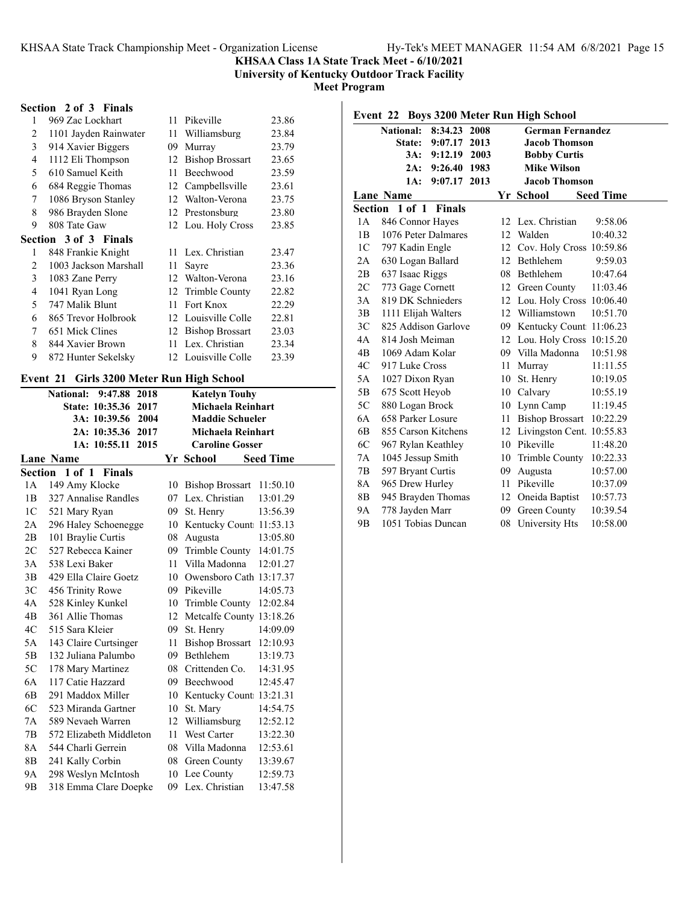**University of Kentucky Outdoor Track Facility**

**Meet Program**

## **Section 2 of 3 Finals**

| 1              | 969 Zac Lockhart             | 11 | Pikeville              | 23.86 |
|----------------|------------------------------|----|------------------------|-------|
| 2              | 1101 Jayden Rainwater        | 11 | Williamsburg           | 23.84 |
| 3              | 914 Xavier Biggers           | 09 | Murray                 | 23.79 |
| 4              | 1112 Eli Thompson            | 12 | <b>Bishop Brossart</b> | 23.65 |
| 5              | 610 Samuel Keith             | 11 | Beechwood              | 23.59 |
| 6              | 684 Reggie Thomas            | 12 | Campbellsville         | 23.61 |
| 7              | 1086 Bryson Stanley          | 12 | Walton-Verona          | 23.75 |
| 8              | 986 Brayden Slone            | 12 | Prestonsburg           | 23.80 |
| 9              | 808 Tate Gaw                 |    | 12 Lou. Holy Cross     | 23.85 |
|                | <b>Section 3 of 3 Finals</b> |    |                        |       |
| 1              | 848 Frankie Knight           | 11 | Lex. Christian         | 23.47 |
| $\mathfrak{D}$ | 1003 Jackson Marshall        | 11 | Sayre                  | 23.36 |
| 3              | 1083 Zane Perry              | 12 | Walton-Verona          | 23.16 |
| 4              | 1041 Ryan Long               | 12 | Trimble County         | 22.82 |
| 5              | 747 Malik Blunt              | 11 | Fort Knox              | 22.29 |
| 6              | 865 Trevor Holbrook          | 12 | Louisville Colle       | 22.81 |
| 7              | 651 Mick Clines              | 12 | <b>Bishop Brossart</b> | 23.03 |
| 8              | 844 Xavier Brown             | 11 | Lex. Christian         | 23.34 |
| 9              | 872 Hunter Sekelsky          |    | 12 Louisville Colle    | 23.39 |
|                |                              |    |                        |       |

## **Event 21 Girls 3200 Meter Run High School**

|                | <b>National:</b><br>9:47.88<br>2018 |     | <b>Katelyn Touhy</b>     |                  |
|----------------|-------------------------------------|-----|--------------------------|------------------|
|                | State: 10:35.36<br>2017             |     | Michaela Reinhart        |                  |
|                | 3A: 10:39.56<br>2004                |     | <b>Maddie Schueler</b>   |                  |
|                | 2A: 10:35.36<br>2017                |     | <b>Michaela Reinhart</b> |                  |
|                | 2015<br>1A: 10:55.11                |     | <b>Caroline Gosser</b>   |                  |
|                | <b>Lane Name</b>                    |     | Yr School                | <b>Seed Time</b> |
|                | Section 1 of 1 Finals               |     |                          |                  |
| 1A             | 149 Amy Klocke                      |     | 10 Bishop Brossart       | 11:50.10         |
| 1B             | 327 Annalise Randles                | 07  | Lex. Christian           | 13:01.29         |
| 1 <sup>C</sup> | 521 Mary Ryan                       | 09. | St. Henry                | 13:56.39         |
| 2A             | 296 Haley Schoenegge                | 10  | Kentucky Count 11:53.13  |                  |
| 2B             | 101 Braylie Curtis                  | 08  | Augusta                  | 13:05.80         |
| 2C             | 527 Rebecca Kainer                  | 09  | Trimble County 14:01.75  |                  |
| 3A             | 538 Lexi Baker                      | 11  | Villa Madonna            | 12:01.27         |
| 3B             | 429 Ella Claire Goetz               | 10  | Owensboro Cath 13:17.37  |                  |
| 3C             | 456 Trinity Rowe                    |     | 09 Pikeville             | 14:05.73         |
| 4A             | 528 Kinley Kunkel                   |     | 10 Trimble County        | 12:02.84         |
| 4B             | 361 Allie Thomas                    | 12  | Metcalfe County 13:18.26 |                  |
| 4C             | 515 Sara Kleier                     | 09  | St. Henry                | 14:09.09         |
| 5A             | 143 Claire Curtsinger               | 11  | <b>Bishop Brossart</b>   | 12:10.93         |
| 5B             | 132 Juliana Palumbo                 | 09  | Bethlehem                | 13:19.73         |
| 5C             | 178 Mary Martinez                   | 08  | Crittenden Co.           | 14:31.95         |
| 6A             | 117 Catie Hazzard                   | 09  | Beechwood                | 12:45.47         |
| 6B             | 291 Maddox Miller                   | 10  | Kentucky Count 13:21.31  |                  |
| 6C             | 523 Miranda Gartner                 | 10  | St. Marv                 | 14:54.75         |
| 7A             | 589 Nevaeh Warren                   | 12  | Williamsburg             | 12:52.12         |
| 7B             | 572 Elizabeth Middleton             | 11  | West Carter              | 13:22.30         |
| 8A             | 544 Charli Gerrein                  | 08  | Villa Madonna            | 12:53.61         |
| 8B             | 241 Kally Corbin                    | 08  | Green County             | 13:39.67         |
| 9Α             | 298 Weslyn McIntosh                 | 10  | Lee County               | 12:59.73         |
| 9Β             | 318 Emma Clare Doepke               |     | 09 Lex. Christian        | 13:47.58         |

|                |                     |               |      |    | Event 22 Boys 3200 Meter Run High School |                  |
|----------------|---------------------|---------------|------|----|------------------------------------------|------------------|
|                | National:           | 8:34.23       | 2008 |    | <b>German Fernandez</b>                  |                  |
|                | State:              | 9:07.17       | 2013 |    | <b>Jacob Thomson</b>                     |                  |
|                | 3A:                 | 9:12.19       | 2003 |    | <b>Bobby Curtis</b>                      |                  |
|                | 2A:                 | 9:26.40       | 1983 |    | <b>Mike Wilson</b>                       |                  |
|                | 1A:                 | 9:07.17 2013  |      |    | <b>Jacob Thomson</b>                     |                  |
|                | Lane Name           |               |      |    | Yr School                                | <b>Seed Time</b> |
| Section        | 1 of 1              | <b>Finals</b> |      |    |                                          |                  |
| 1A             | 846 Connor Hayes    |               |      |    | 12 Lex. Christian                        | 9:58.06          |
| 1B             | 1076 Peter Dalmares |               |      | 12 | Walden                                   | 10:40.32         |
| 1 <sup>C</sup> | 797 Kadin Engle     |               |      | 12 | Cov. Holy Cross 10:59.86                 |                  |
| 2A             | 630 Logan Ballard   |               |      |    | 12 Bethlehem                             | 9:59.03          |
| 2B             | 637 Isaac Riggs     |               |      |    | 08 Bethlehem                             | 10:47.64         |
| 2C             | 773 Gage Cornett    |               |      | 12 | Green County                             | 11:03.46         |
| 3A             | 819 DK Schnieders   |               |      |    | 12 Lou. Holy Cross 10:06.40              |                  |
| 3B             | 1111 Elijah Walters |               |      |    | 12 Williamstown                          | 10:51.70         |
| 3C             | 825 Addison Garlove |               |      |    | 09 Kentucky Count: 11:06.23              |                  |
| 4A             | 814 Josh Meiman     |               |      |    | 12 Lou. Holy Cross 10:15.20              |                  |
| 4B             | 1069 Adam Kolar     |               |      |    | 09 Villa Madonna                         | 10:51.98         |
| 4C             | 917 Luke Cross      |               |      | 11 | Murray                                   | 11:11.55         |
| 5A             | 1027 Dixon Ryan     |               |      | 10 | St. Henry                                | 10:19.05         |
| 5B             | 675 Scott Heyob     |               |      |    | 10 Calvary                               | 10:55.19         |
| 5C             | 880 Logan Brock     |               |      |    | 10 Lynn Camp                             | 11:19.45         |
| 6A             | 658 Parker Losure   |               |      | 11 | <b>Bishop Brossart</b>                   | 10:22.29         |
| 6B             | 855 Carson Kitchens |               |      |    | 12 Livingston Cent. 10:55.83             |                  |
| 6C             | 967 Rylan Keathley  |               |      | 10 | Pikeville                                | 11:48.20         |
| 7Α             | 1045 Jessup Smith   |               |      | 10 | Trimble County                           | 10:22.33         |
| 7B             | 597 Bryant Curtis   |               |      | 09 | Augusta                                  | 10:57.00         |
| 8A             | 965 Drew Hurley     |               |      | 11 | Pikeville                                | 10:37.09         |
| 8Β             | 945 Brayden Thomas  |               |      | 12 | Oneida Baptist                           | 10:57.73         |
| 9A             | 778 Jayden Marr     |               |      | 09 | Green County                             | 10:39.54         |
| 9Β             | 1051 Tobias Duncan  |               |      | 08 | University Hts                           | 10:58.00         |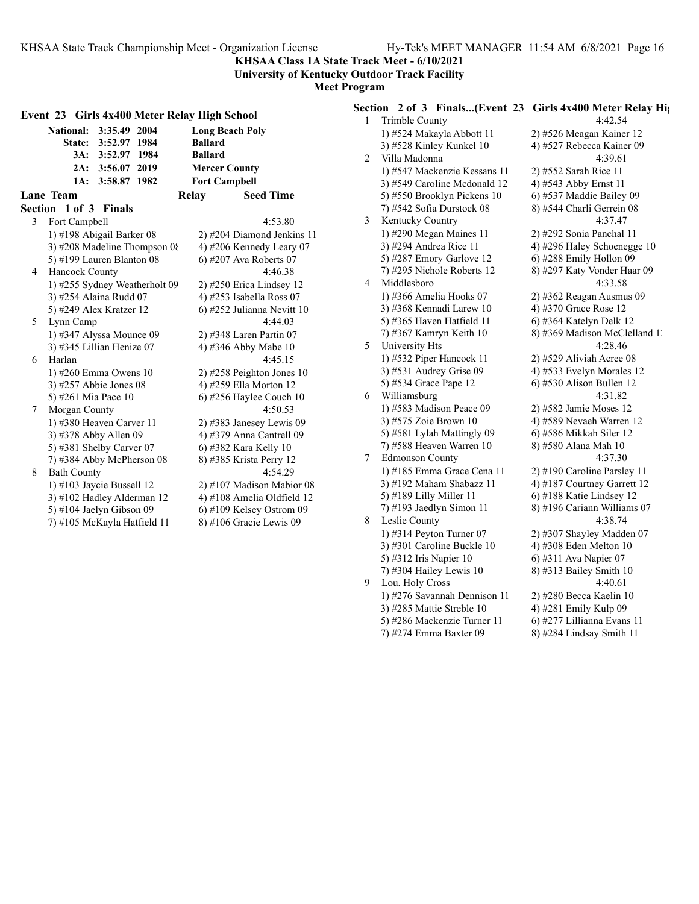**KHSAA Class 1A State Track Meet - 6/10/2021**

**University of Kentucky Outdoor Track Facility**

**Meet Program**

|   | National: 3:35.49 2004        | <b>Long Beach Poly</b>      |
|---|-------------------------------|-----------------------------|
|   | State: 3:52.97 1984           | <b>Ballard</b>              |
|   | 3A: 3:52.97 1984              | <b>Ballard</b>              |
|   | 2A: 3:56.07 2019              | <b>Mercer County</b>        |
|   | 3:58.87 1982<br>1A:           | <b>Fort Campbell</b>        |
|   | Lane Team                     | Relay<br><b>Seed Time</b>   |
|   | Section 1 of 3 Finals         |                             |
| 3 | Fort Campbell                 | 4:53.80                     |
|   | 1) #198 Abigail Barker 08     | 2) #204 Diamond Jenkins 11  |
|   | 3) #208 Madeline Thompson 08  | 4) #206 Kennedy Leary 07    |
|   | 5) #199 Lauren Blanton 08     | 6) #207 Ava Roberts 07      |
| 4 | Hancock County                | 4:46.38                     |
|   | 1) #255 Sydney Weatherholt 09 | 2) #250 Erica Lindsey 12    |
|   | 3) #254 Alaina Rudd 07        | 4) #253 Isabella Ross 07    |
|   | 5) #249 Alex Kratzer 12       | 6) #252 Julianna Nevitt 10  |
| 5 | Lynn Camp                     | 4:44.03                     |
|   | 1) #347 Alyssa Mounce 09      | 2) #348 Laren Partin 07     |
|   | 3) #345 Lillian Henize 07     | 4) #346 Abby Mabe 10        |
| 6 | Harlan                        | 4:45.15                     |
|   | 1) #260 Emma Owens 10         | 2) #258 Peighton Jones 10   |
|   | 3) #257 Abbie Jones 08        | 4) #259 Ella Morton 12      |
|   | 5) #261 Mia Pace 10           | $(6)$ #256 Haylee Couch 10  |
| 7 | Morgan County                 | 4:50.53                     |
|   | 1) #380 Heaven Carver 11      | $2)$ #383 Janesey Lewis 09  |
|   | 3) #378 Abby Allen 09         | 4) #379 Anna Cantrell 09    |
|   | 5) #381 Shelby Carver 07      | 6) #382 Kara Kelly 10       |
|   | 7) #384 Abby McPherson 08     | 8) #385 Krista Perry 12     |
| 8 | <b>Bath County</b>            | 4:54.29                     |
|   | 1) #103 Jaycie Bussell $12$   | $2)$ #107 Madison Mabior 08 |
|   | 3) #102 Hadley Alderman 12    | 4) #108 Amelia Oldfield 12  |
|   | 5) #104 Jaelyn Gibson 09      | $6$ ) #109 Kelsey Ostrom 09 |
|   | 7) #105 McKayla Hatfield 11   | 8) #106 Gracie Lewis 09     |

| оgгаш |                                                                |                               |
|-------|----------------------------------------------------------------|-------------------------------|
|       | Section 2 of 3 Finals(Event 23 Girls 4x400 Meter Relay Hights) |                               |
| 1     | Trimble County                                                 | 4:42.54                       |
|       | 1) #524 Makayla Abbott 11                                      | 2) #526 Meagan Kainer 12      |
|       | 3) #528 Kinley Kunkel 10                                       | 4) #527 Rebecca Kainer 09     |
| 2     | Villa Madonna                                                  | 4:39.61                       |
|       | 1) #547 Mackenzie Kessans 11                                   | 2) #552 Sarah Rice 11         |
|       | 3) #549 Caroline Mcdonald 12                                   | 4) #543 Abby Ernst 11         |
|       | 5) #550 Brooklyn Pickens 10                                    | 6) #537 Maddie Bailey 09      |
|       | 7) #542 Sofia Durstock 08                                      | 8) #544 Charli Gerrein 08     |
| 3     | Kentucky Country                                               | 4:37.47                       |
|       | 1) #290 Megan Maines 11                                        | 2) #292 Sonia Panchal 11      |
|       | 3) #294 Andrea Rice 11                                         | 4) #296 Haley Schoenegge 10   |
|       | 5) #287 Emory Garlove 12                                       | 6) #288 Emily Hollon 09       |
|       | 7) #295 Nichole Roberts 12                                     | 8) #297 Katy Vonder Haar 09   |
| 4     | Middlesboro                                                    | 4:33.58                       |
|       | 1) #366 Amelia Hooks 07                                        | 2) #362 Reagan Ausmus 09      |
|       | 3) #368 Kennadi Larew 10                                       | 4) #370 Grace Rose 12         |
|       | 5) #365 Haven Hatfield 11                                      | 6) #364 Katelyn Delk 12       |
|       | 7) #367 Kamryn Keith 10                                        | 8) #369 Madison McClelland 1. |
| 5     | University Hts                                                 | 4:28.46                       |
|       | 1) #532 Piper Hancock 11                                       | $2)$ #529 Aliviah Acree 08    |
|       | 3) #531 Audrey Grise 09                                        | 4) #533 Evelyn Morales 12     |
|       | 5) #534 Grace Pape 12                                          | $6$ ) #530 Alison Bullen 12   |
| 6     | Williamsburg                                                   | 4:31.82                       |
|       | 1) #583 Madison Peace 09                                       | 2) #582 Jamie Moses 12        |
|       | 3) #575 Zoie Brown 10                                          | 4) #589 Nevaeh Warren 12      |
|       | 5) #581 Lylah Mattingly 09                                     | 6) #586 Mikkah Siler 12       |
|       | 7) #588 Heaven Warren 10                                       | 8) #580 Alana Mah 10          |
| 7     | <b>Edmonson County</b>                                         | 4:37.30                       |
|       | 1) #185 Emma Grace Cena 11                                     | 2) #190 Caroline Parsley 11   |
|       | 3) #192 Maham Shabazz 11                                       | 4) #187 Courtney Garrett 12   |
|       | 5) #189 Lilly Miller 11                                        | 6) #188 Katie Lindsey 12      |
|       | 7) #193 Jaedlyn Simon 11                                       | 8) #196 Cariann Williams 07   |
| 8     | Leslie County                                                  | 4:38.74                       |
|       | 1) #314 Peyton Turner $07$                                     | 2) #307 Shayley Madden 07     |
|       | 3) #301 Caroline Buckle 10                                     | 4) #308 Eden Melton 10        |
|       | 5) #312 Iris Napier 10                                         | 6) #311 Ava Napier 07         |
|       | 7) #304 Hailey Lewis $10$                                      | 8) #313 Bailey Smith 10       |
| 9     | Lou. Holy Cross                                                | 4:40.61                       |
|       | 1) #276 Savannah Dennison 11                                   | 2) #280 Becca Kaelin 10       |

5) #286 Mackenzie Turner 11

- 
- 3) #285 Mattie Streble 10 <br>
5) #286 Mackenzie Turner 11 <br>
6) #277 Lillianna Evans 11
	-
- 7) #274 Emma Baxter 09 8) #284 Lindsay Smith 11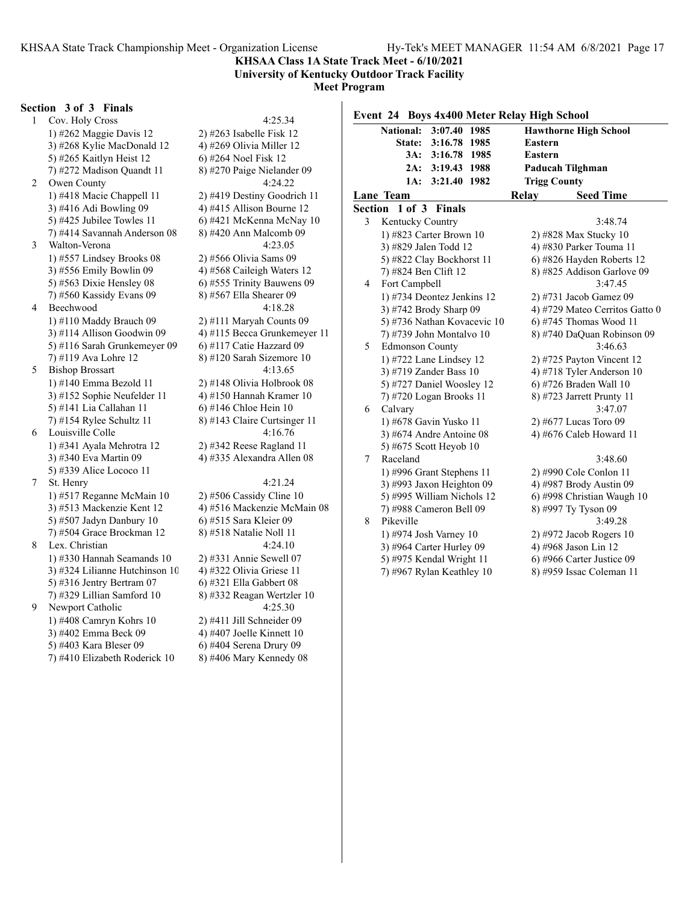#### **KHSAA Class 1A State Track Meet - 6/10/2021 University of Kentucky Outdoor Track Facility**

**Meet Program**

#### **Section 3 of 3 Finals**

1 Cov. Holy Cross 4:25.34 1) #262 Maggie Davis 12 2) #263 Isabelle Fisk 12 3) #268 Kylie MacDonald 12  $\qquad$  4) #269 Olivia Miller 12 5) #265 Kaitlyn Heist 12 6) #264 Noel Fisk 12 7) #272 Madison Quandt 11 8) #270 Paige Nielander 09 2 Owen County 4:24.22 1) #418 Macie Chappell 11 2) #419 Destiny Goodrich 11 3) #416 Adi Bowling 09  $\frac{4}{1415}$  Allison Bourne 12 5) #425 Jubilee Towles 11  $\qquad$  6) #421 McKenna McNay 10  $7)$  #414 Savannah Anderson 08  $8)$  #420 Ann Malcomb 09 3 Walton-Verona 4:23.05 1) #557 Lindsey Brooks 08 2) #566 Olivia Sams 09 3) #556 Emily Bowlin 09 4) #568 Caileigh Waters 12 5) #563 Dixie Hensley 08 6) #555 Trinity Bauwens 09 7) #560 Kassidy Evans 09 8) #567 Ella Shearer 09 4 Beechwood 4:18.28 1) #110 Maddy Brauch 09 2) #111 Maryah Counts 09 3) #114 Allison Goodwin 09  $\qquad$  4) #115 Becca Grunkemeyer 11 5) #116 Sarah Grunkemeyer 09 6) #117 Catie Hazzard 09 7) #119 Ava Lohre 12 8) #120 Sarah Sizemore 10 5 Bishop Brossart 4:13.65 1) #140 Emma Bezold 11 2) #148 Olivia Holbrook 08 3) #152 Sophie Neufelder 11  $\qquad$  4) #150 Hannah Kramer 10 5) #141 Lia Callahan 11 6) #146 Chloe Hein 10 7) #154 Rylee Schultz 11  $\qquad \qquad$  8) #143 Claire Curtsinger 11 6 Louisville Colle 4:16.76 1) #341 Ayala Mehrotra 12 2) #342 Reese Ragland 11 3) #340 Eva Martin 09 4) #335 Alexandra Allen 08 5) #339 Alice Lococo 11 7 St. Henry 4:21.24 1) #517 Reganne McMain 10 2) #506 Cassidy Cline 10 3) #513 Mackenzie Kent 12 4) #516 Mackenzie McMain 08 5) #507 Jadyn Danbury 10 6) #515 Sara Kleier 09 7) #504 Grace Brockman 12 8) #518 Natalie Noll 11 8 Lex. Christian 4:24.10 1) #330 Hannah Seamands 10 2) #331 Annie Sewell 07 3) #324 Lilianne Hutchinson 10  $\qquad$  4) #322 Olivia Griese 11 5) #316 Jentry Bertram 07 6) #321 Ella Gabbert 08 7) #329 Lillian Samford 10 8) #332 Reagan Wertzler 10 9 Newport Catholic 4:25.30 1) #408 Camryn Kohrs 10 2) #411 Jill Schneider 09 3) #402 Emma Beck 09 4) #407 Joelle Kinnett 10 5) #403 Kara Bleser 09 6) #404 Serena Drury 09

7) #410 Elizabeth Roderick 10  $8$ ) #406 Mary Kennedy 08

#### **Event 24 Boys 4x400 Meter Relay High School National: 3:07.40 1985 Hawthorne High School State: 3:16.78 1985 Eastern 3A: 3:16.78 1985 Eastern 2A: 3:19.43 1988 Paducah Tilghman 1A: 3:21.40 1982 Trigg County Lane Team Relay Seed Time Section 1 of 3 Finals** 3 Kentucky Country 3:48.74 1) #823 Carter Brown 10 2) #828 Max Stucky 10 3) #829 Jalen Todd 12 4) #830 Parker Touma 11 5) #822 Clay Bockhorst 11 6) #826 Hayden Roberts 12 7) #824 Ben Clift 12 8) #825 Addison Garlove 09 4 Fort Campbell 3:47.45 1) #734 Deontez Jenkins 12 2) #731 Jacob Gamez 09 3) #742 Brody Sharp  $09 \t 4$ ) #729 Mateo Cerritos Gatto 0 5) #736 Nathan Kovacevic 10  $\qquad$  6) #745 Thomas Wood 11 7) #739 John Montalvo 10 8) #740 DaQuan Robinson 09 5 Edmonson County 3:46.63 1) #722 Lane Lindsey 12 2) #725 Payton Vincent 12 3) #719 Zander Bass 10 4) #718 Tyler Anderson 10 5) #727 Daniel Woosley 12 6) #726 Braden Wall 10 7) #720 Logan Brooks 11 8) #723 Jarrett Prunty 11 6 Calvary 3:47.07 1) #678 Gavin Yusko 11 2) #677 Lucas Toro 09 3) #674 Andre Antoine 08 4) #676 Caleb Howard 11 5) #675 Scott Heyob 10 7 Raceland 3:48.60 1) #996 Grant Stephens 11 2) #990 Cole Conlon 11 3) #993 Jaxon Heighton 09 4) #987 Brody Austin 09 5) #995 William Nichols 12 6) #998 Christian Waugh 10 7) #988 Cameron Bell 09 8) #997 Ty Tyson 09 Pikeville 3:49.28 1) #974 Josh Varney 10 2) #972 Jacob Rogers 10 3) #964 Carter Hurley 09 4) #968 Jason Lin 12 5) #975 Kendal Wright 11 6) #966 Carter Justice 09 7) #967 Rylan Keathley 10 8) #959 Issac Coleman 11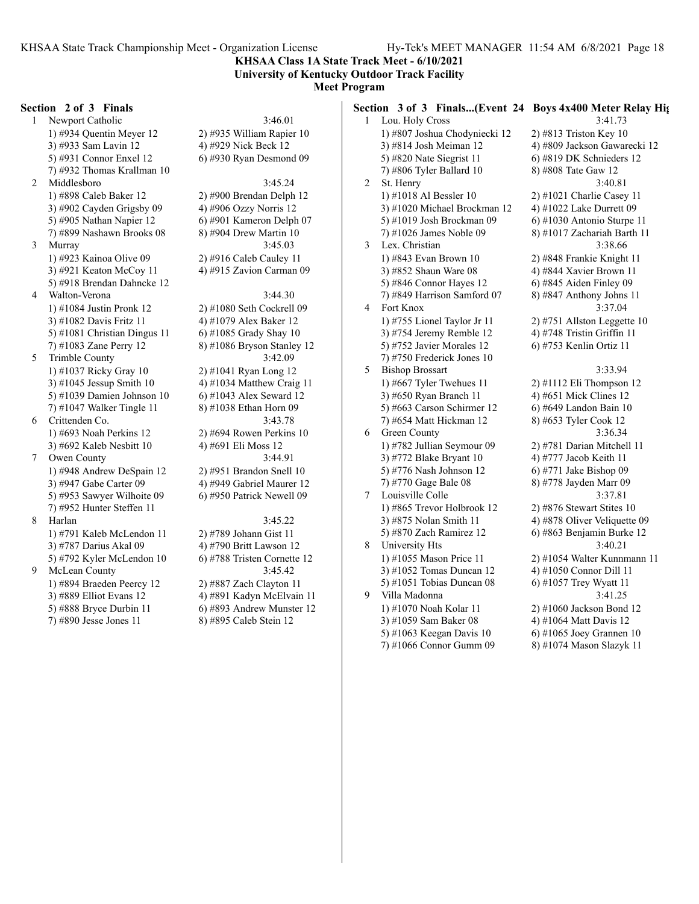**Section 3 of 3 Finals...(Event 24 Boys 4x400 Meter Relay Hig**

**KHSAA Class 1A State Track Meet - 6/10/2021 University of Kentucky Outdoor Track Facility**

## **Meet Program**

#### **Section 2 of 3 Finals**

1 Newport Catholic 3:46.01 1) #934 Quentin Meyer 12 2) #935 William Rapier 10 3) #933 Sam Lavin 12 4) #929 Nick Beck 12 5) #931 Connor Enxel 12 6) #930 Ryan Desmond 09 7) #932 Thomas Krallman 10 2 Middlesboro 3:45.24 1) #898 Caleb Baker 12 2) #900 Brendan Delph 12 3) #902 Cayden Grigsby  $09 \t 4$ ) #906 Ozzy Norris 12 5) #905 Nathan Napier 12 6) #901 Kameron Delph 07 7) #899 Nashawn Brooks 08 8) #904 Drew Martin 10 3 Murray 3:45.03 1) #923 Kainoa Olive 09 2) #916 Caleb Cauley 11 3) #921 Keaton McCoy 11  $\qquad$  4) #915 Zavion Carman 09 5) #918 Brendan Dahncke 12 4 Walton-Verona 3:44.30 1) #1084 Justin Pronk 12 2) #1080 Seth Cockrell 09 3) #1082 Davis Fritz 11 4) #1079 Alex Baker 12 5) #1081 Christian Dingus 11 6) #1085 Grady Shay 10 7) #1083 Zane Perry 12 8) #1086 Bryson Stanley 12 5 Trimble County 3:42.09 1) #1037 Ricky Gray 10 2) #1041 Ryan Long 12 3) #1045 Jessup Smith 10  $\qquad \qquad$  4) #1034 Matthew Craig 11 5) #1039 Damien Johnson 10 6) #1043 Alex Seward 12 7) #1047 Walker Tingle 11 8) #1038 Ethan Horn 09 6 Crittenden Co. 3:43.78 1) #693 Noah Perkins 12 2) #694 Rowen Perkins 10 3) #692 Kaleb Nesbitt 10 4) #691 Eli Moss 12 7 Owen County 3:44.91 1) #948 Andrew DeSpain 12 2) #951 Brandon Snell 10 3) #947 Gabe Carter 09 4) #949 Gabriel Maurer 12 5) #953 Sawyer Wilhoite 09 6) #950 Patrick Newell 09 7) #952 Hunter Steffen 11 8 Harlan 3:45.22 1) #791 Kaleb McLendon 11 2) #789 Johann Gist 11 3) #787 Darius Akal 09 4) #790 Britt Lawson 12 5) #792 Kyler McLendon 10 6) #788 Tristen Cornette 12 9 McLean County 3:45.42 1) #894 Braeden Peercy 12 2) #887 Zach Clayton 11 3) #889 Elliot Evans 12 4) #891 Kadyn McElvain 11

5) #888 Bryce Durbin 11 6) #893 Andrew Munster 12

1 Lou. Holy Cross 3:41.73 1) #807 Joshua Chodyniecki 12 2) #813 Triston Key 10 3) #814 Josh Meiman 12 4) #809 Jackson Gawarecki 12 5) #820 Nate Siegrist 11 6) #819 DK Schnieders 12 7) #806 Tyler Ballard 10 8) #808 Tate Gaw 12 2 St. Henry 3:40.81 1) #1018 Al Bessler 10 2) #1021 Charlie Casey 11 3) #1020 Michael Brockman 12  $4$ ) #1022 Lake Durrett 09 5) #1019 Josh Brockman 09 6) #1030 Antonio Sturpe 11 7) #1026 James Noble 09 8) #1017 Zachariah Barth 11 3 Lex. Christian 3:38.66 1) #843 Evan Brown 10 2) #848 Frankie Knight 11 3) #852 Shaun Ware 08 4) #844 Xavier Brown 11 5) #846 Connor Hayes 12 6) #845 Aiden Finley 09 7) #849 Harrison Samford 07 8) #847 Anthony Johns 11 4 Fort Knox 3:37.04 1) #755 Lionel Taylor Jr 11 2) #751 Allston Leggette 10 3) #754 Jeremy Remble 12  $\qquad$  4) #748 Tristin Griffin 11 5) #752 Javier Morales 12 6) #753 Kenlin Ortiz 11 7) #750 Frederick Jones 10 5 Bishop Brossart 3:33.94 1) #667 Tyler Twehues 11  $\qquad$  2) #1112 Eli Thompson 12 3) #650 Ryan Branch 11 4) #651 Mick Clines 12 5) #663 Carson Schirmer 12 6) #649 Landon Bain 10 7) #654 Matt Hickman 12 8) #653 Tyler Cook 12 6 Green County 3:36.34 1) #782 Jullian Seymour 09 2) #781 Darian Mitchell 11 3) #772 Blake Bryant 10  $\qquad \qquad$  4) #777 Jacob Keith 11 5) #776 Nash Johnson 12 6) #771 Jake Bishop 09 7) #770 Gage Bale 08 8) #778 Jayden Marr 09 7 Louisville Colle 3:37.81 1) #865 Trevor Holbrook 12 2) #876 Stewart Stites 10 3)  $\#875$  Nolan Smith 11 4)  $\#878$  Oliver Veliquette 09 5) #870 Zach Ramirez 12 6) #863 Benjamin Burke 12 8 University Hts 3:40.21 1) #1055 Mason Price 11 2) #1054 Walter Kunnmann 11 3) #1052 Tomas Duncan 12  $\qquad$  4) #1050 Connor Dill 11 5) #1051 Tobias Duncan 08 6) #1057 Trey Wyatt 11 9 Villa Madonna 3:41.25 1) #1070 Noah Kolar 11 2) #1060 Jackson Bond 12 3) #1059 Sam Baker 08 4) #1064 Matt Davis 12 5) #1063 Keegan Davis 10 6) #1065 Joey Grannen 10

- 
- 7) #1066 Connor Gumm 09 8) #1074 Mason Slazyk 11
- 
- 
- 7) #890 Jesse Jones 11 8) #895 Caleb Stein 12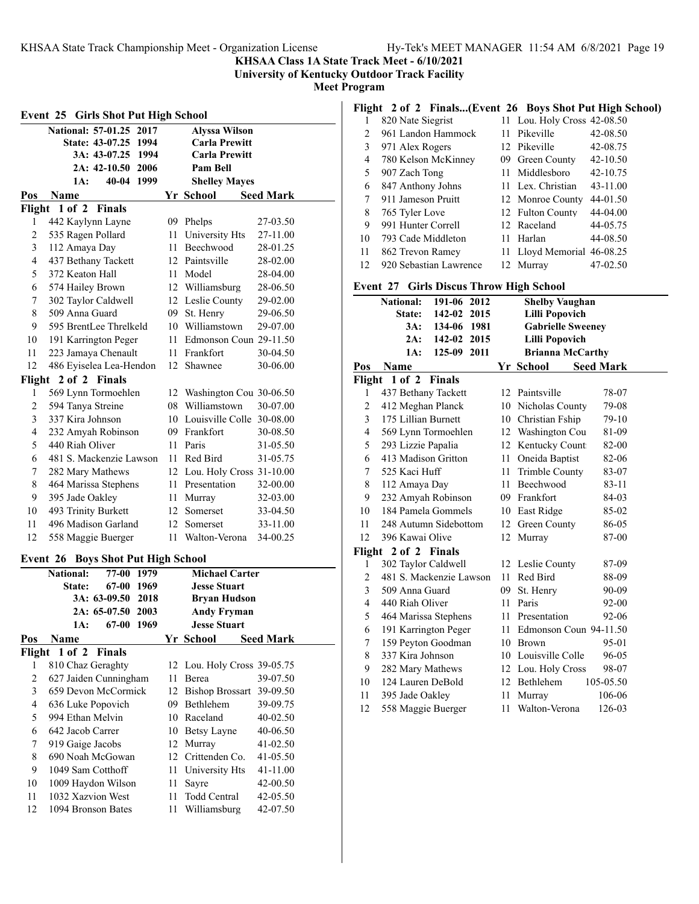**KHSAA Class 1A State Track Meet - 6/10/2021**

**University of Kentucky Outdoor Track Facility**

**Meet Program**

| <b>Girls Shot Put High School</b><br>Event 25 |                           |                                  |      |                              |                  |  |
|-----------------------------------------------|---------------------------|----------------------------------|------|------------------------------|------------------|--|
|                                               | <b>National: 57-01.25</b> | 2017                             |      | <b>Alyssa Wilson</b>         |                  |  |
|                                               |                           | State: 43-07.25 1994             |      | <b>Carla Prewitt</b>         |                  |  |
|                                               | 3A: 43-07.25              | 1994                             |      | <b>Carla Prewitt</b>         |                  |  |
|                                               | 2A: 42-10.50              | 2006                             |      | Pam Bell                     |                  |  |
|                                               | 1A:                       | 1999<br>40-04                    |      | <b>Shelley Mayes</b>         |                  |  |
| Pos                                           | Name                      |                                  |      | Yr School                    | <b>Seed Mark</b> |  |
| Flight                                        | 1 of 2                    | <b>Finals</b>                    |      |                              |                  |  |
| 1                                             | 442 Kaylynn Layne         |                                  |      | 09 Phelps                    | 27-03.50         |  |
| $\overline{c}$                                | 535 Ragen Pollard         |                                  |      | 11 University Hts            | 27-11.00         |  |
| 3                                             | 112 Amaya Day             |                                  |      | 11 Beechwood                 | 28-01.25         |  |
| $\overline{4}$                                | 437 Bethany Tackett       |                                  |      | 12 Paintsville               | 28-02.00         |  |
| 5                                             | 372 Keaton Hall           |                                  |      | 11 Model                     | 28-04.00         |  |
| 6                                             | 574 Hailey Brown          |                                  |      | 12 Williamsburg              | 28-06.50         |  |
| $\boldsymbol{7}$                              | 302 Taylor Caldwell       |                                  |      | 12 Leslie County             | 29-02.00         |  |
| 8                                             | 509 Anna Guard            |                                  |      | 09 St. Henry                 | 29-06.50         |  |
| 9                                             | 595 BrentLee Threlkeld    |                                  |      | 10 Williamstown              | 29-07.00         |  |
| 10                                            | 191 Karrington Peger      |                                  |      | 11 Edmonson Coun 29-11.50    |                  |  |
| 11                                            | 223 Jamaya Chenault       |                                  |      | 11 Frankfort                 | 30-04.50         |  |
| 12                                            | 486 Eyiselea Lea-Hendon   |                                  | 12   | Shawnee                      | 30-06.00         |  |
| Flight                                        | 2 of 2 Finals             |                                  |      |                              |                  |  |
| 1                                             | 569 Lynn Tormoehlen       |                                  |      | 12 Washington Cou 30-06.50   |                  |  |
| $\overline{c}$                                | 594 Tanya Streine         |                                  |      | 08 Williamstown              | 30-07.00         |  |
| 3                                             | 337 Kira Johnson          |                                  |      | 10 Louisville Colle 30-08.00 |                  |  |
| $\overline{4}$                                | 232 Amyah Robinson        |                                  |      | 09 Frankfort                 | 30-08.50         |  |
| 5                                             | 440 Riah Oliver           |                                  |      | 11 Paris                     | 31-05.50         |  |
| 6                                             | 481 S. Mackenzie Lawson   |                                  |      | 11 Red Bird                  | 31-05.75         |  |
| 7                                             | 282 Mary Mathews          |                                  |      | 12 Lou. Holy Cross 31-10.00  |                  |  |
| 8                                             | 464 Marissa Stephens      |                                  |      | 11 Presentation              | 32-00.00         |  |
| 9                                             | 395 Jade Oakley           |                                  |      | 11 Murray                    | 32-03.00         |  |
| 10                                            | 493 Trinity Burkett       |                                  |      | 12 Somerset                  | 33-04.50         |  |
| 11                                            | 496 Madison Garland       |                                  |      | 12 Somerset                  | 33-11.00         |  |
| 12                                            | 558 Maggie Buerger        |                                  | 11 - | Walton-Verona                | 34-00.25         |  |
| Event 26                                      |                           | <b>Boys Shot Put High School</b> |      |                              |                  |  |
|                                               | <b>National:</b>          | 77-00<br>1979                    |      | <b>Michael Carter</b>        |                  |  |
|                                               | State:                    | 67-00<br>1969                    |      | <b>Jesse Stuart</b>          |                  |  |
|                                               | 3A: 63-09.50              | 2018                             |      | <b>Bryan Hudson</b>          |                  |  |
|                                               | 2A: 65-07.50              | 2003                             |      | <b>Andy Fryman</b>           |                  |  |
|                                               | 1A:                       | 67-00 1969                       |      | <b>Jesse Stuart</b>          |                  |  |
| Pos                                           | Name                      |                                  |      | Yr School                    | <b>Seed Mark</b> |  |
| Flight                                        | $1$ of $2$                | <b>Finals</b>                    |      |                              |                  |  |
| 1                                             | 810 Chaz Geraghty         |                                  |      | 12 Lou. Holy Cross 39-05.75  |                  |  |
| $\overline{2}$                                | 627 Jaiden Cunningham     |                                  | 11   | Berea                        | 39-07.50         |  |
| 3                                             | 659 Devon McCormick       |                                  | 12   | Bishop Brossart 39-09.50     |                  |  |
| $\overline{4}$                                | 636 Luke Popovich         |                                  |      | 09 Bethlehem                 | 39-09.75         |  |
| 5                                             | 994 Ethan Melvin          |                                  |      | 10 Raceland                  | 40-02.50         |  |
| 6                                             | 642 Jacob Carrer          |                                  |      | 10 Betsy Layne               | 40-06.50         |  |
| 7                                             | 919 Gaige Jacobs          |                                  |      | 12 Murray                    | 41-02.50         |  |
| 8                                             | 690 Noah McGowan          |                                  |      | 12 Crittenden Co.            | 41-05.50         |  |
| 9                                             | 1049 Sam Cotthoff         |                                  | 11   | University Hts               | 41-11.00         |  |
| 10                                            | 1009 Haydon Wilson        |                                  | 11   | Sayre                        | 42-00.50         |  |
| 11                                            | 1032 Xazvion West         |                                  | 11   | Todd Central                 | 42-05.50         |  |

1094 Bronson Bates 11 Williamsburg 42-07.50

## **Flight 2 of 2 Finals...(Event 26 Boys Shot Put High School)**

|                | 820 Nate Siegrist      | 11 Lou. Holy Cross 42-08.50 |              |
|----------------|------------------------|-----------------------------|--------------|
| $\mathfrak{D}$ | 961 Landon Hammock     | 11 Pikeville                | 42-08.50     |
| 3              | 971 Alex Rogers        | 12 Pikeville                | 42-08.75     |
| 4              | 780 Kelson McKinney    | 09 Green County             | $42 - 10.50$ |
| 5              | 907 Zach Tong          | 11 Middlesboro              | 42-10.75     |
| 6              | 847 Anthony Johns      | 11 Lex. Christian           | 43-11.00     |
| 7              | 911 Jameson Pruitt     | 12 Monroe County            | 44-01.50     |
| 8              | 765 Tyler Love         | 12 Fulton County            | 44-04.00     |
| 9              | 991 Hunter Correll     | 12 Raceland                 | 44-05.75     |
| 10             | 793 Cade Middleton     | 11 Harlan                   | 44-08.50     |
| 11             | 862 Trevon Ramey       | 11 Lloyd Memorial 46-08.25  |              |
| 12             | 920 Sebastian Lawrence | 12 Murray                   | 47-02.50     |

## **Event 27 Girls Discus Throw High School**

|     | <b>National:</b><br>191-06 2012 |    | <b>Shelby Vaughan</b>          |  |
|-----|---------------------------------|----|--------------------------------|--|
|     | 142-02 2015<br>State:           |    | <b>Lilli Popovich</b>          |  |
|     | $3A$ :<br>134-06 1981           |    | <b>Gabrielle Sweeney</b>       |  |
|     | 2A: 142-02 2015                 |    | <b>Lilli Popovich</b>          |  |
|     | 125-09 2011<br>1A:              |    | <b>Brianna McCarthy</b>        |  |
| Pos | Name                            |    | Yr School Seed Mark            |  |
|     | Flight 1 of 2 Finals            |    |                                |  |
| 1   | 437 Bethany Tackett             |    | 12 Paintsville<br>78-07        |  |
| 2   | 412 Meghan Planck               |    | 10 Nicholas County<br>79-08    |  |
| 3   | 175 Lillian Burnett             |    | 10 Christian Fship<br>79-10    |  |
| 4   | 569 Lynn Tormoehlen             |    | 12 Washington Cou<br>81-09     |  |
| 5   | 293 Lizzie Papalia              |    | 12 Kentucky Count:<br>82-00    |  |
| 6   | 413 Madison Gritton             |    | 11 Oneida Baptist<br>82-06     |  |
| 7   | 525 Kaci Huff                   | 11 | <b>Trimble County</b><br>83-07 |  |
| 8   | 112 Amaya Day                   |    | 11 Beechwood<br>83-11          |  |
| 9   | 232 Amyah Robinson              |    | 09 Frankfort<br>84-03          |  |
| 10  | 184 Pamela Gommels              |    | 10 East Ridge<br>85-02         |  |
| 11  | 248 Autumn Sidebottom           |    | 86-05<br>12 Green County       |  |
| 12  | 396 Kawai Olive                 |    | 87-00<br>12 Murray             |  |
|     | Flight 2 of 2 Finals            |    |                                |  |
| 1   | 302 Taylor Caldwell             |    | 12 Leslie County<br>87-09      |  |
| 2   | 481 S. Mackenzie Lawson         |    | 11 Red Bird<br>88-09           |  |
| 3   | 509 Anna Guard                  | 09 | St. Henry<br>90-09             |  |
| 4   | 440 Riah Oliver                 | 11 | Paris<br>$92 - 00$             |  |
| 5   | 464 Marissa Stephens            |    | 92-06<br>11 Presentation       |  |
| 6   | 191 Karrington Peger            |    | 11 Edmonson Coun 94-11.50      |  |
| 7   | 159 Peyton Goodman              |    | 10 Brown<br>95-01              |  |
| 8   | 337 Kira Johnson                |    | 10 Louisville Colle<br>96-05   |  |
| 9   | 282 Mary Mathews                |    | 12 Lou. Holy Cross<br>98-07    |  |
| 10  | 124 Lauren DeBold               |    | 12 Bethlehem<br>105-05.50      |  |
| 11  | 395 Jade Oakley                 | 11 | 106-06<br>Murray               |  |
| 12  | 558 Maggie Buerger              | 11 | Walton-Verona<br>126-03        |  |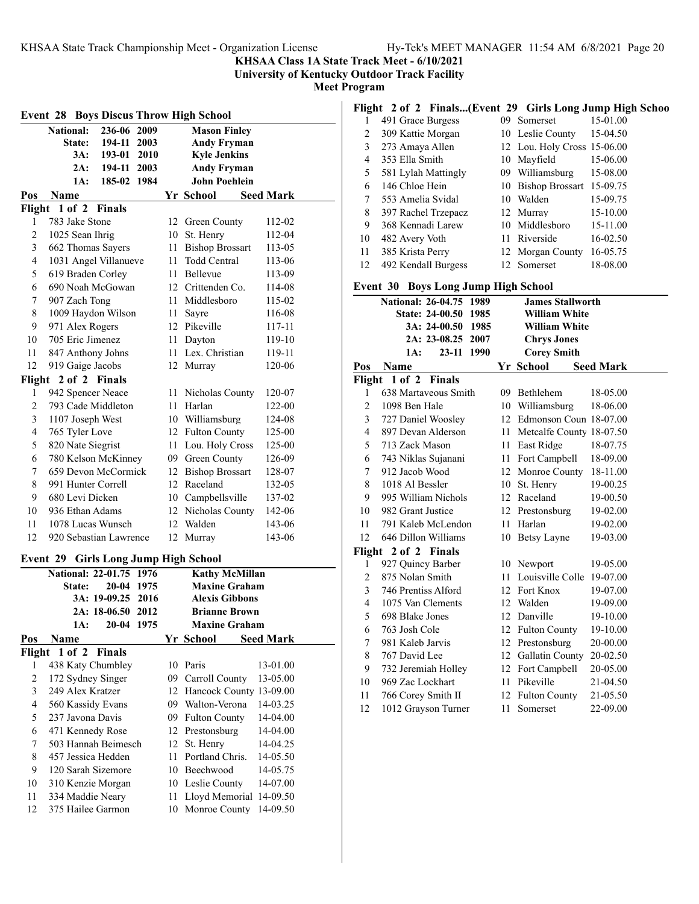**KHSAA Class 1A State Track Meet - 6/10/2021**

**University of Kentucky Outdoor Track Facility**

**Meet Program**

| <b>Event 28 Boys Discus Throw High School</b> |                                                        |                 |      |          |                                                |                      |  |
|-----------------------------------------------|--------------------------------------------------------|-----------------|------|----------|------------------------------------------------|----------------------|--|
|                                               | <b>National:</b><br>236-06 2009<br><b>Mason Finley</b> |                 |      |          |                                                |                      |  |
|                                               | State:                                                 | 194-11 2003     |      |          | <b>Andy Fryman</b>                             |                      |  |
|                                               |                                                        | 3A: 193-01 2010 |      |          | <b>Kyle Jenkins</b>                            |                      |  |
|                                               | 2A:                                                    | 194-11 2003     |      |          | <b>Andy Fryman</b>                             |                      |  |
|                                               | 1A:                                                    | 185-02 1984     |      |          | <b>John Poehlein</b>                           |                      |  |
| Pos                                           | Name                                                   |                 |      |          | Yr School                                      | <b>Seed Mark</b>     |  |
| Flight                                        | 1 of 2 Finals                                          |                 |      |          |                                                |                      |  |
| 1                                             | 783 Jake Stone                                         |                 |      |          | 12 Green County                                | 112-02               |  |
| 2                                             | 1025 Sean Ihrig                                        |                 |      |          | 10 St. Henry                                   | 112-04               |  |
| 3                                             | 662 Thomas Sayers                                      |                 |      |          | 11 Bishop Brossart                             | 113-05               |  |
| $\overline{4}$                                | 1031 Angel Villanueve                                  |                 |      |          | 11 Todd Central                                | 113-06               |  |
| 5                                             | 619 Braden Corley                                      |                 |      |          | 11 Bellevue                                    | 113-09               |  |
| 6                                             | 690 Noah McGowan                                       |                 |      |          | 12 Crittenden Co.                              | 114-08               |  |
| 7                                             | 907 Zach Tong                                          |                 |      |          | 11 Middlesboro                                 | 115-02               |  |
| 8                                             | 1009 Haydon Wilson                                     |                 |      |          | 11 Sayre                                       | 116-08               |  |
| 9                                             | 971 Alex Rogers                                        |                 |      |          | 12 Pikeville                                   | 117-11               |  |
| 10                                            | 705 Eric Jimenez                                       |                 |      |          | 11 Dayton                                      | 119-10               |  |
| 11                                            | 847 Anthony Johns                                      |                 |      |          | 11 Lex. Christian                              | 119-11               |  |
| 12                                            | 919 Gaige Jacobs                                       |                 |      |          | 12 Murray                                      | 120-06               |  |
|                                               | Flight 2 of 2 Finals                                   |                 |      |          |                                                |                      |  |
| 1                                             | 942 Spencer Neace                                      |                 |      |          | 11 Nicholas County                             | 120-07               |  |
| $\overline{c}$                                | 793 Cade Middleton                                     |                 |      |          | 11 Harlan                                      | 122-00               |  |
| 3                                             | 1107 Joseph West                                       |                 |      |          | 10 Williamsburg                                | 124-08               |  |
| $\overline{4}$                                | 765 Tyler Love                                         |                 |      |          | 12 Fulton County                               | 125-00               |  |
| 5                                             | 820 Nate Siegrist                                      |                 |      |          | 11 Lou. Holy Cross                             | 125-00               |  |
| 6                                             | 780 Kelson McKinney                                    |                 |      |          | 09 Green County                                | 126-09               |  |
| 7                                             | 659 Devon McCormick                                    |                 |      |          | 12 Bishop Brossart                             | 128-07               |  |
| 8                                             | 991 Hunter Correll                                     |                 |      |          | 12 Raceland                                    | 132-05               |  |
| 9                                             | 680 Levi Dicken                                        |                 |      |          | 10 Campbellsville                              | 137-02               |  |
| 10                                            | 936 Ethan Adams                                        |                 |      |          | 12 Nicholas County                             | 142-06               |  |
| 11                                            | 1078 Lucas Wunsch                                      |                 |      |          | 12 Walden                                      | 143-06               |  |
| 12                                            | 920 Sebastian Lawrence                                 |                 |      |          | 12 Murray                                      | 143-06               |  |
| Event 29                                      |                                                        |                 |      |          | <b>Girls Long Jump High School</b>             |                      |  |
|                                               | <b>National: 22-01.75</b>                              |                 | 1976 |          | <b>Kathy McMillan</b>                          |                      |  |
|                                               | <b>State:</b>                                          | 20-04 1975      |      |          | <b>Maxine Graham</b>                           |                      |  |
|                                               |                                                        | 3A: 19-09.25    | 2016 |          | Alexis Gibbons                                 |                      |  |
|                                               |                                                        | 2A: 18-06.50    | 2012 |          | <b>Brianne Brown</b>                           |                      |  |
|                                               | 1A:                                                    | 20-04 1975      |      |          | <b>Maxine Graham</b>                           |                      |  |
| Pos                                           | Name                                                   |                 |      |          | Yr School                                      | <b>Seed Mark</b>     |  |
| Flight                                        | $1$ of $2$                                             | <b>Finals</b>   |      |          |                                                |                      |  |
| 1<br>$\overline{c}$                           | 438 Katy Chumbley                                      |                 |      |          | 10 Paris<br>09 Carroll County                  | 13-01.00<br>13-05.00 |  |
| 3                                             | 172 Sydney Singer<br>249 Alex Kratzer                  |                 |      |          |                                                |                      |  |
| $\overline{4}$                                | 560 Kassidy Evans                                      |                 |      |          | 12 Hancock County 13-09.00<br>09 Walton-Verona | 14-03.25             |  |
|                                               |                                                        |                 |      |          |                                                |                      |  |
| 5<br>6                                        | 237 Javona Davis<br>471 Kennedy Rose                   |                 |      |          | 09 Fulton County<br>12 Prestonsburg            | 14-04.00<br>14-04.00 |  |
| 7                                             | 503 Hannah Beimesch                                    |                 |      |          | 12 St. Henry                                   | 14-04.25             |  |
| 8                                             | 457 Jessica Hedden                                     |                 |      | 11       | Portland Chris.                                | 14-05.50             |  |
| 9                                             | 120 Sarah Sizemore                                     |                 |      |          | 10 Beechwood                                   | 14-05.75             |  |
| 10                                            |                                                        |                 |      |          | 10 Leslie County                               | 14-07.00             |  |
| 11                                            | 310 Kenzie Morgan                                      |                 |      |          |                                                |                      |  |
| 12                                            | 334 Maddie Neary<br>375 Hailee Garmon                  |                 |      | 11<br>10 | Lloyd Memorial 14-09.50                        | 14-09.50             |  |
|                                               |                                                        |                 |      |          | Monroe County                                  |                      |  |

## **Flight 2 of 2 Finals...(Event 29 Girls Long Jump High Schoo**

| ິ  |                     |    |                             |          |
|----|---------------------|----|-----------------------------|----------|
|    | 491 Grace Burgess   | 09 | Somerset                    | 15-01.00 |
| 2  | 309 Kattie Morgan   |    | 10 Leslie County            | 15-04.50 |
| 3  | 273 Amaya Allen     |    | 12 Lou. Holy Cross 15-06.00 |          |
| 4  | 353 Ella Smith      |    | 10 Mayfield                 | 15-06.00 |
| 5  | 581 Lylah Mattingly |    | 09 Williamsburg             | 15-08.00 |
| 6  | 146 Chloe Hein      |    | 10 Bishop Brossart 15-09.75 |          |
| 7  | 553 Amelia Svidal   |    | 10 Walden                   | 15-09.75 |
| 8  | 397 Rachel Trzepacz |    | 12 Murray                   | 15-10.00 |
| 9  | 368 Kennadi Larew   |    | 10 Middlesboro              | 15-11.00 |
| 10 | 482 Avery Voth      |    | 11 Riverside                | 16-02.50 |
| 11 | 385 Krista Perry    |    | 12 Morgan County            | 16-05.75 |
| 12 | 492 Kendall Burgess |    | 12 Somerset                 | 18-08.00 |
|    |                     |    |                             |          |

## **Event 30 Boys Long Jump High School**

|                | $_{\text{20}}$ , $_{\text{20}}$ $_{\text{20}}$ $_{\text{20}}$ $_{\text{20}}$ $_{\text{21}}$ $_{\text{22}}$ $_{\text{22}}$ $_{\text{23}}$ $_{\text{24}}$ |                              |          |
|----------------|---------------------------------------------------------------------------------------------------------------------------------------------------------|------------------------------|----------|
|                | National: 26-04.75 1989                                                                                                                                 | <b>James Stallworth</b>      |          |
|                | State: 24-00.50 1985                                                                                                                                    | <b>William White</b>         |          |
|                | 3A: 24-00.50 1985                                                                                                                                       | <b>William White</b>         |          |
|                | 2A: 23-08.25 2007                                                                                                                                       | <b>Chrys Jones</b>           |          |
|                | 1A:<br>23-11 1990                                                                                                                                       | <b>Corey Smith</b>           |          |
| Pos            | Name                                                                                                                                                    | Yr School Seed Mark          |          |
|                | Flight 1 of 2 Finals                                                                                                                                    |                              |          |
| 1              | 638 Martayeous Smith                                                                                                                                    | 09 Bethlehem                 | 18-05.00 |
| $\overline{2}$ | 1098 Ben Hale                                                                                                                                           | 10 Williamsburg              | 18-06.00 |
| $\overline{3}$ | 727 Daniel Woosley                                                                                                                                      | 12 Edmonson Coun 18-07.00    |          |
| $\overline{4}$ | 897 Devan Alderson                                                                                                                                      | 11 Metcalfe County 18-07.50  |          |
| 5              | 713 Zack Mason                                                                                                                                          | 11 East Ridge                | 18-07.75 |
| 6              | 743 Niklas Sujanani                                                                                                                                     | 11 Fort Campbell 18-09.00    |          |
| 7              | 912 Jacob Wood                                                                                                                                          | 12 Monroe County 18-11.00    |          |
| $\,$ 8 $\,$    | 1018 Al Bessler                                                                                                                                         | 10 St. Henry                 | 19-00.25 |
| 9              | 995 William Nichols                                                                                                                                     | 12 Raceland                  | 19-00.50 |
| 10             | 982 Grant Justice                                                                                                                                       | 12 Prestonsburg              | 19-02.00 |
| 11             | 791 Kaleb McLendon                                                                                                                                      | 11 Harlan                    | 19-02.00 |
| 12             | 646 Dillon Williams                                                                                                                                     | 10 Betsy Layne               | 19-03.00 |
|                | Flight 2 of 2 Finals                                                                                                                                    |                              |          |
| 1              | 927 Quincy Barber                                                                                                                                       | 10 Newport                   | 19-05.00 |
| $\overline{2}$ | 875 Nolan Smith                                                                                                                                         | 11 Louisville Colle 19-07.00 |          |
| 3              | 746 Prentiss Alford                                                                                                                                     | 12 Fort Knox                 | 19-07.00 |
| $\overline{4}$ | 1075 Van Clements                                                                                                                                       | 12 Walden                    | 19-09.00 |
| 5              | 698 Blake Jones                                                                                                                                         | 12 Danville                  | 19-10.00 |
| 6              | 763 Josh Cole                                                                                                                                           | 12 Fulton County             | 19-10.00 |
| 7              | 981 Kaleb Jarvis                                                                                                                                        | 12 Prestonsburg              | 20-00.00 |
| $\,$ 8 $\,$    | 767 David Lee                                                                                                                                           | 12 Gallatin County           | 20-02.50 |
| 9              | 732 Jeremiah Holley                                                                                                                                     | 12 Fort Campbell             | 20-05.00 |
| 10             | 969 Zac Lockhart                                                                                                                                        | 11 Pikeville                 | 21-04.50 |
| 11             | 766 Corey Smith II                                                                                                                                      | 12 Fulton County             | 21-05.50 |
| 12             | 1012 Grayson Turner                                                                                                                                     | 11 Somerset                  | 22-09.00 |
|                |                                                                                                                                                         |                              |          |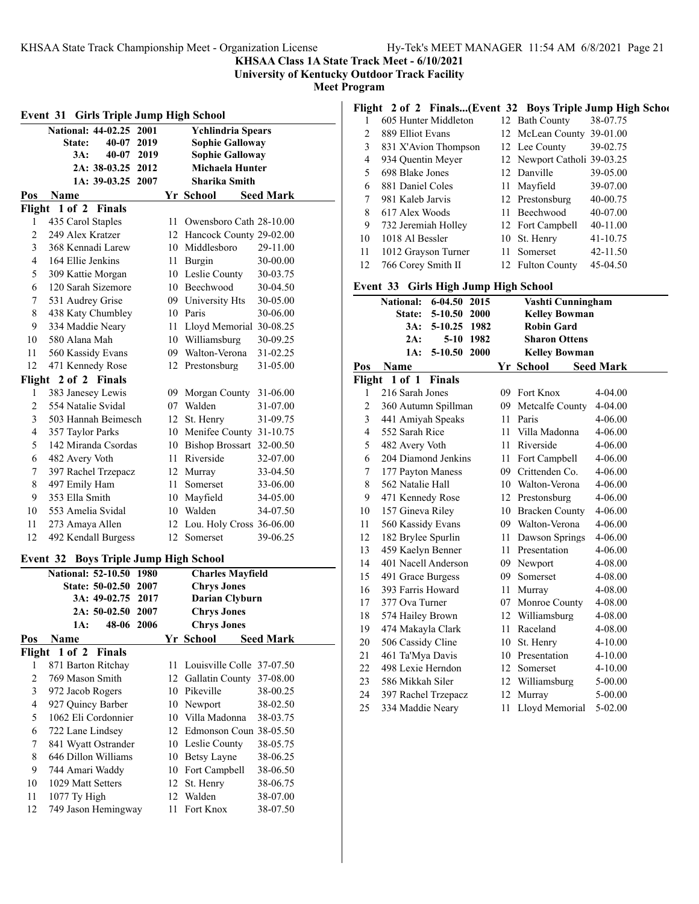**KHSAA Class 1A State Track Meet - 6/10/2021**

**University of Kentucky Outdoor Track Facility**

**Meet Program**

| <b>Event 31 Girls Triple Jump High School</b> |                                     |    |                             |                  |  |  |
|-----------------------------------------------|-------------------------------------|----|-----------------------------|------------------|--|--|
|                                               | National: 44-02.25 2001             |    | <b>Ychlindria Spears</b>    |                  |  |  |
|                                               | 40-07<br>2019<br><b>State:</b>      |    | <b>Sophie Galloway</b>      |                  |  |  |
|                                               | 3A:<br>40-07 2019                   |    | <b>Sophie Galloway</b>      |                  |  |  |
|                                               | 2A: 38-03.25 2012                   |    | Michaela Hunter             |                  |  |  |
|                                               | 1A: 39-03.25 2007                   |    | Sharika Smith               |                  |  |  |
| Pos                                           | <b>Name</b>                         |    | Yr School                   | <b>Seed Mark</b> |  |  |
|                                               | Flight 1 of 2<br>Finals             |    |                             |                  |  |  |
| 1                                             | 435 Carol Staples                   |    | 11 Owensboro Cath 28-10.00  |                  |  |  |
| $\overline{c}$                                | 249 Alex Kratzer                    |    | 12 Hancock County 29-02.00  |                  |  |  |
| 3                                             | 368 Kennadi Larew                   |    | 10 Middlesboro              | 29-11.00         |  |  |
| 4                                             | 164 Ellie Jenkins                   |    | 11 Burgin                   | 30-00.00         |  |  |
| 5                                             | 309 Kattie Morgan                   |    | 10 Leslie County            | 30-03.75         |  |  |
| 6                                             | 120 Sarah Sizemore                  |    | 10 Beechwood                | 30-04.50         |  |  |
| 7                                             | 531 Audrey Grise                    |    | 09 University Hts           | 30-05.00         |  |  |
| 8                                             | 438 Katy Chumbley                   |    | 10 Paris                    | 30-06.00         |  |  |
| 9                                             | 334 Maddie Neary                    |    | 11 Lloyd Memorial 30-08.25  |                  |  |  |
| 10                                            | 580 Alana Mah                       |    | 10 Williamsburg             | 30-09.25         |  |  |
| 11                                            | 560 Kassidy Evans                   |    | 09 Walton-Verona            | 31-02.25         |  |  |
| 12                                            | 471 Kennedy Rose                    |    | 12 Prestonsburg             | 31-05.00         |  |  |
| Flight                                        | 2 of 2 Finals                       |    |                             |                  |  |  |
| 1                                             | 383 Janesey Lewis                   |    | 09 Morgan County 31-06.00   |                  |  |  |
| $\overline{c}$                                | 554 Natalie Svidal                  |    | 07 Walden                   | 31-07.00         |  |  |
| 3                                             | 503 Hannah Beimesch                 |    | 12 St. Henry                | 31-09.75         |  |  |
| $\overline{4}$                                | 357 Taylor Parks                    |    | 10 Menifee County 31-10.75  |                  |  |  |
| 5                                             | 142 Miranda Csordas                 |    | 10 Bishop Brossart 32-00.50 |                  |  |  |
| 6                                             | 482 Avery Voth                      |    | 11 Riverside                | 32-07.00         |  |  |
| 7                                             | 397 Rachel Trzepacz                 |    | 12 Murray                   | 33-04.50         |  |  |
| 8                                             | 497 Emily Ham                       |    | 11 Somerset                 | 33-06.00         |  |  |
| 9                                             | 353 Ella Smith                      |    | 10 Mayfield                 | 34-05.00         |  |  |
| 10                                            | 553 Amelia Svidal                   |    | 10 Walden                   | 34-07.50         |  |  |
| 11                                            | 273 Amaya Allen                     |    | 12 Lou. Holy Cross 36-06.00 |                  |  |  |
| 12                                            | 492 Kendall Burgess                 |    | 12 Somerset                 | 39-06.25         |  |  |
| Event 32                                      | <b>Boys Triple Jump High School</b> |    |                             |                  |  |  |
|                                               | National: 52-10.50 1980             |    | <b>Charles Mayfield</b>     |                  |  |  |
|                                               | State: 50-02.50 2007                |    | <b>Chrys Jones</b>          |                  |  |  |
|                                               | 3A: 49-02.75 2017                   |    | <b>Darian Clyburn</b>       |                  |  |  |
|                                               | 2A: 50-02.50 2007                   |    | <b>Chrys Jones</b>          |                  |  |  |
|                                               | 48-06 2006<br>1A:                   |    | <b>Chrys Jones</b>          |                  |  |  |
| Pos                                           | Name                                |    | Yr School                   | <b>Seed Mark</b> |  |  |
|                                               | Flight 1 of 2<br>Finals             |    |                             |                  |  |  |
| 1                                             | 871 Barton Ritchay                  | 11 | Louisville Colle 37-07.50   |                  |  |  |
| $\overline{c}$                                | 769 Mason Smith                     |    | 12 Gallatin County          | 37-08.00         |  |  |
| 3                                             | 972 Jacob Rogers                    |    | 10 Pikeville                | 38-00.25         |  |  |
| $\overline{4}$                                | 927 Quincy Barber                   |    | 10 Newport                  | 38-02.50         |  |  |
| 5                                             | 1062 Eli Cordonnier                 |    | 10 Villa Madonna            | 38-03.75         |  |  |
| 6                                             | 722 Lane Lindsey                    |    | 12 Edmonson Coun 38-05.50   |                  |  |  |
| 7                                             | 841 Wyatt Ostrander                 |    | 10 Leslie County            | 38-05.75         |  |  |
| 8                                             | 646 Dillon Williams                 |    | 10 Betsy Layne              | 38-06.25         |  |  |
| 9                                             | 744 Amari Waddy                     |    | 10 Fort Campbell            | 38-06.50         |  |  |
| 10                                            | 1029 Matt Setters                   |    | 12 St. Henry                | 38-06.75         |  |  |
| 11                                            | 1077 Ty High                        |    | 12 Walden                   | 38-07.00         |  |  |
| 12                                            | 749 Jason Hemingway                 | 11 | Fort Knox                   | 38-07.50         |  |  |
|                                               |                                     |    |                             |                  |  |  |

|  |  | Flight 2 of 2 Finals(Event 32 Boys Triple Jump High School |  |
|--|--|------------------------------------------------------------|--|
|  |  |                                                            |  |

|    | 605 Hunter Middleton | 12 Bath County              | 38-07.75 |
|----|----------------------|-----------------------------|----------|
| 2  | 889 Elliot Evans     | 12 McLean County 39-01.00   |          |
| 3  | 831 X'Avion Thompson | 12 Lee County               | 39-02.75 |
| 4  | 934 Quentin Meyer    | 12 Newport Catholi 39-03.25 |          |
| 5  | 698 Blake Jones      | 12 Danville                 | 39-05.00 |
| 6  | 881 Daniel Coles     | 11 Mayfield                 | 39-07.00 |
| 7  | 981 Kaleb Jarvis     | 12 Prestonsburg             | 40-00.75 |
| 8  | 617 Alex Woods       | 11 Beechwood                | 40-07.00 |
| 9  | 732 Jeremiah Holley  | 12 Fort Campbell            | 40-11.00 |
| 10 | 1018 Al Bessler      | 10 St. Henry                | 41-10.75 |
| 11 | 1012 Grayson Turner  | Somerset                    | 42-11.50 |
| 12 | 766 Corey Smith II   | 12 Fulton County            | 45-04.50 |

#### **Event 33 Girls High Jump High School**

|                                   |      | Vashti Cunningham                                   |                                                                                                                                                                                                                                                                                                                                                                                                                                                                             |
|-----------------------------------|------|-----------------------------------------------------|-----------------------------------------------------------------------------------------------------------------------------------------------------------------------------------------------------------------------------------------------------------------------------------------------------------------------------------------------------------------------------------------------------------------------------------------------------------------------------|
| 5-10.50<br><b>State:</b>          |      | <b>Kelley Bowman</b>                                |                                                                                                                                                                                                                                                                                                                                                                                                                                                                             |
| 3A:<br>5-10.25                    |      | <b>Robin Gard</b>                                   |                                                                                                                                                                                                                                                                                                                                                                                                                                                                             |
| 2A:                               |      | <b>Sharon Ottens</b>                                |                                                                                                                                                                                                                                                                                                                                                                                                                                                                             |
| 1A:<br>5-10.50                    |      | <b>Kelley Bowman</b>                                |                                                                                                                                                                                                                                                                                                                                                                                                                                                                             |
| Name                              |      |                                                     | <b>Seed Mark</b>                                                                                                                                                                                                                                                                                                                                                                                                                                                            |
| 1 of 1<br>Flight<br><b>Finals</b> |      |                                                     |                                                                                                                                                                                                                                                                                                                                                                                                                                                                             |
| 216 Sarah Jones                   |      |                                                     | 4-04.00                                                                                                                                                                                                                                                                                                                                                                                                                                                                     |
| 360 Autumn Spillman               |      | Metcalfe County                                     | 4-04.00                                                                                                                                                                                                                                                                                                                                                                                                                                                                     |
| 441 Amiyah Speaks                 |      | Paris                                               | 4-06.00                                                                                                                                                                                                                                                                                                                                                                                                                                                                     |
| 552 Sarah Rice                    |      |                                                     | 4-06.00                                                                                                                                                                                                                                                                                                                                                                                                                                                                     |
| 482 Avery Voth                    |      | Riverside                                           | 4-06.00                                                                                                                                                                                                                                                                                                                                                                                                                                                                     |
| 204 Diamond Jenkins               |      |                                                     | 4-06.00                                                                                                                                                                                                                                                                                                                                                                                                                                                                     |
| 177 Payton Maness                 |      |                                                     | 4-06.00                                                                                                                                                                                                                                                                                                                                                                                                                                                                     |
| 562 Natalie Hall                  | 10   | Walton-Verona                                       | 4-06.00                                                                                                                                                                                                                                                                                                                                                                                                                                                                     |
| 471 Kennedy Rose                  |      |                                                     | 4-06.00                                                                                                                                                                                                                                                                                                                                                                                                                                                                     |
| 157 Gineva Riley                  |      |                                                     | 4-06.00                                                                                                                                                                                                                                                                                                                                                                                                                                                                     |
| 560 Kassidy Evans                 |      |                                                     | 4-06.00                                                                                                                                                                                                                                                                                                                                                                                                                                                                     |
| 182 Brylee Spurlin                |      |                                                     | 4-06.00                                                                                                                                                                                                                                                                                                                                                                                                                                                                     |
| 459 Kaelyn Benner                 |      |                                                     | 4-06.00                                                                                                                                                                                                                                                                                                                                                                                                                                                                     |
| 401 Nacell Anderson               |      |                                                     | 4-08.00                                                                                                                                                                                                                                                                                                                                                                                                                                                                     |
| 491 Grace Burgess                 |      | Somerset                                            | 4-08.00                                                                                                                                                                                                                                                                                                                                                                                                                                                                     |
| 393 Farris Howard                 |      | Murray                                              | 4-08.00                                                                                                                                                                                                                                                                                                                                                                                                                                                                     |
| 377 Ova Turner                    |      |                                                     | 4-08.00                                                                                                                                                                                                                                                                                                                                                                                                                                                                     |
| 574 Hailey Brown                  |      |                                                     | 4-08.00                                                                                                                                                                                                                                                                                                                                                                                                                                                                     |
| 474 Makayla Clark                 |      |                                                     | 4-08.00                                                                                                                                                                                                                                                                                                                                                                                                                                                                     |
| 506 Cassidy Cline                 |      |                                                     | $4 - 10.00$                                                                                                                                                                                                                                                                                                                                                                                                                                                                 |
| 461 Ta'Mya Davis                  | 10   | Presentation                                        | $4 - 10.00$                                                                                                                                                                                                                                                                                                                                                                                                                                                                 |
| 498 Lexie Herndon                 |      |                                                     | $4 - 10.00$                                                                                                                                                                                                                                                                                                                                                                                                                                                                 |
| 586 Mikkah Siler                  |      |                                                     | $5 - 00.00$                                                                                                                                                                                                                                                                                                                                                                                                                                                                 |
| 397 Rachel Trzepacz               | 12   | Murray                                              | 5-00.00                                                                                                                                                                                                                                                                                                                                                                                                                                                                     |
| 334 Maddie Neary                  |      | Lloyd Memorial                                      | 5-02.00                                                                                                                                                                                                                                                                                                                                                                                                                                                                     |
|                                   | 2000 | National: 6-04.50 2015<br>2000<br>1982<br>5-10 1982 | $\mathbf{r}$ and $\mathbf{r}$ and $\mathbf{r}$ and $\mathbf{r}$ and $\mathbf{r}$ and $\mathbf{r}$ are $\mathbf{r}$<br>Yr School<br>09 Fort Knox<br>09<br>11<br>11 Villa Madonna<br>11<br>11 Fort Campbell<br>09 Crittenden Co.<br>12 Prestonsburg<br>10 Bracken County<br>09 Walton-Verona<br>11 Dawson Springs<br>11 Presentation<br>09 Newport<br>09<br>11<br>07 Monroe County<br>12 Williamsburg<br>11 Raceland<br>10 St. Henry<br>12 Somerset<br>12 Williamsburg<br>11. |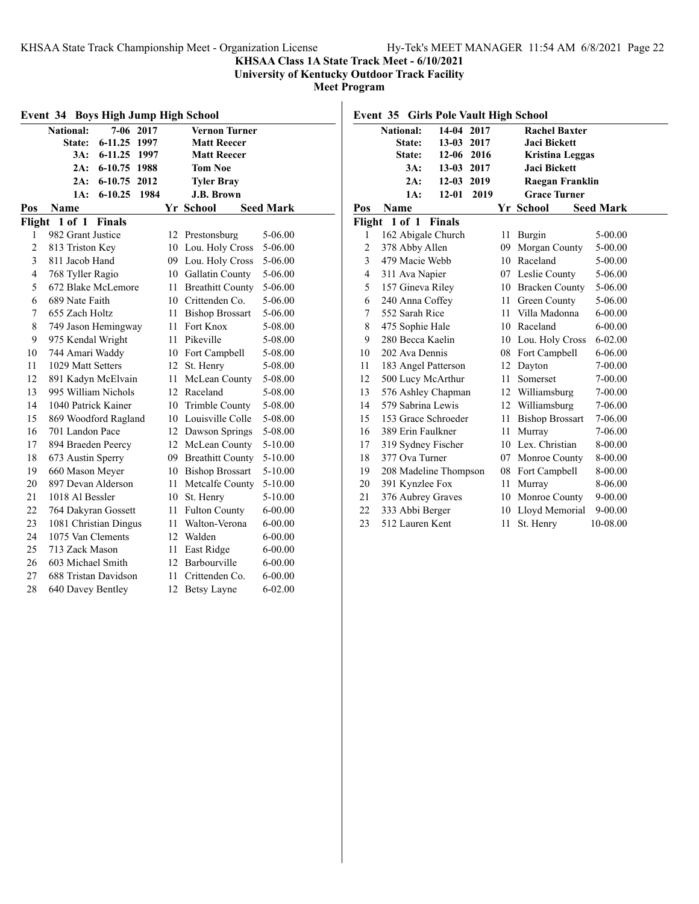## **KHSAA Class 1A State Track Meet - 6/10/2021**

**University of Kentucky Outdoor Track Facility**

| Event 34 Boys High Jump High School |                             |             |      |    |                         |                  |
|-------------------------------------|-----------------------------|-------------|------|----|-------------------------|------------------|
|                                     | <b>National:</b>            | $7-06$ 2017 |      |    | <b>Vernon Turner</b>    |                  |
|                                     | $6 - 11.25$<br>State:       |             | 1997 |    | <b>Matt Reecer</b>      |                  |
|                                     | 3A:<br>$6 - 11.25$          |             | 1997 |    | <b>Matt Reecer</b>      |                  |
|                                     | $6 - 10.75$<br>2A:          |             | 1988 |    | <b>Tom Noe</b>          |                  |
|                                     | 2A:<br>$6 - 10.75$          |             | 2012 |    | <b>Tyler Bray</b>       |                  |
|                                     | 1A:<br>$6 - 10.25$          |             | 1984 |    | <b>J.B. Brown</b>       |                  |
| Pos                                 | <b>Name</b>                 |             |      |    | Yr School               | <b>Seed Mark</b> |
| Flight                              | $1$ of $1$<br><b>Finals</b> |             |      |    |                         |                  |
| 1                                   | 982 Grant Justice           |             |      |    | 12 Prestonsburg         | 5-06.00          |
| $\overline{c}$                      | 813 Triston Key             |             |      |    | 10 Lou. Holy Cross      | 5-06.00          |
| 3                                   | 811 Jacob Hand              |             |      |    | 09 Lou. Holy Cross      | 5-06.00          |
| $\overline{4}$                      | 768 Tyller Ragio            |             |      |    | 10 Gallatin County      | 5-06.00          |
| 5                                   | 672 Blake McLemore          |             |      | 11 | <b>Breathitt County</b> | 5-06.00          |
| 6                                   | 689 Nate Faith              |             |      |    | 10 Crittenden Co.       | 5-06.00          |
| 7                                   | 655 Zach Holtz              |             |      | 11 | <b>Bishop Brossart</b>  | 5-06.00          |
| 8                                   | 749 Jason Hemingway         |             |      | 11 | Fort Knox               | 5-08.00          |
| 9                                   | 975 Kendal Wright           |             |      | 11 | Pikeville               | 5-08.00          |
| 10                                  | 744 Amari Waddy             |             |      |    | 10 Fort Campbell        | 5-08.00          |
| 11                                  | 1029 Matt Setters           |             |      | 12 | St. Henry               | 5-08.00          |
| 12                                  | 891 Kadyn McElvain          |             |      | 11 | McLean County           | 5-08.00          |
| 13                                  | 995 William Nichols         |             |      | 12 | Raceland                | 5-08.00          |
| 14                                  | 1040 Patrick Kainer         |             |      | 10 | Trimble County          | 5-08.00          |
| 15                                  | 869 Woodford Ragland        |             |      | 10 | Louisville Colle        | 5-08.00          |
| 16                                  | 701 Landon Pace             |             |      | 12 | Dawson Springs          | 5-08.00          |
| 17                                  | 894 Braeden Peercy          |             |      | 12 | McLean County           | 5-10.00          |
| 18                                  | 673 Austin Sperry           |             |      | 09 | <b>Breathitt County</b> | 5-10.00          |
| 19                                  | 660 Mason Meyer             |             |      | 10 | <b>Bishop Brossart</b>  | 5-10.00          |
| 20                                  | 897 Devan Alderson          |             |      | 11 | Metcalfe County         | 5-10.00          |
| 21                                  | 1018 Al Bessler             |             |      | 10 | St. Henry               | 5-10.00          |
| 22                                  | 764 Dakyran Gossett         |             |      | 11 | <b>Fulton County</b>    | $6 - 00.00$      |
| 23                                  | 1081 Christian Dingus       |             |      | 11 | Walton-Verona           | $6 - 00.00$      |
| 24                                  | 1075 Van Clements           |             |      | 12 | Walden                  | $6 - 00.00$      |
| 25                                  | 713 Zack Mason              |             |      | 11 | East Ridge              | $6 - 00.00$      |
| 26                                  | 603 Michael Smith           |             |      | 12 | Barbourville            | $6 - 00.00$      |
| 27                                  | 688 Tristan Davidson        |             |      | 11 | Crittenden Co.          | $6 - 00.00$      |
| 28                                  | 640 Davey Bentley           |             |      | 12 | <b>Betsy Layne</b>      | $6 - 02.00$      |

|                | Event 35 Girls Pole Vault High School |               |      |    |                        |                  |  |
|----------------|---------------------------------------|---------------|------|----|------------------------|------------------|--|
|                | <b>National:</b>                      | 14-04 2017    |      |    | <b>Rachel Baxter</b>   |                  |  |
|                | State:                                | 13-03 2017    |      |    | <b>Jaci Bickett</b>    |                  |  |
|                | State:                                | 12-06 2016    |      |    | <b>Kristina Leggas</b> |                  |  |
|                | $3A$ :                                | 13-03 2017    |      |    | <b>Jaci Bickett</b>    |                  |  |
|                | 2A:                                   | $12 - 03$     | 2019 |    | Raegan Franklin        |                  |  |
|                | 1A:                                   | $12 - 01$     | 2019 |    | <b>Grace Turner</b>    |                  |  |
| Pos            | Name                                  |               |      |    | Yr School              | <b>Seed Mark</b> |  |
| Flight         | 1 of 1                                | <b>Finals</b> |      |    |                        |                  |  |
| 1              | 162 Abigale Church                    |               |      | 11 | Burgin                 | 5-00.00          |  |
| 2              | 378 Abby Allen                        |               |      | 09 | Morgan County          | 5-00.00          |  |
| 3              | 479 Macie Webb                        |               |      |    | 10 Raceland            | 5-00.00          |  |
| $\overline{4}$ | 311 Ava Napier                        |               |      |    | 07 Leslie County       | 5-06.00          |  |
| 5              | 157 Gineva Riley                      |               |      |    | 10 Bracken County      | 5-06.00          |  |
| 6              | 240 Anna Coffey                       |               |      | 11 | Green County           | 5-06.00          |  |
| 7              | 552 Sarah Rice                        |               |      | 11 | Villa Madonna          | $6 - 00.00$      |  |
| 8              | 475 Sophie Hale                       |               |      |    | 10 Raceland            | $6 - 00.00$      |  |
| 9              | 280 Becca Kaelin                      |               |      |    | 10 Lou. Holy Cross     | $6 - 02.00$      |  |
| 10             | 202 Ava Dennis                        |               |      |    | 08 Fort Campbell       | 6-06.00          |  |
| 11             | 183 Angel Patterson                   |               |      |    | 12 Dayton              | 7-00.00          |  |
| 12             | 500 Lucy McArthur                     |               |      | 11 | Somerset               | 7-00.00          |  |
| 13             | 576 Ashley Chapman                    |               |      |    | 12 Williamsburg        | 7-00.00          |  |
| 14             | 579 Sabrina Lewis                     |               |      |    | 12 Williamsburg        | 7-06.00          |  |
| 15             | 153 Grace Schroeder                   |               |      | 11 | <b>Bishop Brossart</b> | 7-06.00          |  |
| 16             | 389 Erin Faulkner                     |               |      | 11 | Murray                 | 7-06.00          |  |
| 17             | 319 Sydney Fischer                    |               |      |    | 10 Lex. Christian      | 8-00.00          |  |
| 18             | 377 Ova Turner                        |               |      |    | 07 Monroe County       | 8-00.00          |  |
| 19             | 208 Madeline Thompson                 |               |      | 08 | Fort Campbell          | 8-00.00          |  |
| 20             | 391 Kynzlee Fox                       |               |      | 11 | Murray                 | 8-06.00          |  |
| 21             | 376 Aubrey Graves                     |               |      |    | 10 Monroe County       | $9 - 00.00$      |  |
| 22             | 333 Abbi Berger                       |               |      | 10 | Lloyd Memorial         | $9 - 00.00$      |  |
| 23             | 512 Lauren Kent                       |               |      | 11 | St. Henry              | 10-08.00         |  |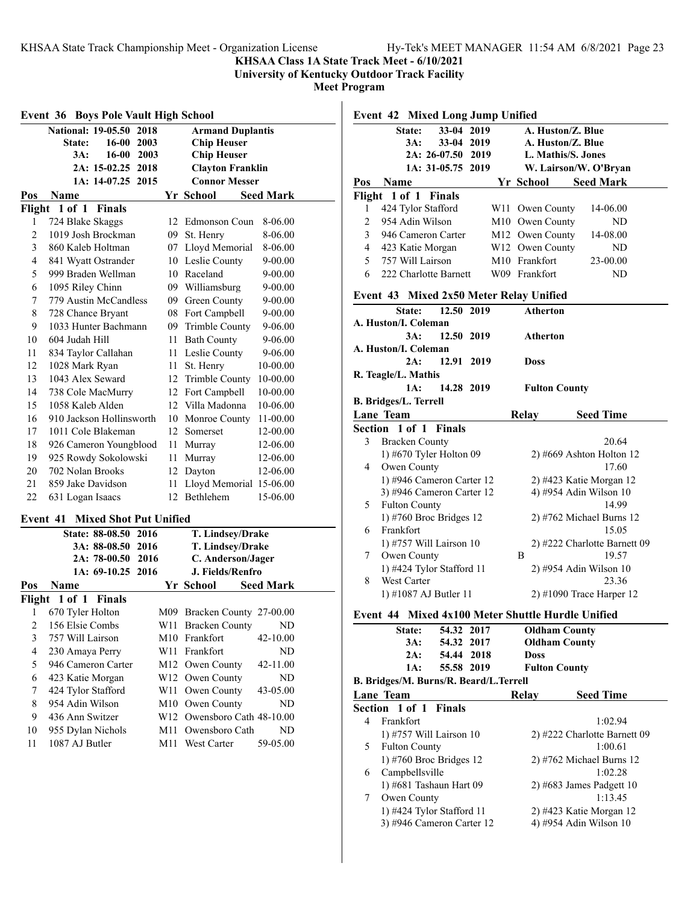## **KHSAA Class 1A State Track Meet - 6/10/2021**

**University of Kentucky Outdoor Track Facility**

| <b>Event 36 Boys Pole Vault High School</b>                  |                                |     |                             |                  |  |  |
|--------------------------------------------------------------|--------------------------------|-----|-----------------------------|------------------|--|--|
| <b>National: 19-05.50</b><br>2018<br><b>Armand Duplantis</b> |                                |     |                             |                  |  |  |
|                                                              | <b>State:</b><br>16-00<br>2003 |     | <b>Chip Heuser</b>          |                  |  |  |
|                                                              | 3A:<br>16-00 2003              |     | <b>Chip Heuser</b>          |                  |  |  |
|                                                              | 2A: 15-02.25 2018              |     | <b>Clayton Franklin</b>     |                  |  |  |
|                                                              | 1A: 14-07.25 2015              |     | <b>Connor Messer</b>        |                  |  |  |
| Pos                                                          | Name                           |     | Yr School                   | <b>Seed Mark</b> |  |  |
|                                                              | Flight 1 of 1<br>Finals        |     |                             |                  |  |  |
| 1                                                            | 724 Blake Skaggs               |     | 12 Edmonson Coun            | 8-06.00          |  |  |
| $\overline{c}$                                               | 1019 Josh Brockman             |     | 09 St. Henry                | 8-06.00          |  |  |
| 3                                                            | 860 Kaleb Holtman              |     | 07 Lloyd Memorial           | 8-06.00          |  |  |
| 4                                                            | 841 Wyatt Ostrander            |     | 10 Leslie County            | $9 - 00.00$      |  |  |
| 5                                                            | 999 Braden Wellman             |     | 10 Raceland                 | 9-00.00          |  |  |
| 6                                                            | 1095 Riley Chinn               |     | 09 Williamsburg             | 9-00.00          |  |  |
| 7                                                            | 779 Austin McCandless          |     | 09 Green County             | 9-00.00          |  |  |
| 8                                                            | 728 Chance Bryant              |     | 08 Fort Campbell            | 9-00.00          |  |  |
| 9                                                            | 1033 Hunter Bachmann           |     | 09 Trimble County           | 9-06.00          |  |  |
| 10                                                           | 604 Judah Hill                 | 11  | <b>Bath County</b>          | 9-06.00          |  |  |
| 11                                                           | 834 Taylor Callahan            |     | 11 Leslie County            | 9-06.00          |  |  |
| 12                                                           | 1028 Mark Ryan                 |     | 11 St. Henry                | 10-00.00         |  |  |
| 13                                                           | 1043 Alex Seward               |     | 12 Trimble County           | 10-00.00         |  |  |
| 14                                                           | 738 Cole MacMurry              |     | 12 Fort Campbell            | 10-00.00         |  |  |
| 15                                                           | 1058 Kaleb Alden               |     | 12 Villa Madonna            | 10-06.00         |  |  |
| 16                                                           | 910 Jackson Hollinsworth       |     | 10 Monroe County            | 11-00.00         |  |  |
| 17                                                           | 1011 Cole Blakeman             |     | 12 Somerset                 | 12-00.00         |  |  |
| 18                                                           | 926 Cameron Youngblood         |     | 11 Murray                   | 12-06.00         |  |  |
| 19                                                           | 925 Rowdy Sokolowski           |     | 11 Murray                   | 12-06.00         |  |  |
| 20                                                           | 702 Nolan Brooks               | 12  | Dayton                      | 12-06.00         |  |  |
| 21                                                           | 859 Jake Davidson              | 11  | Lloyd Memorial 15-06.00     |                  |  |  |
| 22                                                           | 631 Logan Isaacs               |     | 12 Bethlehem                | 15-06.00         |  |  |
| Event 41                                                     | <b>Mixed Shot Put Unified</b>  |     |                             |                  |  |  |
|                                                              | State: 88-08.50 2016           |     | T. Lindsey/Drake            |                  |  |  |
|                                                              | 3A: 88-08.50 2016              |     | T. Lindsey/Drake            |                  |  |  |
|                                                              | 2A: 78-00.50 2016              |     | C. Anderson/Jager           |                  |  |  |
|                                                              | 1A: 69-10.25<br>2016           |     | J. Fields/Renfro            |                  |  |  |
| Pos                                                          | Name                           |     | Yr School                   | <b>Seed Mark</b> |  |  |
| Flight                                                       | 1 of 1<br><b>Finals</b>        |     |                             |                  |  |  |
| 1                                                            | 670 Tyler Holton               |     | M09 Bracken County 27-00.00 |                  |  |  |
| $\overline{c}$                                               | 156 Elsie Combs                | W11 | <b>Bracken County</b>       | ND               |  |  |
| 3                                                            | 757 Will Lairson               | M10 | Frankfort                   | 42-10.00         |  |  |
| $\overline{\mathcal{L}}$                                     | 230 Amaya Perry                | W11 | Frankfort                   | ND               |  |  |
| 5                                                            | 946 Cameron Carter             | M12 | Owen County                 | 42-11.00         |  |  |
| 6                                                            | 423 Katie Morgan               | W12 | Owen County                 | ND               |  |  |
| 7                                                            | 424 Tylor Stafford             | W11 | Owen County                 | 43-05.00         |  |  |
| 8                                                            | 954 Adin Wilson                | M10 | Owen County                 | ND               |  |  |
| 9                                                            | 436 Ann Switzer                | W12 | Owensboro Cath 48-10.00     |                  |  |  |
| 10                                                           | 955 Dylan Nichols              | M11 | Owensboro Cath              | ND               |  |  |
| 11                                                           | 1087 AJ Butler                 | M11 | West Carter                 | 59-05.00         |  |  |

|                                         | <b>Event 42 Mixed Long Jump Unified</b> |                   |      |                            |                                                   |  |  |  |  |
|-----------------------------------------|-----------------------------------------|-------------------|------|----------------------------|---------------------------------------------------|--|--|--|--|
|                                         | State:                                  | 33-04 2019        |      |                            | A. Huston/Z. Blue                                 |  |  |  |  |
|                                         | 3A:                                     | 33-04 2019        |      |                            | A. Huston/Z. Blue                                 |  |  |  |  |
|                                         |                                         | 2A: 26-07.50 2019 |      |                            | L. Mathis/S. Jones                                |  |  |  |  |
|                                         |                                         | 1A: 31-05.75 2019 |      |                            | W. Lairson/W. O'Bryan                             |  |  |  |  |
| Pos                                     | <b>Name</b>                             |                   |      |                            | Yr School Seed Mark                               |  |  |  |  |
|                                         | Flight 1 of 1 Finals                    |                   |      |                            |                                                   |  |  |  |  |
| 1                                       | 424 Tylor Stafford                      |                   |      | W11 Owen County            | 14-06.00                                          |  |  |  |  |
| 2                                       | 954 Adin Wilson                         |                   |      | M10 Owen County            | ND                                                |  |  |  |  |
| 3                                       | 946 Cameron Carter                      |                   |      | M12 Owen County            | 14-08.00                                          |  |  |  |  |
| 4                                       | 423 Katie Morgan                        |                   |      | W12 Owen County            | ND                                                |  |  |  |  |
| 5                                       | 757 Will Lairson                        |                   |      | M <sub>10</sub> Frankfort  | 23-00.00                                          |  |  |  |  |
| 6                                       | 222 Charlotte Barnett                   |                   |      | W09 Frankfort              | ND                                                |  |  |  |  |
|                                         |                                         |                   |      |                            |                                                   |  |  |  |  |
|                                         | Event 43 Mixed 2x50 Meter Relay Unified |                   |      |                            |                                                   |  |  |  |  |
| 12.50 2019<br>Atherton<br><b>State:</b> |                                         |                   |      |                            |                                                   |  |  |  |  |
|                                         | A. Huston/I. Coleman                    |                   |      |                            |                                                   |  |  |  |  |
|                                         | 3A:                                     | 12.50 2019        |      | Atherton                   |                                                   |  |  |  |  |
|                                         | A. Huston/I. Coleman                    |                   |      |                            |                                                   |  |  |  |  |
|                                         | 2A:                                     | 12.91             | 2019 | <b>Doss</b>                |                                                   |  |  |  |  |
|                                         | R. Teagle/L. Mathis                     |                   |      |                            |                                                   |  |  |  |  |
|                                         | 1A:                                     | 14.28 2019        |      | <b>Fulton County</b>       |                                                   |  |  |  |  |
|                                         | B. Bridges/L. Terrell                   |                   |      |                            |                                                   |  |  |  |  |
|                                         | <b>Lane Team</b>                        |                   |      | Relay                      | <b>Seed Time</b>                                  |  |  |  |  |
|                                         | <b>Section 1 of 1 Finals</b>            |                   |      |                            |                                                   |  |  |  |  |
| 3                                       | <b>Bracken County</b>                   |                   |      |                            | 20.64                                             |  |  |  |  |
|                                         | 1) #670 Tyler Holton 09                 |                   |      |                            | $2)$ #669 Ashton Holton 12                        |  |  |  |  |
| 4                                       | Owen County                             |                   |      |                            | 17.60                                             |  |  |  |  |
|                                         | 1) #946 Cameron Carter 12               |                   |      |                            | 2) #423 Katie Morgan 12                           |  |  |  |  |
|                                         | 3) #946 Cameron Carter 12               |                   |      |                            | 4) #954 Adin Wilson 10                            |  |  |  |  |
| 5                                       | <b>Fulton County</b>                    |                   |      |                            | 14.99                                             |  |  |  |  |
|                                         | 1) #760 Broc Bridges 12                 |                   |      |                            | $2)$ #762 Michael Burns 12                        |  |  |  |  |
| 6                                       | Frankfort                               |                   |      |                            | 15.05                                             |  |  |  |  |
|                                         | 1) #757 Will Lairson 10                 |                   |      |                            | 2) #222 Charlotte Barnett 09                      |  |  |  |  |
| 7                                       | Owen County                             |                   |      | Β                          | 19.57                                             |  |  |  |  |
|                                         | 1) #424 Tylor Stafford 11               |                   |      | 2) #954 Adin Wilson 10     |                                                   |  |  |  |  |
| 8                                       | West Carter                             |                   |      |                            | 23.36                                             |  |  |  |  |
|                                         | 1) #1087 AJ Butler 11                   |                   |      | $2)$ #1090 Trace Harper 12 |                                                   |  |  |  |  |
|                                         |                                         |                   |      |                            |                                                   |  |  |  |  |
|                                         |                                         |                   |      |                            | Event 44 Mixed 4x100 Meter Shuttle Hurdle Unified |  |  |  |  |
|                                         | State:                                  | 54.32 2017        |      |                            | <b>Oldham County</b>                              |  |  |  |  |
|                                         | 3A:                                     | 54.32 2017        |      |                            | <b>Oldham County</b>                              |  |  |  |  |
|                                         | 2A:                                     | 54.44 2018        |      | <b>Doss</b>                |                                                   |  |  |  |  |
|                                         | 1A:                                     | 55.58 2019        |      | <b>Fulton County</b>       |                                                   |  |  |  |  |
|                                         | B. Bridges/M. Burns/R. Beard/L.Terrell  |                   |      |                            |                                                   |  |  |  |  |
|                                         | <b>Lane Team</b>                        |                   |      | Relay                      | <b>Seed Time</b>                                  |  |  |  |  |
| Section                                 | 1 of 1                                  | Finals            |      |                            |                                                   |  |  |  |  |
| 4                                       | Frankfort                               |                   |      |                            | 1:02.94                                           |  |  |  |  |
|                                         | 1) #757 Will Lairson 10                 |                   |      |                            | 2) #222 Charlotte Barnett 09                      |  |  |  |  |
| 5                                       | <b>Fulton County</b>                    |                   |      |                            | 1:00.61                                           |  |  |  |  |
|                                         | 1) #760 Broc Bridges 12                 |                   |      |                            | $2)$ #762 Michael Burns 12                        |  |  |  |  |
| 6                                       | Campbellsville                          |                   |      |                            | 1:02.28                                           |  |  |  |  |
|                                         | 1) #681 Tashaun Hart 09                 |                   |      |                            | $2)$ #683 James Padgett 10                        |  |  |  |  |
| 7                                       | Owen County                             |                   |      |                            | 1:13.45                                           |  |  |  |  |
|                                         | 1) #424 Tylor Stafford 11               |                   |      |                            | 2) #423 Katie Morgan 12                           |  |  |  |  |
|                                         | 3) #946 Cameron Carter 12               |                   |      |                            | 4) #954 Adin Wilson 10                            |  |  |  |  |
|                                         |                                         |                   |      |                            |                                                   |  |  |  |  |